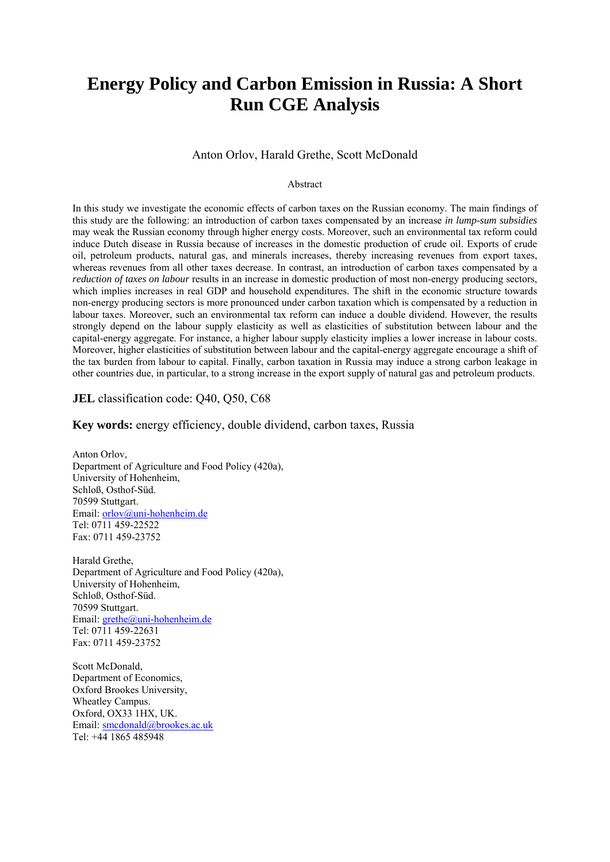# **Energy Policy and Carbon Emission in Russia: A Short Run CGE Analysis**

#### Anton Orlov, Harald Grethe, Scott McDonald

#### Abstract

In this study we investigate the economic effects of carbon taxes on the Russian economy. The main findings of this study are the following: an introduction of carbon taxes compensated by an increase *in lump-sum subsidies* may weak the Russian economy through higher energy costs. Moreover, such an environmental tax reform could induce Dutch disease in Russia because of increases in the domestic production of crude oil. Exports of crude oil, petroleum products, natural gas, and minerals increases, thereby increasing revenues from export taxes, whereas revenues from all other taxes decrease. In contrast, an introduction of carbon taxes compensated by a *reduction of taxes on labour* results in an increase in domestic production of most non-energy producing sectors, which implies increases in real GDP and household expenditures. The shift in the economic structure towards non-energy producing sectors is more pronounced under carbon taxation which is compensated by a reduction in labour taxes. Moreover, such an environmental tax reform can induce a double dividend. However, the results strongly depend on the labour supply elasticity as well as elasticities of substitution between labour and the capital-energy aggregate. For instance, a higher labour supply elasticity implies a lower increase in labour costs. Moreover, higher elasticities of substitution between labour and the capital-energy aggregate encourage a shift of the tax burden from labour to capital. Finally, carbon taxation in Russia may induce a strong carbon leakage in other countries due, in particular, to a strong increase in the export supply of natural gas and petroleum products.

#### **JEL** classification code: Q40, Q50, C68

#### **Key words:** energy efficiency, double dividend, carbon taxes, Russia

Anton Orlov, Department of Agriculture and Food Policy (420a), University of Hohenheim, Schloß, Osthof-Süd. 70599 Stuttgart. Email: [orlov@uni-hohenheim.de](mailto:orlov@uni-hohenheim.de)  Tel: 0711 459-22522 Fax: 0711 459-23752

Harald Grethe, Department of Agriculture and Food Policy (420a), University of Hohenheim, Schloß, Osthof-Süd. 70599 Stuttgart. Email: grethe@uni-hohenheim.de Tel: 0711 459-22631 Fax: 0711 459-23752

Scott McDonald, Department of Economics, Oxford Brookes University, Wheatley Campus. Oxford, OX33 1HX, UK. Email: [smcdonald@brookes.ac.uk](mailto:smcdonald@brookes.ac.uk) Tel: +44 1865 485948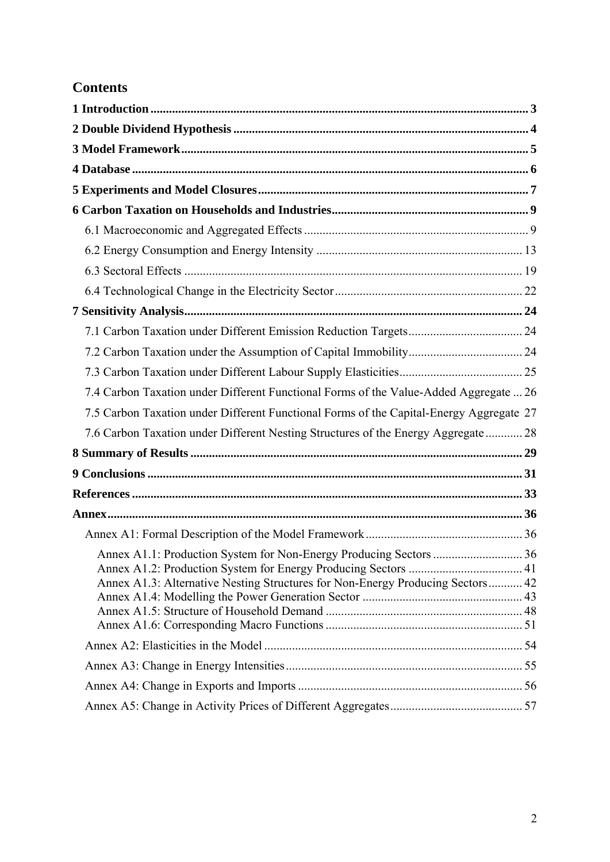# **Contents**

| 7.4 Carbon Taxation under Different Functional Forms of the Value-Added Aggregate  26                                                                |  |
|------------------------------------------------------------------------------------------------------------------------------------------------------|--|
| 7.5 Carbon Taxation under Different Functional Forms of the Capital-Energy Aggregate 27                                                              |  |
| 7.6 Carbon Taxation under Different Nesting Structures of the Energy Aggregate  28                                                                   |  |
|                                                                                                                                                      |  |
|                                                                                                                                                      |  |
|                                                                                                                                                      |  |
|                                                                                                                                                      |  |
|                                                                                                                                                      |  |
| Annex A1.1: Production System for Non-Energy Producing Sectors  36<br>Annex A1.3: Alternative Nesting Structures for Non-Energy Producing Sectors 42 |  |
|                                                                                                                                                      |  |
|                                                                                                                                                      |  |
|                                                                                                                                                      |  |
|                                                                                                                                                      |  |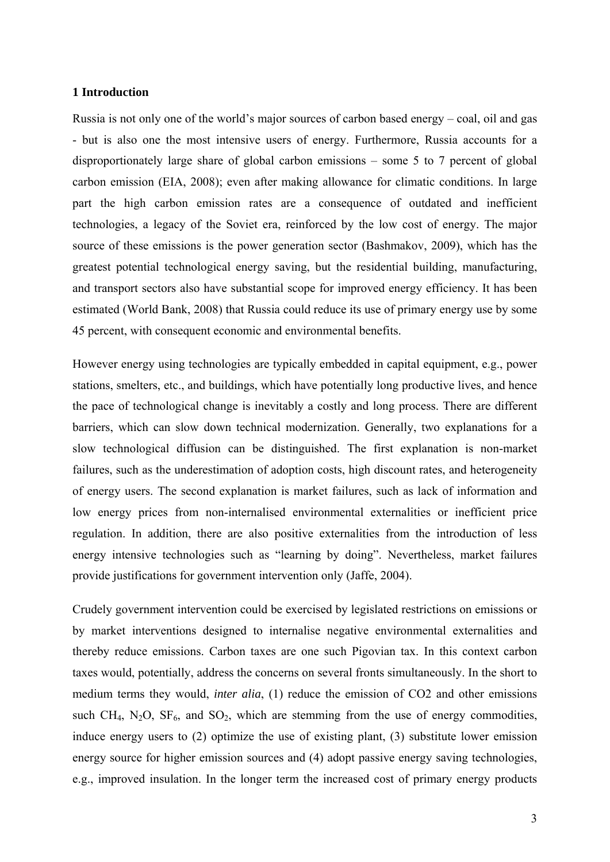#### <span id="page-2-0"></span>**1 Introduction**

Russia is not only one of the world's major sources of carbon based energy – coal, oil and gas - but is also one the most intensive users of energy. Furthermore, Russia accounts for a disproportionately large share of global carbon emissions – some 5 to 7 percent of global carbon emission (EIA, 2008); even after making allowance for climatic conditions. In large part the high carbon emission rates are a consequence of outdated and inefficient technologies, a legacy of the Soviet era, reinforced by the low cost of energy. The major source of these emissions is the power generation sector (Bashmakov, 2009), which has the greatest potential technological energy saving, but the residential building, manufacturing, and transport sectors also have substantial scope for improved energy efficiency. It has been estimated (World Bank, 2008) that Russia could reduce its use of primary energy use by some 45 percent, with consequent economic and environmental benefits.

However energy using technologies are typically embedded in capital equipment, e.g., power stations, smelters, etc., and buildings, which have potentially long productive lives, and hence the pace of technological change is inevitably a costly and long process. There are different barriers, which can slow down technical modernization. Generally, two explanations for a slow technological diffusion can be distinguished. The first explanation is non-market failures, such as the underestimation of adoption costs, high discount rates, and heterogeneity of energy users. The second explanation is market failures, such as lack of information and low energy prices from non-internalised environmental externalities or inefficient price regulation. In addition, there are also positive externalities from the introduction of less energy intensive technologies such as "learning by doing". Nevertheless, market failures provide justifications for government intervention only (Jaffe, 2004).

Crudely government intervention could be exercised by legislated restrictions on emissions or by market interventions designed to internalise negative environmental externalities and thereby reduce emissions. Carbon taxes are one such Pigovian tax. In this context carbon taxes would, potentially, address the concerns on several fronts simultaneously. In the short to medium terms they would, *inter alia*, (1) reduce the emission of CO2 and other emissions such CH<sub>4</sub>, N<sub>2</sub>O, SF<sub>6</sub>, and SO<sub>2</sub>, which are stemming from the use of energy commodities, induce energy users to (2) optimize the use of existing plant, (3) substitute lower emission energy source for higher emission sources and (4) adopt passive energy saving technologies, e.g., improved insulation. In the longer term the increased cost of primary energy products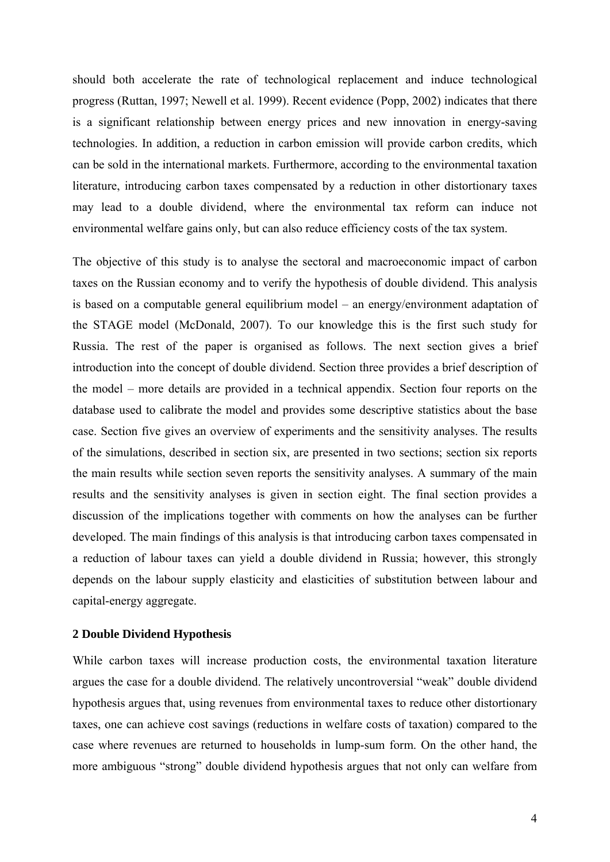should both accelerate the rate of technological replacement and induce technological progress (Ruttan, 1997; Newell et al. 1999). Recent evidence (Popp, 2002) indicates that there is a significant relationship between energy prices and new innovation in energy-saving technologies. In addition, a reduction in carbon emission will provide carbon credits, which can be sold in the international markets. Furthermore, according to the environmental taxation literature, introducing carbon taxes compensated by a reduction in other distortionary taxes may lead to a double dividend, where the environmental tax reform can induce not environmental welfare gains only, but can also reduce efficiency costs of the tax system.

The objective of this study is to analyse the sectoral and macroeconomic impact of carbon taxes on the Russian economy and to verify the hypothesis of double dividend. This analysis is based on a computable general equilibrium model – an energy/environment adaptation of the STAGE model (McDonald, 2007). To our knowledge this is the first such study for Russia. The rest of the paper is organised as follows. The next section gives a brief introduction into the concept of double dividend. Section three provides a brief description of the model – more details are provided in a technical appendix. Section four reports on the database used to calibrate the model and provides some descriptive statistics about the base case. Section five gives an overview of experiments and the sensitivity analyses. The results of the simulations, described in section six, are presented in two sections; section six reports the main results while section seven reports the sensitivity analyses. A summary of the main results and the sensitivity analyses is given in section eight. The final section provides a discussion of the implications together with comments on how the analyses can be further developed. The main findings of this analysis is that introducing carbon taxes compensated in a reduction of labour taxes can yield a double dividend in Russia; however, this strongly depends on the labour supply elasticity and elasticities of substitution between labour and capital-energy aggregate.

#### <span id="page-3-0"></span>**2 Double Dividend Hypothesis**

While carbon taxes will increase production costs, the environmental taxation literature argues the case for a double dividend. The relatively uncontroversial "weak" double dividend hypothesis argues that, using revenues from environmental taxes to reduce other distortionary taxes, one can achieve cost savings (reductions in welfare costs of taxation) compared to the case where revenues are returned to households in lump-sum form. On the other hand, the more ambiguous "strong" double dividend hypothesis argues that not only can welfare from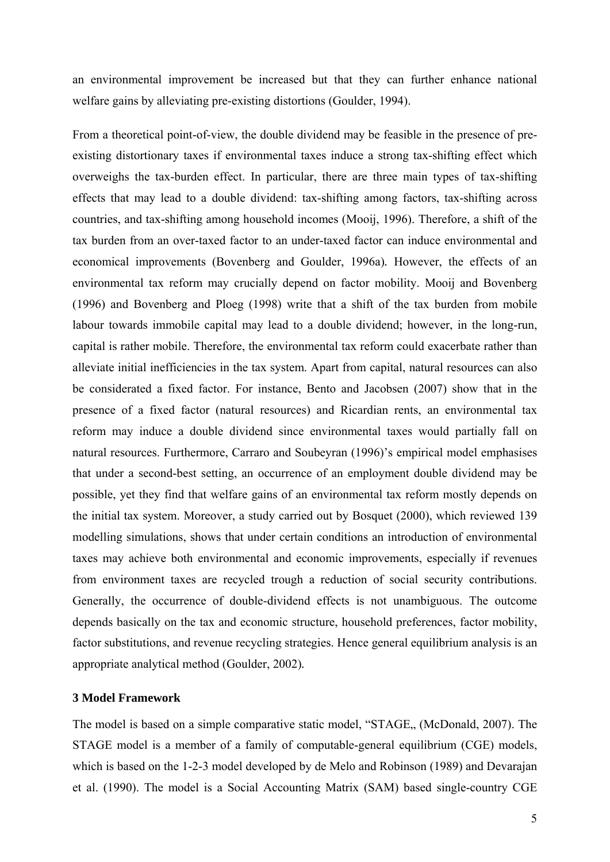an environmental improvement be increased but that they can further enhance national welfare gains by alleviating pre-existing distortions (Goulder, 1994).

From a theoretical point-of-view, the double dividend may be feasible in the presence of preexisting distortionary taxes if environmental taxes induce a strong tax-shifting effect which overweighs the tax-burden effect. In particular, there are three main types of tax-shifting effects that may lead to a double dividend: tax-shifting among factors, tax-shifting across countries, and tax-shifting among household incomes (Mooij, 1996). Therefore, a shift of the tax burden from an over-taxed factor to an under-taxed factor can induce environmental and economical improvements (Bovenberg and Goulder, 1996a)*.* However, the effects of an environmental tax reform may crucially depend on factor mobility. Mooij and Bovenberg (1996) and Bovenberg and Ploeg (1998) write that a shift of the tax burden from mobile labour towards immobile capital may lead to a double dividend; however, in the long-run, capital is rather mobile. Therefore, the environmental tax reform could exacerbate rather than alleviate initial inefficiencies in the tax system. Apart from capital, natural resources can also be considerated a fixed factor. For instance, Bento and Jacobsen (2007) show that in the presence of a fixed factor (natural resources) and Ricardian rents, an environmental tax reform may induce a double dividend since environmental taxes would partially fall on natural resources. Furthermore, Carraro and Soubeyran (1996)'s empirical model emphasises that under a second-best setting, an occurrence of an employment double dividend may be possible, yet they find that welfare gains of an environmental tax reform mostly depends on the initial tax system. Moreover, a study carried out by Bosquet (2000), which reviewed 139 modelling simulations, shows that under certain conditions an introduction of environmental taxes may achieve both environmental and economic improvements, especially if revenues from environment taxes are recycled trough a reduction of social security contributions. Generally, the occurrence of double-dividend effects is not unambiguous. The outcome depends basically on the tax and economic structure, household preferences, factor mobility, factor substitutions, and revenue recycling strategies. Hence general equilibrium analysis is an appropriate analytical method (Goulder, 2002)*.*

## <span id="page-4-0"></span>**3 Model Framework**

The model is based on a simple comparative static model, "STAGE,, (McDonald, 2007). The STAGE model is a member of a family of computable-general equilibrium (CGE) models, which is based on the 1-2-3 model developed by de Melo and Robinson (1989) and Devarajan et al. (1990). The model is a Social Accounting Matrix (SAM) based single-country CGE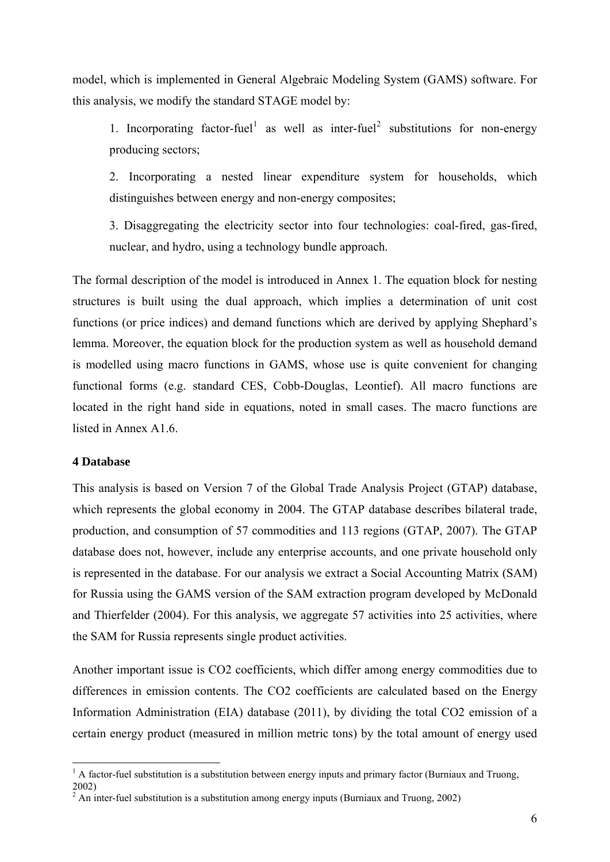model, which is implemented in General Algebraic Modeling System (GAMS) software. For this analysis, we modify the standard STAGE model by:

[1](#page-5-1). Incorporating factor-fuel<sup>1</sup> as well as inter-fuel<sup>[2](#page-5-2)</sup> substitutions for non-energy producing sectors;

2. Incorporating a nested linear expenditure system for households, which distinguishes between energy and non-energy composites;

3. Disaggregating the electricity sector into four technologies: coal-fired, gas-fired, nuclear, and hydro, using a technology bundle approach.

The formal description of the model is introduced in Annex 1. The equation block for nesting structures is built using the dual approach, which implies a determination of unit cost functions (or price indices) and demand functions which are derived by applying Shephard's lemma. Moreover, the equation block for the production system as well as household demand is modelled using macro functions in GAMS, whose use is quite convenient for changing functional forms (e.g. standard CES, Cobb-Douglas, Leontief). All macro functions are located in the right hand side in equations, noted in small cases. The macro functions are listed in Annex A1.6.

#### <span id="page-5-0"></span>**4 Database**

This analysis is based on Version 7 of the Global Trade Analysis Project (GTAP) database, which represents the global economy in 2004. The GTAP database describes bilateral trade, production, and consumption of 57 commodities and 113 regions (GTAP, 2007). The GTAP database does not, however, include any enterprise accounts, and one private household only is represented in the database. For our analysis we extract a Social Accounting Matrix (SAM) for Russia using the GAMS version of the SAM extraction program developed by McDonald and Thierfelder (2004). For this analysis, we aggregate 57 activities into 25 activities, where the SAM for Russia represents single product activities.

Another important issue is CO2 coefficients, which differ among energy commodities due to differences in emission contents. The CO2 coefficients are calculated based on the Energy Information Administration (EIA) database (2011), by dividing the total CO2 emission of a certain energy product (measured in million metric tons) by the total amount of energy used

<sup>&</sup>lt;sup>1</sup> A factor-fuel substitution is a substitution between energy inputs and primary factor (Burniaux and Truong,

<span id="page-5-2"></span><span id="page-5-1"></span><sup>2002)</sup> 

 $2 \text{ An inter-fuel substitution is a substitution among energy inputs (Burniaux and Truong, 2002).}$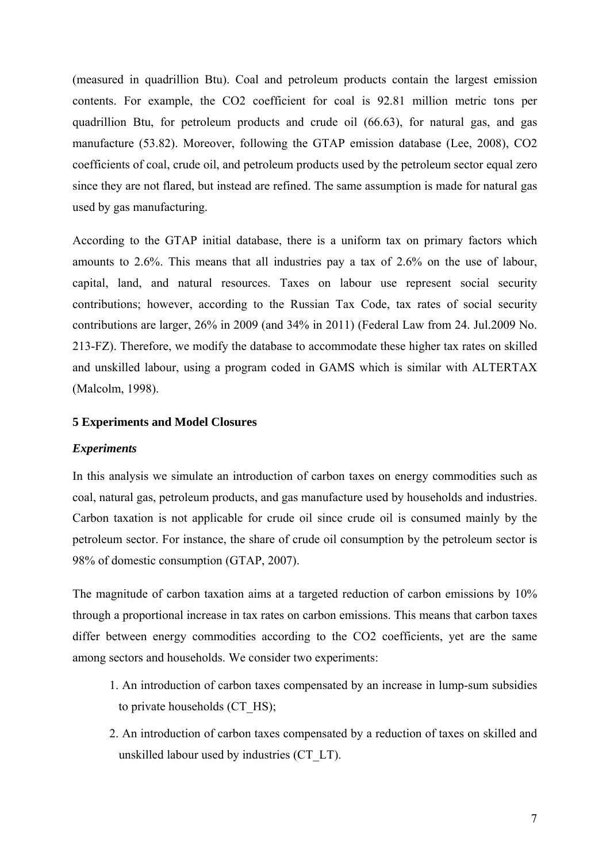(measured in quadrillion Btu). Coal and petroleum products contain the largest emission contents. For example, the CO2 coefficient for coal is 92.81 million metric tons per quadrillion Btu, for petroleum products and crude oil (66.63), for natural gas, and gas manufacture (53.82). Moreover, following the GTAP emission database (Lee, 2008), CO2 coefficients of coal, crude oil, and petroleum products used by the petroleum sector equal zero since they are not flared, but instead are refined. The same assumption is made for natural gas used by gas manufacturing.

According to the GTAP initial database, there is a uniform tax on primary factors which amounts to 2.6%. This means that all industries pay a tax of 2.6% on the use of labour, capital, land, and natural resources. Taxes on labour use represent social security contributions; however, according to the Russian Tax Code, tax rates of social security contributions are larger, 26% in 2009 (and 34% in 2011) (Federal Law from 24. Jul.2009 No. 213-FZ). Therefore, we modify the database to accommodate these higher tax rates on skilled and unskilled labour, using a program coded in GAMS which is similar with ALTERTAX (Malcolm, 1998).

#### <span id="page-6-0"></span>**5 Experiments and Model Closures**

#### *Experiments*

In this analysis we simulate an introduction of carbon taxes on energy commodities such as coal, natural gas, petroleum products, and gas manufacture used by households and industries. Carbon taxation is not applicable for crude oil since crude oil is consumed mainly by the petroleum sector. For instance, the share of crude oil consumption by the petroleum sector is 98% of domestic consumption (GTAP, 2007).

The magnitude of carbon taxation aims at a targeted reduction of carbon emissions by 10% through a proportional increase in tax rates on carbon emissions. This means that carbon taxes differ between energy commodities according to the CO2 coefficients, yet are the same among sectors and households. We consider two experiments:

- 1. An introduction of carbon taxes compensated by an increase in lump-sum subsidies to private households (CT\_HS);
- 2. An introduction of carbon taxes compensated by a reduction of taxes on skilled and unskilled labour used by industries (CT\_LT).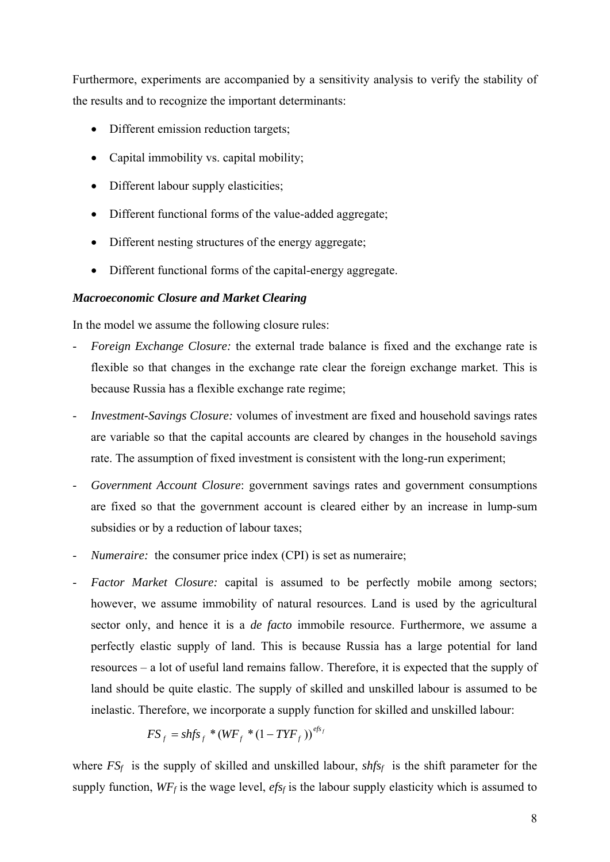Furthermore, experiments are accompanied by a sensitivity analysis to verify the stability of the results and to recognize the important determinants:

- Different emission reduction targets;
- Capital immobility vs. capital mobility;
- Different labour supply elasticities;
- Different functional forms of the value-added aggregate;
- Different nesting structures of the energy aggregate;
- Different functional forms of the capital-energy aggregate.

## *Macroeconomic Closure and Market Clearing*

In the model we assume the following closure rules:

- *Foreign Exchange Closure:* the external trade balance is fixed and the exchange rate is flexible so that changes in the exchange rate clear the foreign exchange market. This is because Russia has a flexible exchange rate regime;
- *Investment-Savings Closure:* volumes of investment are fixed and household savings rates are variable so that the capital accounts are cleared by changes in the household savings rate. The assumption of fixed investment is consistent with the long-run experiment;
- *Government Account Closure*: government savings rates and government consumptions are fixed so that the government account is cleared either by an increase in lump-sum subsidies or by a reduction of labour taxes;
- *Numeraire:* the consumer price index (CPI) is set as numeraire;
- *Factor Market Closure:* capital is assumed to be perfectly mobile among sectors; however, we assume immobility of natural resources. Land is used by the agricultural sector only, and hence it is a *de facto* immobile resource. Furthermore, we assume a perfectly elastic supply of land. This is because Russia has a large potential for land resources – a lot of useful land remains fallow. Therefore, it is expected that the supply of land should be quite elastic. The supply of skilled and unskilled labour is assumed to be inelastic. Therefore, we incorporate a supply function for skilled and unskilled labour:

$$
FS_f = shfs_f * (WF_f * (1 - TYF_f))^{efs_f}
$$

where  $FS_f$  is the supply of skilled and unskilled labour,  $shfs_f$  is the shift parameter for the supply function,  $WF_f$  is the wage level,  $efs_f$  is the labour supply elasticity which is assumed to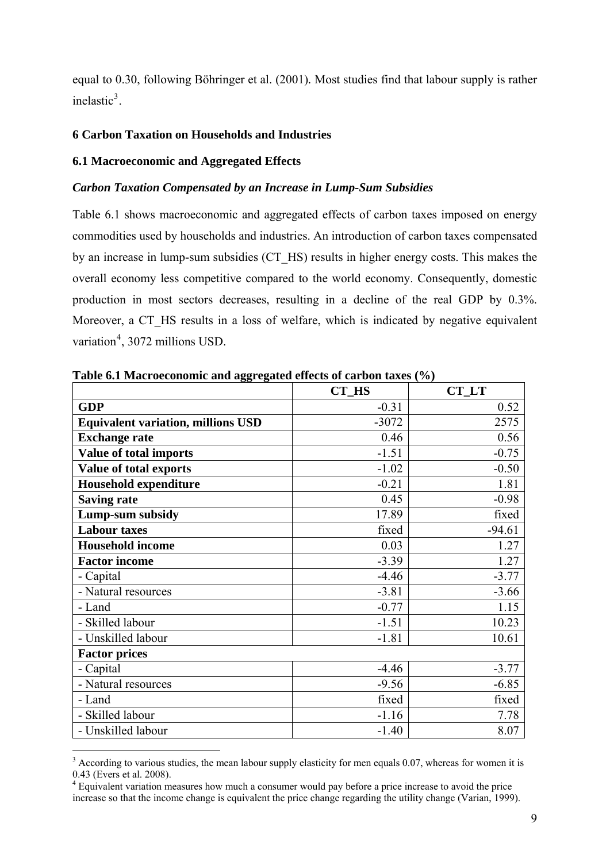equal to 0.30, following Böhringer et al. (2001)*.* Most studies find that labour supply is rather inelastic $3$ .

## <span id="page-8-0"></span>**6 Carbon Taxation on Households and Industries**

## <span id="page-8-1"></span>**6.1 Macroeconomic and Aggregated Effects**

## *Carbon Taxation Compensated by an Increase in Lump-Sum Subsidies*

Table 6.1 shows macroeconomic and aggregated effects of carbon taxes imposed on energy commodities used by households and industries. An introduction of carbon taxes compensated by an increase in lump-sum subsidies (CT\_HS) results in higher energy costs. This makes the overall economy less competitive compared to the world economy. Consequently, domestic production in most sectors decreases, resulting in a decline of the real GDP by 0.3%. Moreover, a CT\_HS results in a loss of welfare, which is indicated by negative equivalent variation<sup>[4](#page-8-3)</sup>, 3072 millions USD.

|                                           | <b>CT_HS</b> | <b>CT_LT</b> |
|-------------------------------------------|--------------|--------------|
| <b>GDP</b>                                | $-0.31$      | 0.52         |
| <b>Equivalent variation, millions USD</b> | $-3072$      | 2575         |
| <b>Exchange rate</b>                      | 0.46         | 0.56         |
| Value of total imports                    | $-1.51$      | $-0.75$      |
| Value of total exports                    | $-1.02$      | $-0.50$      |
| <b>Household expenditure</b>              | $-0.21$      | 1.81         |
| <b>Saving rate</b>                        | 0.45         | $-0.98$      |
| Lump-sum subsidy                          | 17.89        | fixed        |
| <b>Labour taxes</b>                       | fixed        | $-94.61$     |
| <b>Household income</b>                   | 0.03         | 1.27         |
| <b>Factor income</b>                      | $-3.39$      | 1.27         |
| - Capital                                 | $-4.46$      | $-3.77$      |
| - Natural resources                       | $-3.81$      | $-3.66$      |
| - Land                                    | $-0.77$      | 1.15         |
| - Skilled labour                          | $-1.51$      | 10.23        |
| - Unskilled labour                        | $-1.81$      | 10.61        |
| <b>Factor prices</b>                      |              |              |
| - Capital                                 | $-4.46$      | $-3.77$      |
| - Natural resources                       | $-9.56$      | $-6.85$      |
| - Land                                    | fixed        | fixed        |
| - Skilled labour                          | $-1.16$      | 7.78         |
| - Unskilled labour                        | $-1.40$      | 8.07         |

**Table 6.1 Macroeconomic and aggregated effects of carbon taxes (%)** 

<span id="page-8-2"></span><sup>&</sup>lt;sup>3</sup> According to various studies, the mean labour supply elasticity for men equals 0.07, whereas for women it is 0.43 (Evers et al. 2008).

<span id="page-8-3"></span><sup>&</sup>lt;sup>4</sup> Equivalent variation measures how much a consumer would pay before a price increase to avoid the price increase so that the income change is equivalent the price change regarding the utility change (Varian, 1999).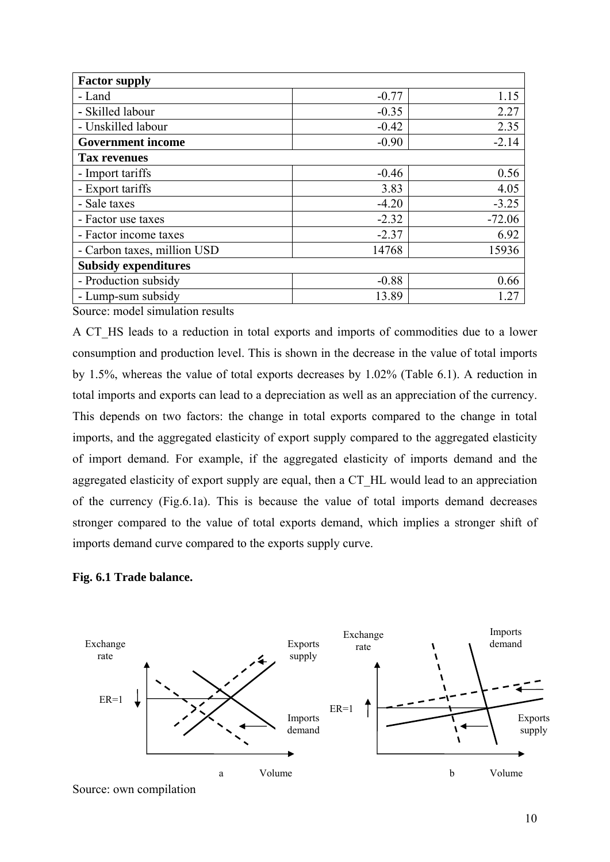| <b>Factor supply</b>        |         |          |
|-----------------------------|---------|----------|
| - Land                      | $-0.77$ | 1.15     |
| - Skilled labour            | $-0.35$ | 2.27     |
| - Unskilled labour          | $-0.42$ | 2.35     |
| <b>Government income</b>    | $-0.90$ | $-2.14$  |
| <b>Tax revenues</b>         |         |          |
| - Import tariffs            | $-0.46$ | 0.56     |
| - Export tariffs            | 3.83    | 4.05     |
| - Sale taxes                | $-4.20$ | $-3.25$  |
| - Factor use taxes          | $-2.32$ | $-72.06$ |
| - Factor income taxes       | $-2.37$ | 6.92     |
| - Carbon taxes, million USD | 14768   | 15936    |
| <b>Subsidy expenditures</b> |         |          |
| - Production subsidy        | $-0.88$ | 0.66     |
| - Lump-sum subsidy          | 13.89   | .27      |

Source: model simulation results

A CT HS leads to a reduction in total exports and imports of commodities due to a lower consumption and production level. This is shown in the decrease in the value of total imports by 1.5%, whereas the value of total exports decreases by 1.02% (Table 6.1). A reduction in total imports and exports can lead to a depreciation as well as an appreciation of the currency. This depends on two factors: the change in total exports compared to the change in total imports, and the aggregated elasticity of export supply compared to the aggregated elasticity of import demand. For example, if the aggregated elasticity of imports demand and the aggregated elasticity of export supply are equal, then a CT\_HL would lead to an appreciation of the currency (Fig.6.1a). This is because the value of total imports demand decreases stronger compared to the value of total exports demand, which implies a stronger shift of imports demand curve compared to the exports supply curve.





Source: own compilation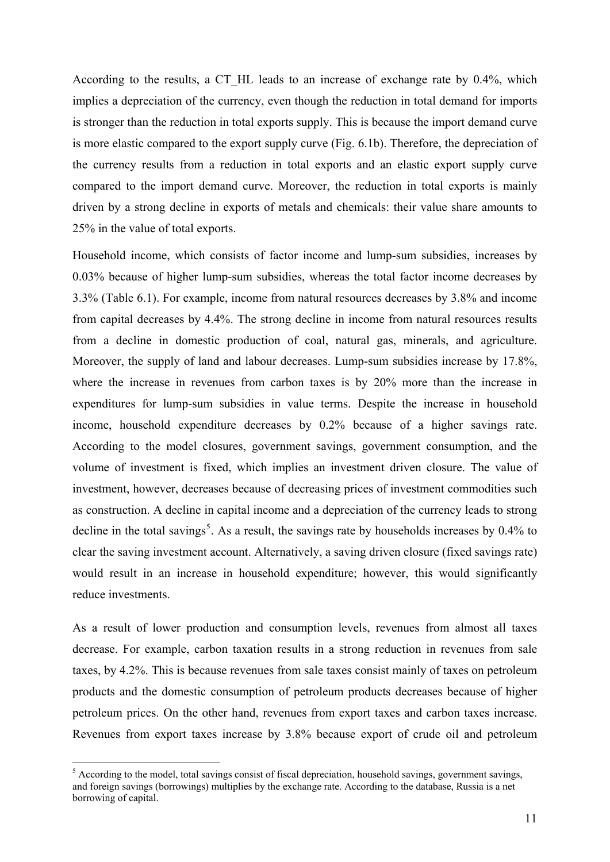According to the results, a CT HL leads to an increase of exchange rate by 0.4%, which implies a depreciation of the currency, even though the reduction in total demand for imports is stronger than the reduction in total exports supply. This is because the import demand curve is more elastic compared to the export supply curve (Fig. 6.1b). Therefore, the depreciation of the currency results from a reduction in total exports and an elastic export supply curve compared to the import demand curve. Moreover, the reduction in total exports is mainly driven by a strong decline in exports of metals and chemicals: their value share amounts to 25% in the value of total exports.

Household income, which consists of factor income and lump-sum subsidies, increases by 0.03% because of higher lump-sum subsidies, whereas the total factor income decreases by 3.3% (Table 6.1). For example, income from natural resources decreases by 3.8% and income from capital decreases by 4.4%. The strong decline in income from natural resources results from a decline in domestic production of coal, natural gas, minerals, and agriculture. Moreover, the supply of land and labour decreases. Lump-sum subsidies increase by 17.8%, where the increase in revenues from carbon taxes is by 20% more than the increase in expenditures for lump-sum subsidies in value terms. Despite the increase in household income, household expenditure decreases by 0.2% because of a higher savings rate. According to the model closures, government savings, government consumption, and the volume of investment is fixed, which implies an investment driven closure. The value of investment, however, decreases because of decreasing prices of investment commodities such as construction. A decline in capital income and a depreciation of the currency leads to strong decline in the total savings<sup>[5](#page-10-0)</sup>. As a result, the savings rate by households increases by  $0.4\%$  to clear the saving investment account. Alternatively, a saving driven closure (fixed savings rate) would result in an increase in household expenditure; however, this would significantly reduce investments.

As a result of lower production and consumption levels, revenues from almost all taxes decrease. For example, carbon taxation results in a strong reduction in revenues from sale taxes, by 4.2%. This is because revenues from sale taxes consist mainly of taxes on petroleum products and the domestic consumption of petroleum products decreases because of higher petroleum prices. On the other hand, revenues from export taxes and carbon taxes increase. Revenues from export taxes increase by 3.8% because export of crude oil and petroleum

1

<span id="page-10-0"></span><sup>&</sup>lt;sup>5</sup> According to the model, total savings consist of fiscal depreciation, household savings, government savings, and foreign savings (borrowings) multiplies by the exchange rate. According to the database, Russia is a net borrowing of capital.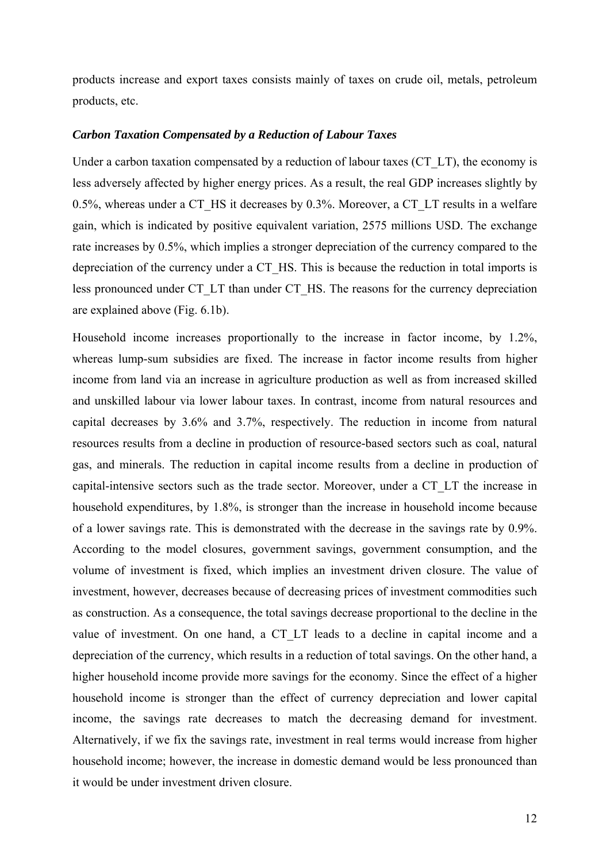products increase and export taxes consists mainly of taxes on crude oil, metals, petroleum products, etc.

#### *Carbon Taxation Compensated by a Reduction of Labour Taxes*

Under a carbon taxation compensated by a reduction of labour taxes (CT\_LT), the economy is less adversely affected by higher energy prices. As a result, the real GDP increases slightly by 0.5%, whereas under a CT\_HS it decreases by 0.3%. Moreover, a CT\_LT results in a welfare gain, which is indicated by positive equivalent variation, 2575 millions USD. The exchange rate increases by 0.5%, which implies a stronger depreciation of the currency compared to the depreciation of the currency under a CT\_HS. This is because the reduction in total imports is less pronounced under CT\_LT than under CT\_HS. The reasons for the currency depreciation are explained above (Fig. 6.1b).

Household income increases proportionally to the increase in factor income, by 1.2%, whereas lump-sum subsidies are fixed. The increase in factor income results from higher income from land via an increase in agriculture production as well as from increased skilled and unskilled labour via lower labour taxes. In contrast, income from natural resources and capital decreases by 3.6% and 3.7%, respectively. The reduction in income from natural resources results from a decline in production of resource-based sectors such as coal, natural gas, and minerals. The reduction in capital income results from a decline in production of capital-intensive sectors such as the trade sector. Moreover, under a CT\_LT the increase in household expenditures, by 1.8%, is stronger than the increase in household income because of a lower savings rate. This is demonstrated with the decrease in the savings rate by 0.9%. According to the model closures, government savings, government consumption, and the volume of investment is fixed, which implies an investment driven closure. The value of investment, however, decreases because of decreasing prices of investment commodities such as construction. As a consequence, the total savings decrease proportional to the decline in the value of investment. On one hand, a CT\_LT leads to a decline in capital income and a depreciation of the currency, which results in a reduction of total savings. On the other hand, a higher household income provide more savings for the economy. Since the effect of a higher household income is stronger than the effect of currency depreciation and lower capital income, the savings rate decreases to match the decreasing demand for investment. Alternatively, if we fix the savings rate, investment in real terms would increase from higher household income; however, the increase in domestic demand would be less pronounced than it would be under investment driven closure.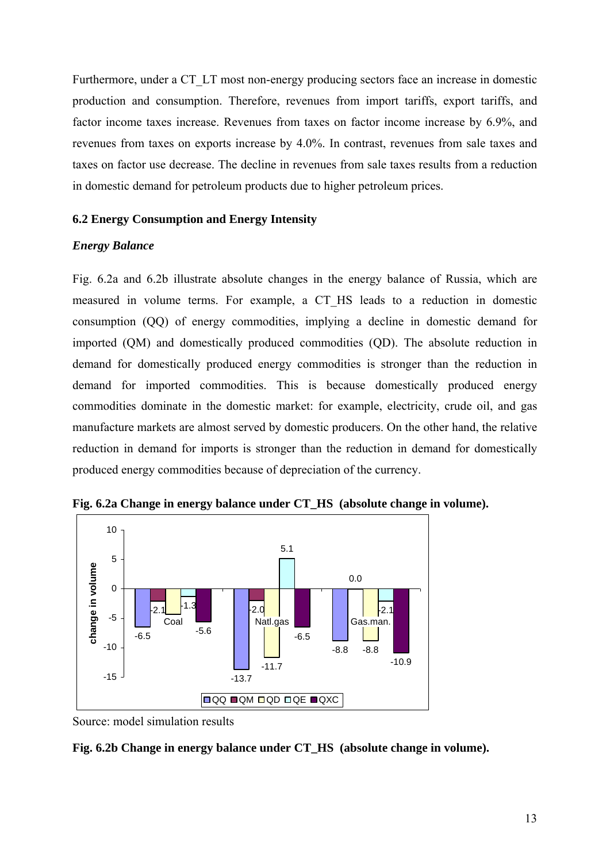Furthermore, under a CT\_LT most non-energy producing sectors face an increase in domestic production and consumption. Therefore, revenues from import tariffs, export tariffs, and factor income taxes increase. Revenues from taxes on factor income increase by 6.9%, and revenues from taxes on exports increase by 4.0%. In contrast, revenues from sale taxes and taxes on factor use decrease. The decline in revenues from sale taxes results from a reduction in domestic demand for petroleum products due to higher petroleum prices.

## <span id="page-12-0"></span>**6.2 Energy Consumption and Energy Intensity**

## *Energy Balance*

Fig. 6.2a and 6.2b illustrate absolute changes in the energy balance of Russia, which are measured in volume terms. For example, a CT\_HS leads to a reduction in domestic consumption (QQ) of energy commodities, implying a decline in domestic demand for imported (QM) and domestically produced commodities (QD). The absolute reduction in demand for domestically produced energy commodities is stronger than the reduction in demand for imported commodities. This is because domestically produced energy commodities dominate in the domestic market: for example, electricity, crude oil, and gas manufacture markets are almost served by domestic producers. On the other hand, the relative reduction in demand for imports is stronger than the reduction in demand for domestically produced energy commodities because of depreciation of the currency.



**Fig. 6.2a Change in energy balance under CT\_HS (absolute change in volume).** 

Source: model simulation results

## **Fig. 6.2b Change in energy balance under CT\_HS (absolute change in volume).**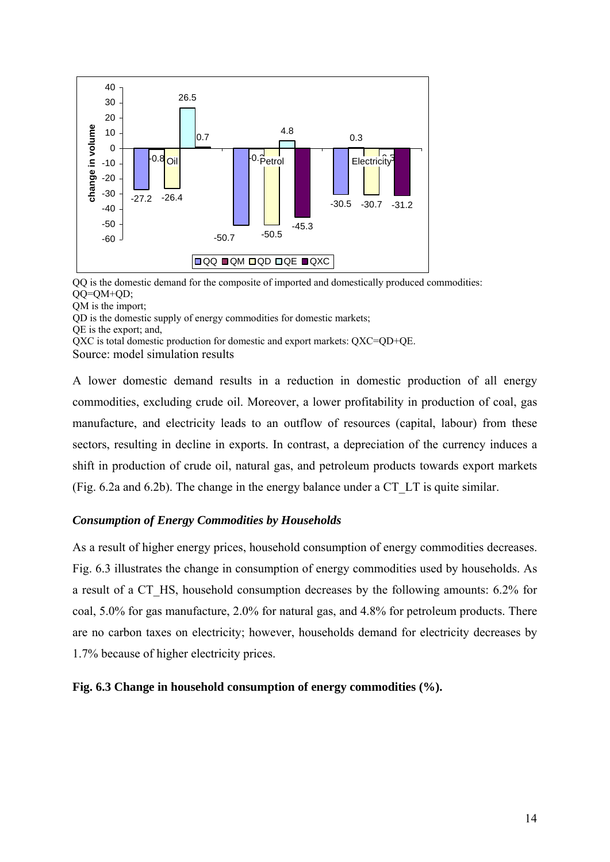

QQ is the domestic demand for the composite of imported and domestically produced commodities: QQ=QM+QD;

QM is the import;

QD is the domestic supply of energy commodities for domestic markets;

QE is the export; and,

QXC is total domestic production for domestic and export markets: QXC=QD+QE.

Source: model simulation results

A lower domestic demand results in a reduction in domestic production of all energy commodities, excluding crude oil. Moreover, a lower profitability in production of coal, gas manufacture, and electricity leads to an outflow of resources (capital, labour) from these sectors, resulting in decline in exports. In contrast, a depreciation of the currency induces a shift in production of crude oil, natural gas, and petroleum products towards export markets (Fig. 6.2a and 6.2b). The change in the energy balance under a CT\_LT is quite similar.

## *Consumption of Energy Commodities by Households*

As a result of higher energy prices, household consumption of energy commodities decreases. Fig. 6.3 illustrates the change in consumption of energy commodities used by households. As a result of a CT\_HS, household consumption decreases by the following amounts: 6.2% for coal, 5.0% for gas manufacture, 2.0% for natural gas, and 4.8% for petroleum products. There are no carbon taxes on electricity; however, households demand for electricity decreases by 1.7% because of higher electricity prices.

**Fig. 6.3 Change in household consumption of energy commodities (%).**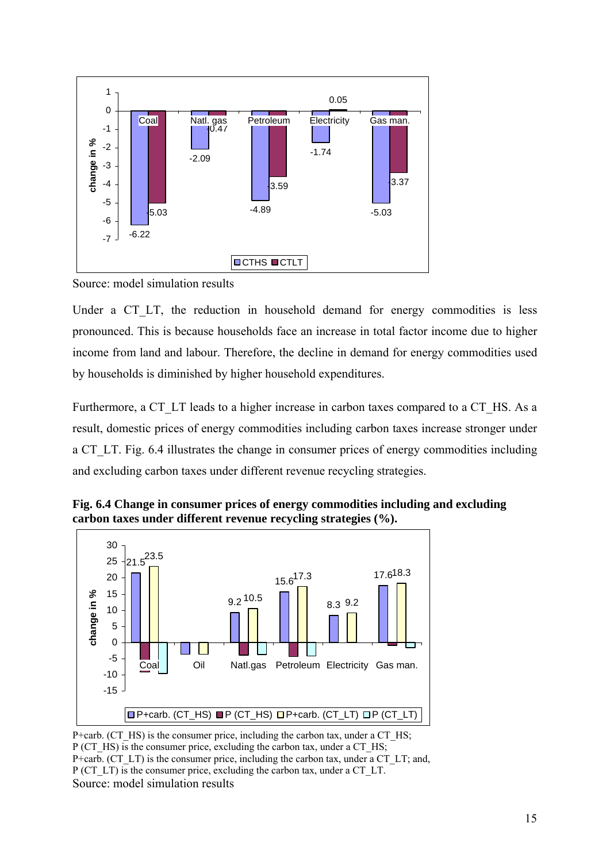

Source: model simulation results

Under a CT\_LT, the reduction in household demand for energy commodities is less pronounced. This is because households face an increase in total factor income due to higher income from land and labour. Therefore, the decline in demand for energy commodities used by households is diminished by higher household expenditures.

Furthermore, a CT\_LT leads to a higher increase in carbon taxes compared to a CT\_HS. As a result, domestic prices of energy commodities including carbon taxes increase stronger under a CT\_LT. Fig. 6.4 illustrates the change in consumer prices of energy commodities including and excluding carbon taxes under different revenue recycling strategies.



**Fig. 6.4 Change in consumer prices of energy commodities including and excluding carbon taxes under different revenue recycling strategies (%).**

P+carb. (CT\_HS) is the consumer price, including the carbon tax, under a CT\_HS; P (CT\_HS) is the consumer price, excluding the carbon tax, under a CT\_HS; P+carb. (CT\_LT) is the consumer price, including the carbon tax, under a CT\_LT; and, P (CT\_LT) is the consumer price, excluding the carbon tax, under a CT\_LT. Source: model simulation results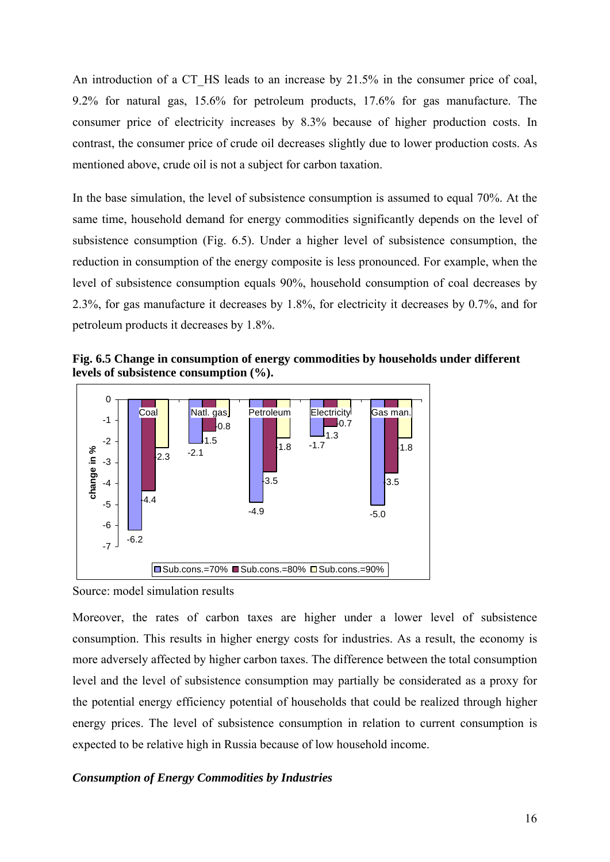An introduction of a CT HS leads to an increase by 21.5% in the consumer price of coal, 9.2% for natural gas, 15.6% for petroleum products, 17.6% for gas manufacture. The consumer price of electricity increases by 8.3% because of higher production costs. In contrast, the consumer price of crude oil decreases slightly due to lower production costs. As mentioned above, crude oil is not a subject for carbon taxation.

In the base simulation, the level of subsistence consumption is assumed to equal 70%. At the same time, household demand for energy commodities significantly depends on the level of subsistence consumption (Fig. 6.5). Under a higher level of subsistence consumption, the reduction in consumption of the energy composite is less pronounced. For example, when the level of subsistence consumption equals 90%, household consumption of coal decreases by 2.3%, for gas manufacture it decreases by 1.8%, for electricity it decreases by 0.7%, and for petroleum products it decreases by 1.8%.

**Fig. 6.5 Change in consumption of energy commodities by households under different levels of subsistence consumption (%).**



Source: model simulation results

Moreover, the rates of carbon taxes are higher under a lower level of subsistence consumption. This results in higher energy costs for industries. As a result, the economy is more adversely affected by higher carbon taxes. The difference between the total consumption level and the level of subsistence consumption may partially be considerated as a proxy for the potential energy efficiency potential of households that could be realized through higher energy prices. The level of subsistence consumption in relation to current consumption is expected to be relative high in Russia because of low household income.

### *Consumption of Energy Commodities by Industries*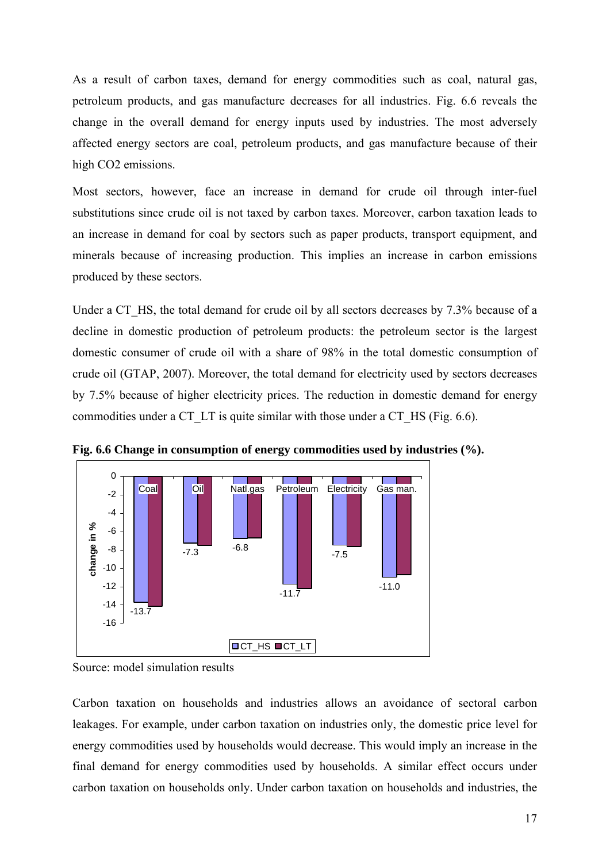As a result of carbon taxes, demand for energy commodities such as coal, natural gas, petroleum products, and gas manufacture decreases for all industries. Fig. 6.6 reveals the change in the overall demand for energy inputs used by industries. The most adversely affected energy sectors are coal, petroleum products, and gas manufacture because of their high CO2 emissions.

Most sectors, however, face an increase in demand for crude oil through inter-fuel substitutions since crude oil is not taxed by carbon taxes. Moreover, carbon taxation leads to an increase in demand for coal by sectors such as paper products, transport equipment, and minerals because of increasing production. This implies an increase in carbon emissions produced by these sectors.

Under a CT HS, the total demand for crude oil by all sectors decreases by 7.3% because of a decline in domestic production of petroleum products: the petroleum sector is the largest domestic consumer of crude oil with a share of 98% in the total domestic consumption of crude oil (GTAP, 2007). Moreover, the total demand for electricity used by sectors decreases by 7.5% because of higher electricity prices. The reduction in domestic demand for energy commodities under a CT\_LT is quite similar with those under a CT\_HS (Fig. 6.6).



**Fig. 6.6 Change in consumption of energy commodities used by industries (%).** 

Carbon taxation on households and industries allows an avoidance of sectoral carbon leakages. For example, under carbon taxation on industries only, the domestic price level for energy commodities used by households would decrease. This would imply an increase in the final demand for energy commodities used by households. A similar effect occurs under carbon taxation on households only. Under carbon taxation on households and industries, the

Source: model simulation results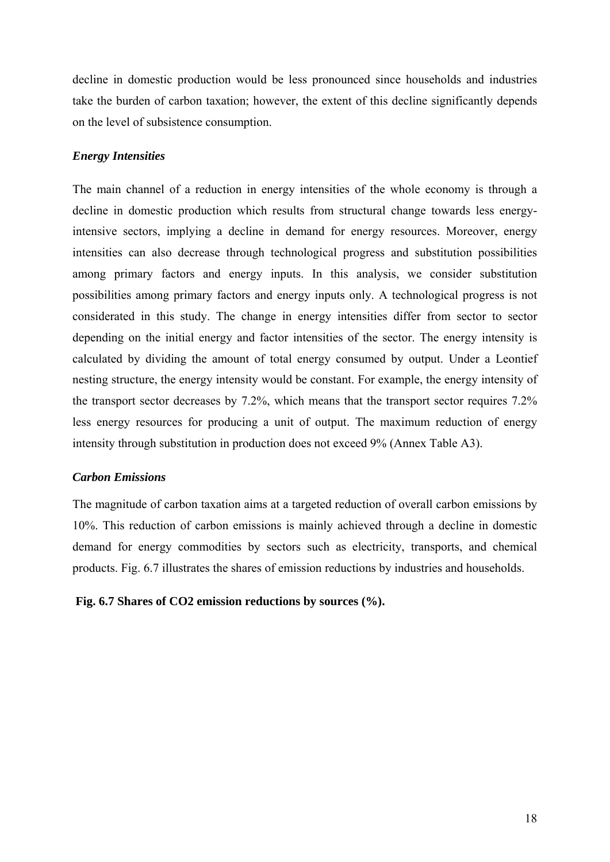decline in domestic production would be less pronounced since households and industries take the burden of carbon taxation; however, the extent of this decline significantly depends on the level of subsistence consumption.

#### *Energy Intensities*

The main channel of a reduction in energy intensities of the whole economy is through a decline in domestic production which results from structural change towards less energyintensive sectors, implying a decline in demand for energy resources. Moreover, energy intensities can also decrease through technological progress and substitution possibilities among primary factors and energy inputs. In this analysis, we consider substitution possibilities among primary factors and energy inputs only. A technological progress is not considerated in this study. The change in energy intensities differ from sector to sector depending on the initial energy and factor intensities of the sector. The energy intensity is calculated by dividing the amount of total energy consumed by output. Under a Leontief nesting structure, the energy intensity would be constant. For example, the energy intensity of the transport sector decreases by 7.2%, which means that the transport sector requires 7.2% less energy resources for producing a unit of output. The maximum reduction of energy intensity through substitution in production does not exceed 9% (Annex Table A3).

## *Carbon Emissions*

The magnitude of carbon taxation aims at a targeted reduction of overall carbon emissions by 10%. This reduction of carbon emissions is mainly achieved through a decline in domestic demand for energy commodities by sectors such as electricity, transports, and chemical products. Fig. 6.7 illustrates the shares of emission reductions by industries and households.

## **Fig. 6.7 Shares of CO2 emission reductions by sources (%).**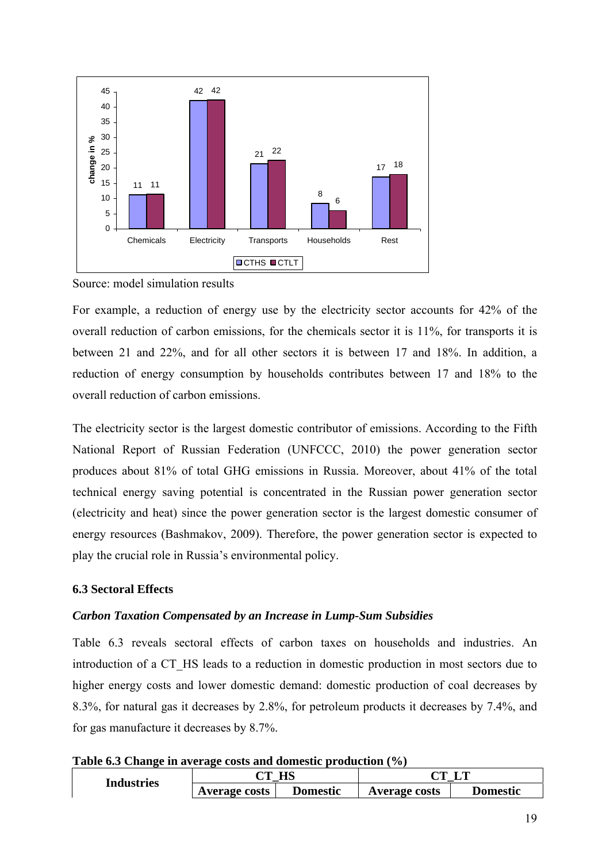

Source: model simulation results

For example, a reduction of energy use by the electricity sector accounts for 42% of the overall reduction of carbon emissions, for the chemicals sector it is 11%, for transports it is between 21 and 22%, and for all other sectors it is between 17 and 18%. In addition, a reduction of energy consumption by households contributes between 17 and 18% to the overall reduction of carbon emissions.

The electricity sector is the largest domestic contributor of emissions. According to the Fifth National Report of Russian Federation (UNFCCC, 2010) the power generation sector produces about 81% of total GHG emissions in Russia. Moreover, about 41% of the total technical energy saving potential is concentrated in the Russian power generation sector (electricity and heat) since the power generation sector is the largest domestic consumer of energy resources (Bashmakov, 2009). Therefore, the power generation sector is expected to play the crucial role in Russia's environmental policy.

## <span id="page-18-0"></span>**6.3 Sectoral Effects**

## *Carbon Taxation Compensated by an Increase in Lump-Sum Subsidies*

Table 6.3 reveals sectoral effects of carbon taxes on households and industries. An introduction of a CT\_HS leads to a reduction in domestic production in most sectors due to higher energy costs and lower domestic demand: domestic production of coal decreases by 8.3%, for natural gas it decreases by 2.8%, for petroleum products it decreases by 7.4%, and for gas manufacture it decreases by 8.7%.

| Table 6.3 Change in average costs and domestic production (%) |  |  |
|---------------------------------------------------------------|--|--|
|                                                               |  |  |

| <b>Industries</b> | HS<br>$\gamma$ m     |                 | NП                   |          |
|-------------------|----------------------|-----------------|----------------------|----------|
|                   | <b>Average costs</b> | <b>Domestic</b> | <b>Average costs</b> | Domestic |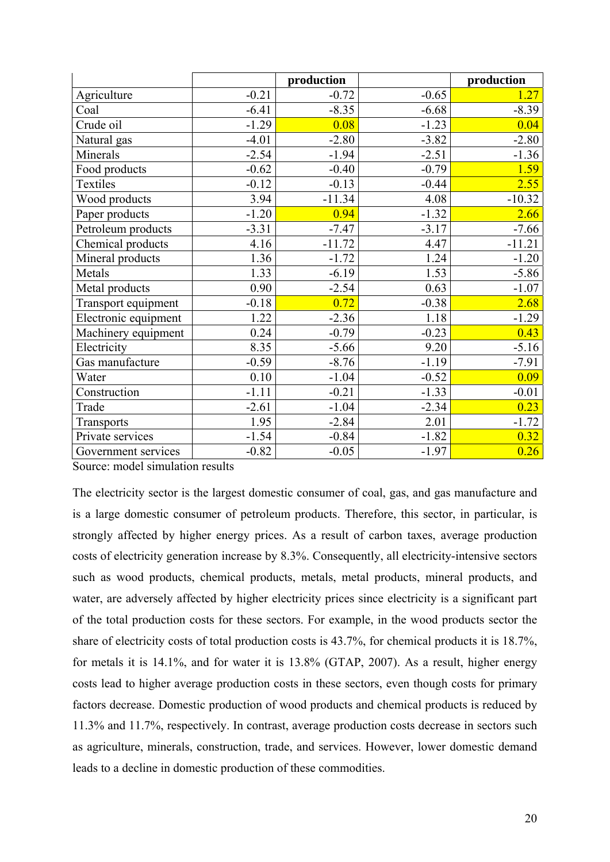|                      |         | production |         | production |
|----------------------|---------|------------|---------|------------|
| Agriculture          | $-0.21$ | $-0.72$    | $-0.65$ | 1.27       |
| Coal                 | $-6.41$ | $-8.35$    | $-6.68$ | $-8.39$    |
| Crude oil            | $-1.29$ | 0.08       | $-1.23$ | 0.04       |
| Natural gas          | $-4.01$ | $-2.80$    | $-3.82$ | $-2.80$    |
| Minerals             | $-2.54$ | $-1.94$    | $-2.51$ | $-1.36$    |
| Food products        | $-0.62$ | $-0.40$    | $-0.79$ | 1.59       |
| Textiles             | $-0.12$ | $-0.13$    | $-0.44$ | 2.55       |
| Wood products        | 3.94    | $-11.34$   | 4.08    | $-10.32$   |
| Paper products       | $-1.20$ | 0.94       | $-1.32$ | 2.66       |
| Petroleum products   | $-3.31$ | $-7.47$    | $-3.17$ | $-7.66$    |
| Chemical products    | 4.16    | $-11.72$   | 4.47    | $-11.21$   |
| Mineral products     | 1.36    | $-1.72$    | 1.24    | $-1.20$    |
| Metals               | 1.33    | $-6.19$    | 1.53    | $-5.86$    |
| Metal products       | 0.90    | $-2.54$    | 0.63    | $-1.07$    |
| Transport equipment  | $-0.18$ | 0.72       | $-0.38$ | 2.68       |
| Electronic equipment | 1.22    | $-2.36$    | 1.18    | $-1.29$    |
| Machinery equipment  | 0.24    | $-0.79$    | $-0.23$ | 0.43       |
| Electricity          | 8.35    | $-5.66$    | 9.20    | $-5.16$    |
| Gas manufacture      | $-0.59$ | $-8.76$    | $-1.19$ | $-7.91$    |
| Water                | 0.10    | $-1.04$    | $-0.52$ | 0.09       |
| Construction         | $-1.11$ | $-0.21$    | $-1.33$ | $-0.01$    |
| Trade                | $-2.61$ | $-1.04$    | $-2.34$ | 0.23       |
| Transports           | 1.95    | $-2.84$    | 2.01    | $-1.72$    |
| Private services     | $-1.54$ | $-0.84$    | $-1.82$ | 0.32       |
| Government services  | $-0.82$ | $-0.05$    | $-1.97$ | 0.26       |

Source: model simulation results

The electricity sector is the largest domestic consumer of coal, gas, and gas manufacture and is a large domestic consumer of petroleum products. Therefore, this sector, in particular, is strongly affected by higher energy prices. As a result of carbon taxes, average production costs of electricity generation increase by 8.3%. Consequently, all electricity-intensive sectors such as wood products, chemical products, metals, metal products, mineral products, and water, are adversely affected by higher electricity prices since electricity is a significant part of the total production costs for these sectors. For example, in the wood products sector the share of electricity costs of total production costs is 43.7%, for chemical products it is 18.7%, for metals it is 14.1%, and for water it is 13.8% (GTAP, 2007). As a result, higher energy costs lead to higher average production costs in these sectors, even though costs for primary factors decrease. Domestic production of wood products and chemical products is reduced by 11.3% and 11.7%, respectively. In contrast, average production costs decrease in sectors such as agriculture, minerals, construction, trade, and services. However, lower domestic demand leads to a decline in domestic production of these commodities.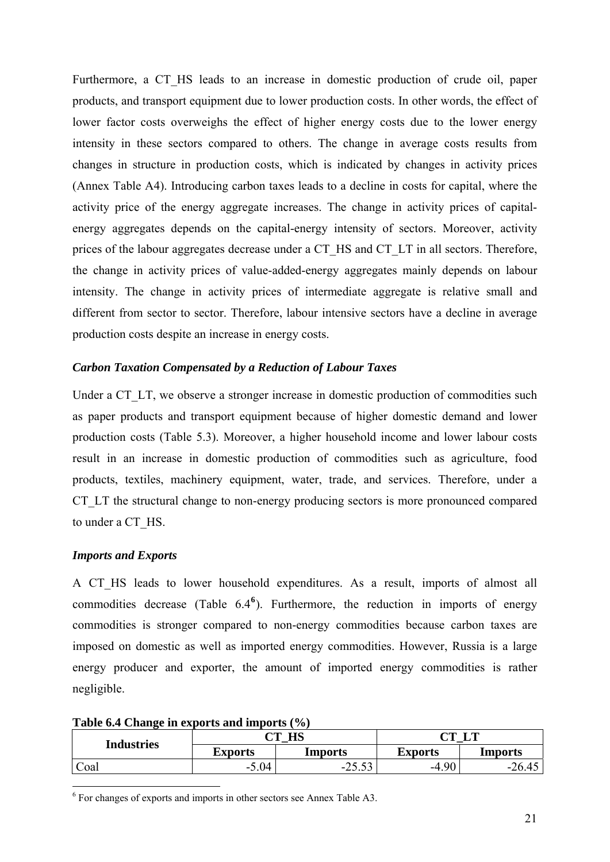Furthermore, a CT HS leads to an increase in domestic production of crude oil, paper products, and transport equipment due to lower production costs. In other words, the effect of lower factor costs overweighs the effect of higher energy costs due to the lower energy intensity in these sectors compared to others. The change in average costs results from changes in structure in production costs, which is indicated by changes in activity prices (Annex Table A4). Introducing carbon taxes leads to a decline in costs for capital, where the activity price of the energy aggregate increases. The change in activity prices of capitalenergy aggregates depends on the capital-energy intensity of sectors. Moreover, activity prices of the labour aggregates decrease under a CT\_HS and CT\_LT in all sectors. Therefore, the change in activity prices of value-added-energy aggregates mainly depends on labour intensity. The change in activity prices of intermediate aggregate is relative small and different from sector to sector. Therefore, labour intensive sectors have a decline in average production costs despite an increase in energy costs.

## *Carbon Taxation Compensated by a Reduction of Labour Taxes*

Under a CT\_LT, we observe a stronger increase in domestic production of commodities such as paper products and transport equipment because of higher domestic demand and lower production costs (Table 5.3). Moreover, a higher household income and lower labour costs result in an increase in domestic production of commodities such as agriculture, food products, textiles, machinery equipment, water, trade, and services. Therefore, under a CT LT the structural change to non-energy producing sectors is more pronounced compared to under a CT\_HS.

## *Imports and Exports*

1

A CT\_HS leads to lower household expenditures. As a result, imports of almost all commodities decrease (Table 6.4**[6](#page-20-0)** ). Furthermore, the reduction in imports of energy commodities is stronger compared to non-energy commodities because carbon taxes are imposed on domestic as well as imported energy commodities. However, Russia is a large energy producer and exporter, the amount of imported energy commodities is rather negligible.

| <b>Industries</b> | НС<br>$\sim$ m $\sim$ |                                 | $\sim$ m $\sim$ | T AR    |
|-------------------|-----------------------|---------------------------------|-----------------|---------|
|                   | <b>Exports</b>        | Imports                         | <b>Exports</b>  | Imports |
| Coal              | .04<br>$\mathcal{L}$  | $\sim$<br>n E<br>. .<br>ر ر.ر ب | 90<br>-4        | $-26$   |

**Table 6.4 Change in exports and imports (%)** 

<span id="page-20-0"></span><sup>6</sup> For changes of exports and imports in other sectors see Annex Table A3.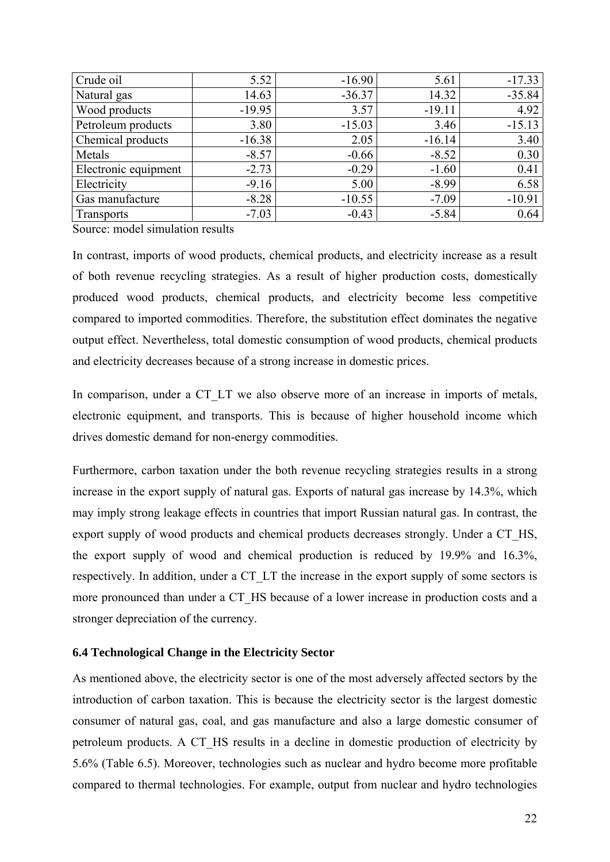| Crude oil            | 5.52     | $-16.90$ | 5.61     | $-17.33$ |
|----------------------|----------|----------|----------|----------|
| Natural gas          | 14.63    | $-36.37$ | 14.32    | $-35.84$ |
| Wood products        | $-19.95$ | 3.57     | $-19.11$ | 4.92     |
| Petroleum products   | 3.80     | $-15.03$ | 3.46     | $-15.13$ |
| Chemical products    | $-16.38$ | 2.05     | $-16.14$ | 3.40     |
| Metals               | $-8.57$  | $-0.66$  | $-8.52$  | 0.30     |
| Electronic equipment | $-2.73$  | $-0.29$  | $-1.60$  | 0.41     |
| Electricity          | $-9.16$  | 5.00     | $-8.99$  | 6.58     |
| Gas manufacture      | $-8.28$  | $-10.55$ | $-7.09$  | $-10.91$ |
| <b>Transports</b>    | $-7.03$  | $-0.43$  | $-5.84$  | 0.64     |

Source: model simulation results

In contrast, imports of wood products, chemical products, and electricity increase as a result of both revenue recycling strategies. As a result of higher production costs, domestically produced wood products, chemical products, and electricity become less competitive compared to imported commodities. Therefore, the substitution effect dominates the negative output effect. Nevertheless, total domestic consumption of wood products, chemical products and electricity decreases because of a strong increase in domestic prices.

In comparison, under a CT\_LT we also observe more of an increase in imports of metals, electronic equipment, and transports. This is because of higher household income which drives domestic demand for non-energy commodities.

Furthermore, carbon taxation under the both revenue recycling strategies results in a strong increase in the export supply of natural gas. Exports of natural gas increase by 14.3%, which may imply strong leakage effects in countries that import Russian natural gas. In contrast, the export supply of wood products and chemical products decreases strongly. Under a CT\_HS, the export supply of wood and chemical production is reduced by 19.9% and 16.3%, respectively. In addition, under a CT\_LT the increase in the export supply of some sectors is more pronounced than under a CT\_HS because of a lower increase in production costs and a stronger depreciation of the currency.

## <span id="page-21-0"></span>**6.4 Technological Change in the Electricity Sector**

As mentioned above, the electricity sector is one of the most adversely affected sectors by the introduction of carbon taxation. This is because the electricity sector is the largest domestic consumer of natural gas, coal, and gas manufacture and also a large domestic consumer of petroleum products. A CT\_HS results in a decline in domestic production of electricity by 5.6% (Table 6.5). Moreover, technologies such as nuclear and hydro become more profitable compared to thermal technologies. For example, output from nuclear and hydro technologies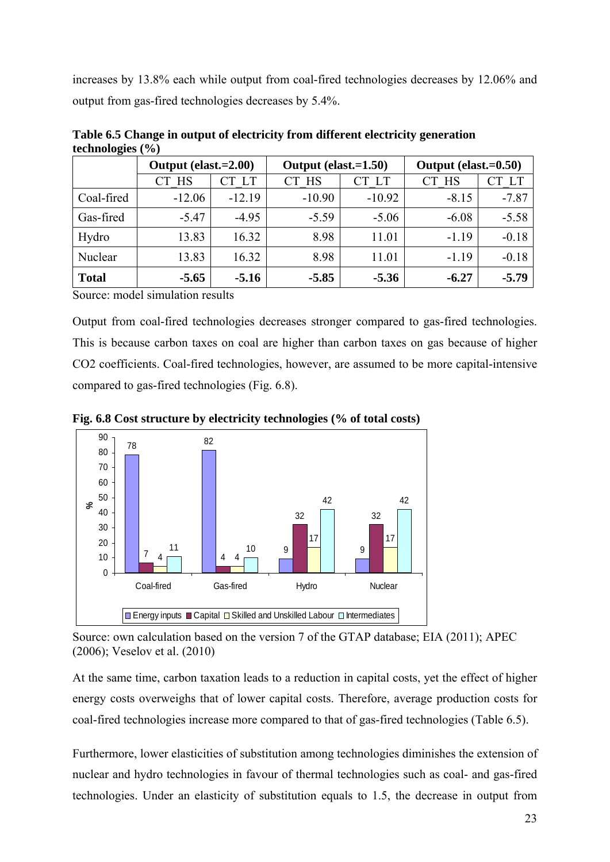increases by 13.8% each while output from coal-fired technologies decreases by 12.06% and output from gas-fired technologies decreases by 5.4%.

|              | Output (elast.=2.00) |             | Output (elast.=1.50) |          | Output (elast.=0.50) |           |
|--------------|----------------------|-------------|----------------------|----------|----------------------|-----------|
|              | CT HS                | $\lceil$ LT | CT HS                | CT LT    | <b>HS</b>            | <b>LT</b> |
| Coal-fired   | $-12.06$             | $-12.19$    | $-10.90$             | $-10.92$ | $-8.15$              | $-7.87$   |
| Gas-fired    | $-5.47$              | $-4.95$     | $-5.59$              | $-5.06$  | $-6.08$              | $-5.58$   |
| Hydro        | 13.83                | 16.32       | 8.98                 | 11.01    | $-1.19$              | $-0.18$   |
| Nuclear      | 13.83                | 16.32       | 8.98                 | 11.01    | $-1.19$              | $-0.18$   |
| <b>Total</b> | $-5.65$              | $-5.16$     | $-5.85$              | $-5.36$  | $-6.27$              | $-5.79$   |

**Table 6.5 Change in output of electricity from different electricity generation technologies (%)** 

Source: model simulation results

Output from coal-fired technologies decreases stronger compared to gas-fired technologies. This is because carbon taxes on coal are higher than carbon taxes on gas because of higher CO2 coefficients. Coal-fired technologies, however, are assumed to be more capital-intensive compared to gas-fired technologies (Fig. 6.8).



**Fig. 6.8 Cost structure by electricity technologies (% of total costs)** 

Source: own calculation based on the version 7 of the GTAP database; EIA (2011); APEC (2006); Veselov et al. (2010)

At the same time, carbon taxation leads to a reduction in capital costs, yet the effect of higher energy costs overweighs that of lower capital costs. Therefore, average production costs for coal-fired technologies increase more compared to that of gas-fired technologies (Table 6.5).

Furthermore, lower elasticities of substitution among technologies diminishes the extension of nuclear and hydro technologies in favour of thermal technologies such as coal- and gas-fired technologies. Under an elasticity of substitution equals to 1.5, the decrease in output from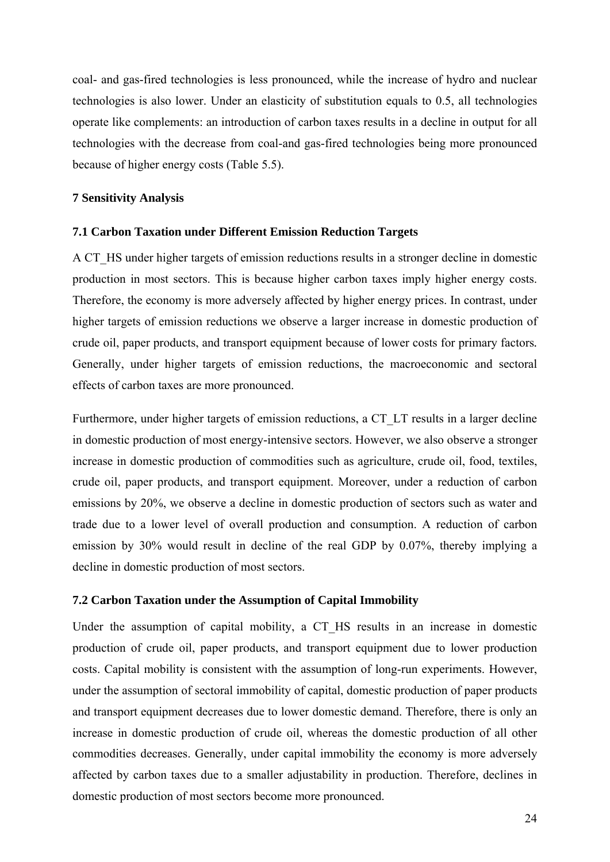coal- and gas-fired technologies is less pronounced, while the increase of hydro and nuclear technologies is also lower. Under an elasticity of substitution equals to 0.5, all technologies operate like complements: an introduction of carbon taxes results in a decline in output for all technologies with the decrease from coal-and gas-fired technologies being more pronounced because of higher energy costs (Table 5.5).

## <span id="page-23-0"></span>**7 Sensitivity Analysis**

## <span id="page-23-1"></span>**7.1 Carbon Taxation under Different Emission Reduction Targets**

A CT\_HS under higher targets of emission reductions results in a stronger decline in domestic production in most sectors. This is because higher carbon taxes imply higher energy costs. Therefore, the economy is more adversely affected by higher energy prices. In contrast, under higher targets of emission reductions we observe a larger increase in domestic production of crude oil, paper products, and transport equipment because of lower costs for primary factors*.* Generally, under higher targets of emission reductions, the macroeconomic and sectoral effects of carbon taxes are more pronounced.

Furthermore, under higher targets of emission reductions, a CT\_LT results in a larger decline in domestic production of most energy-intensive sectors. However, we also observe a stronger increase in domestic production of commodities such as agriculture, crude oil, food, textiles, crude oil, paper products, and transport equipment. Moreover, under a reduction of carbon emissions by 20%, we observe a decline in domestic production of sectors such as water and trade due to a lower level of overall production and consumption. A reduction of carbon emission by 30% would result in decline of the real GDP by 0.07%, thereby implying a decline in domestic production of most sectors.

## <span id="page-23-2"></span>**7.2 Carbon Taxation under the Assumption of Capital Immobility**

Under the assumption of capital mobility, a CT HS results in an increase in domestic production of crude oil, paper products, and transport equipment due to lower production costs. Capital mobility is consistent with the assumption of long-run experiments. However, under the assumption of sectoral immobility of capital, domestic production of paper products and transport equipment decreases due to lower domestic demand. Therefore, there is only an increase in domestic production of crude oil, whereas the domestic production of all other commodities decreases. Generally, under capital immobility the economy is more adversely affected by carbon taxes due to a smaller adjustability in production. Therefore, declines in domestic production of most sectors become more pronounced.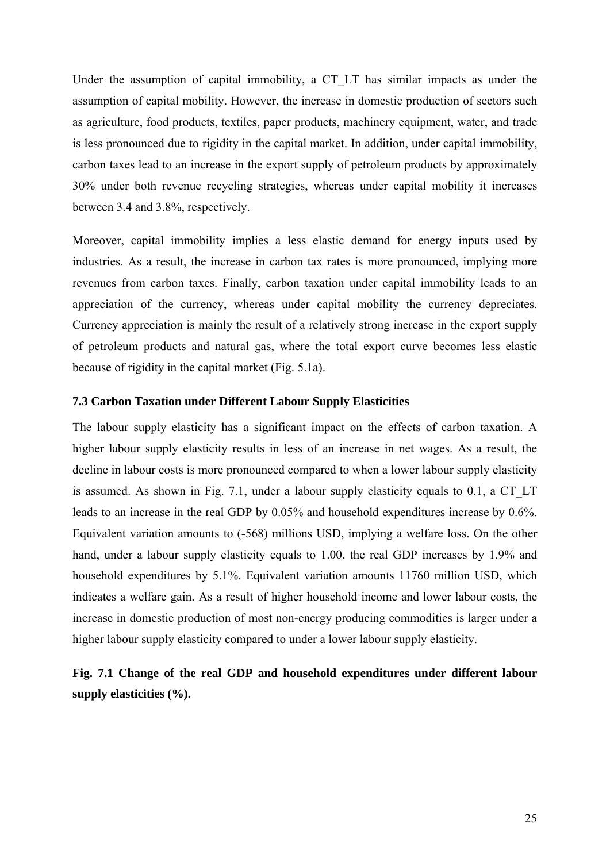Under the assumption of capital immobility, a CT\_LT has similar impacts as under the assumption of capital mobility. However, the increase in domestic production of sectors such as agriculture, food products, textiles, paper products, machinery equipment, water, and trade is less pronounced due to rigidity in the capital market. In addition, under capital immobility, carbon taxes lead to an increase in the export supply of petroleum products by approximately 30% under both revenue recycling strategies, whereas under capital mobility it increases between 3.4 and 3.8%, respectively.

Moreover, capital immobility implies a less elastic demand for energy inputs used by industries. As a result, the increase in carbon tax rates is more pronounced, implying more revenues from carbon taxes. Finally, carbon taxation under capital immobility leads to an appreciation of the currency, whereas under capital mobility the currency depreciates. Currency appreciation is mainly the result of a relatively strong increase in the export supply of petroleum products and natural gas, where the total export curve becomes less elastic because of rigidity in the capital market (Fig. 5.1a).

## <span id="page-24-0"></span>**7.3 Carbon Taxation under Different Labour Supply Elasticities**

The labour supply elasticity has a significant impact on the effects of carbon taxation. A higher labour supply elasticity results in less of an increase in net wages. As a result, the decline in labour costs is more pronounced compared to when a lower labour supply elasticity is assumed. As shown in Fig. 7.1, under a labour supply elasticity equals to 0.1, a CT\_LT leads to an increase in the real GDP by 0.05% and household expenditures increase by 0.6%. Equivalent variation amounts to (-568) millions USD, implying a welfare loss. On the other hand, under a labour supply elasticity equals to 1.00, the real GDP increases by 1.9% and household expenditures by 5.1%. Equivalent variation amounts 11760 million USD, which indicates a welfare gain. As a result of higher household income and lower labour costs, the increase in domestic production of most non-energy producing commodities is larger under a higher labour supply elasticity compared to under a lower labour supply elasticity.

## **Fig. 7.1 Change of the real GDP and household expenditures under different labour supply elasticities (%).**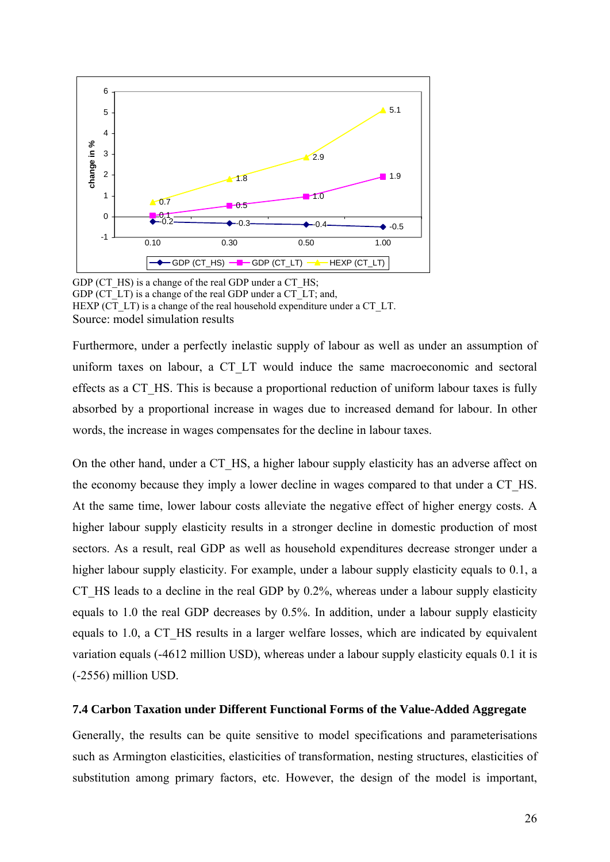

GDP (CT\_HS) is a change of the real GDP under a CT\_HS; GDP (CT\_LT) is a change of the real GDP under a CT\_LT; and, HEXP (CT\_LT) is a change of the real household expenditure under a CT\_LT. Source: model simulation results

Furthermore, under a perfectly inelastic supply of labour as well as under an assumption of uniform taxes on labour, a CT\_LT would induce the same macroeconomic and sectoral effects as a CT\_HS. This is because a proportional reduction of uniform labour taxes is fully absorbed by a proportional increase in wages due to increased demand for labour. In other words, the increase in wages compensates for the decline in labour taxes.

On the other hand, under a CT\_HS, a higher labour supply elasticity has an adverse affect on the economy because they imply a lower decline in wages compared to that under a CT\_HS. At the same time, lower labour costs alleviate the negative effect of higher energy costs. A higher labour supply elasticity results in a stronger decline in domestic production of most sectors. As a result, real GDP as well as household expenditures decrease stronger under a higher labour supply elasticity. For example, under a labour supply elasticity equals to 0.1, a CT HS leads to a decline in the real GDP by 0.2%, whereas under a labour supply elasticity equals to 1.0 the real GDP decreases by 0.5%. In addition, under a labour supply elasticity equals to 1.0, a CT\_HS results in a larger welfare losses, which are indicated by equivalent variation equals (-4612 million USD), whereas under a labour supply elasticity equals 0.1 it is (-2556) million USD.

#### <span id="page-25-0"></span>**7.4 Carbon Taxation under Different Functional Forms of the Value-Added Aggregate**

Generally, the results can be quite sensitive to model specifications and parameterisations such as Armington elasticities, elasticities of transformation, nesting structures, elasticities of substitution among primary factors, etc. However, the design of the model is important,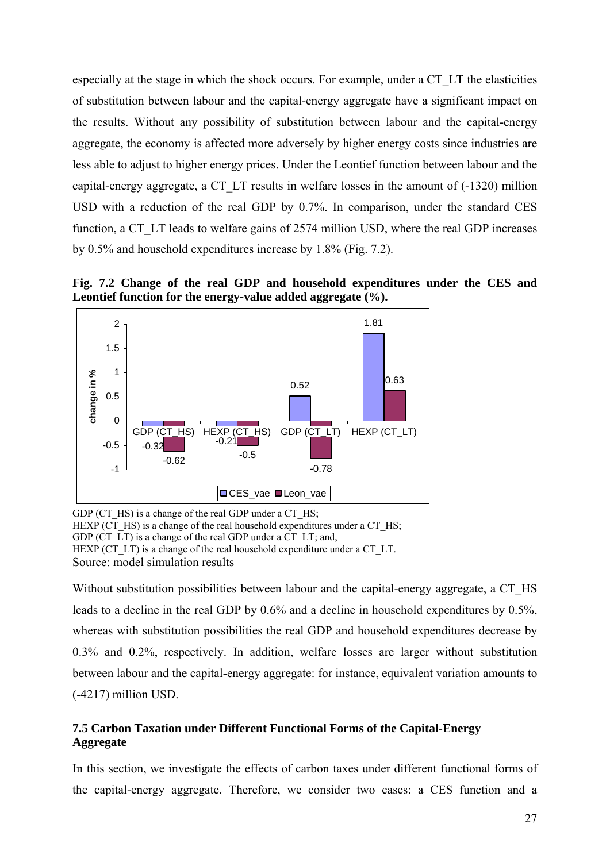especially at the stage in which the shock occurs. For example, under a CT\_LT the elasticities of substitution between labour and the capital-energy aggregate have a significant impact on the results. Without any possibility of substitution between labour and the capital-energy aggregate, the economy is affected more adversely by higher energy costs since industries are less able to adjust to higher energy prices. Under the Leontief function between labour and the capital-energy aggregate, a CT\_LT results in welfare losses in the amount of (-1320) million USD with a reduction of the real GDP by 0.7%. In comparison, under the standard CES function, a CT\_LT leads to welfare gains of 2574 million USD, where the real GDP increases by 0.5% and household expenditures increase by 1.8% (Fig. 7.2).

**Fig. 7.2 Change of the real GDP and household expenditures under the CES and Leontief function for the energy-value added aggregate (%).**



GDP (CT\_HS) is a change of the real GDP under a CT\_HS; HEXP (CT\_HS) is a change of the real household expenditures under a CT\_HS; GDP (CT\_LT) is a change of the real GDP under a CT\_LT; and, HEXP (CT\_LT) is a change of the real household expenditure under a CT\_LT. Source: model simulation results

Without substitution possibilities between labour and the capital-energy aggregate, a CT\_HS leads to a decline in the real GDP by 0.6% and a decline in household expenditures by 0.5%, whereas with substitution possibilities the real GDP and household expenditures decrease by 0.3% and 0.2%, respectively. In addition, welfare losses are larger without substitution between labour and the capital-energy aggregate: for instance, equivalent variation amounts to (-4217) million USD.

## <span id="page-26-0"></span>**7.5 Carbon Taxation under Different Functional Forms of the Capital-Energy Aggregate**

In this section, we investigate the effects of carbon taxes under different functional forms of the capital-energy aggregate. Therefore, we consider two cases: a CES function and a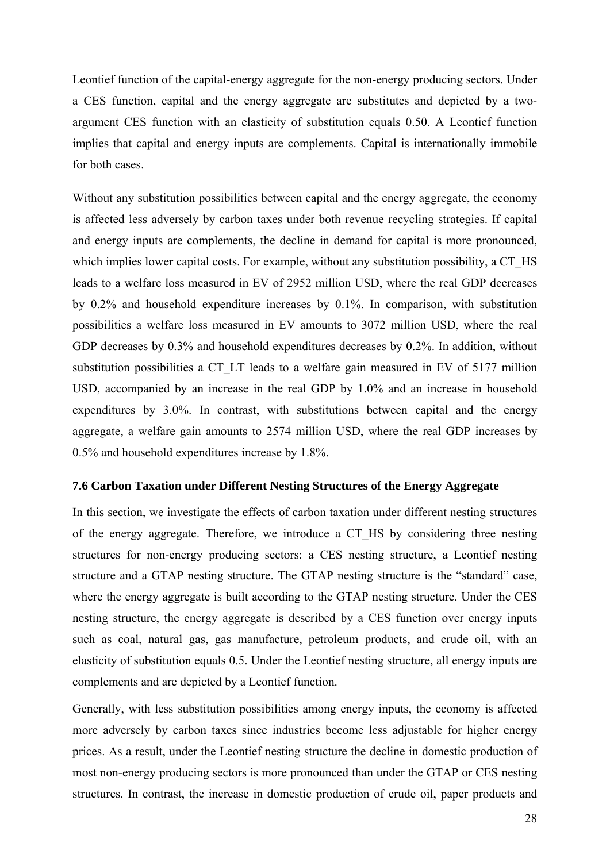Leontief function of the capital-energy aggregate for the non-energy producing sectors. Under a CES function, capital and the energy aggregate are substitutes and depicted by a twoargument CES function with an elasticity of substitution equals 0.50. A Leontief function implies that capital and energy inputs are complements. Capital is internationally immobile for both cases.

Without any substitution possibilities between capital and the energy aggregate, the economy is affected less adversely by carbon taxes under both revenue recycling strategies. If capital and energy inputs are complements, the decline in demand for capital is more pronounced, which implies lower capital costs. For example, without any substitution possibility, a CT\_HS leads to a welfare loss measured in EV of 2952 million USD, where the real GDP decreases by 0.2% and household expenditure increases by 0.1%. In comparison, with substitution possibilities a welfare loss measured in EV amounts to 3072 million USD, where the real GDP decreases by 0.3% and household expenditures decreases by 0.2%. In addition, without substitution possibilities a CT\_LT leads to a welfare gain measured in EV of 5177 million USD, accompanied by an increase in the real GDP by 1.0% and an increase in household expenditures by 3.0%. In contrast, with substitutions between capital and the energy aggregate, a welfare gain amounts to 2574 million USD, where the real GDP increases by 0.5% and household expenditures increase by 1.8%.

#### <span id="page-27-0"></span>**7.6 Carbon Taxation under Different Nesting Structures of the Energy Aggregate**

In this section, we investigate the effects of carbon taxation under different nesting structures of the energy aggregate. Therefore, we introduce a CT\_HS by considering three nesting structures for non-energy producing sectors: a CES nesting structure, a Leontief nesting structure and a GTAP nesting structure. The GTAP nesting structure is the "standard" case, where the energy aggregate is built according to the GTAP nesting structure. Under the CES nesting structure, the energy aggregate is described by a CES function over energy inputs such as coal, natural gas, gas manufacture, petroleum products, and crude oil, with an elasticity of substitution equals 0.5. Under the Leontief nesting structure, all energy inputs are complements and are depicted by a Leontief function.

Generally, with less substitution possibilities among energy inputs, the economy is affected more adversely by carbon taxes since industries become less adjustable for higher energy prices. As a result, under the Leontief nesting structure the decline in domestic production of most non-energy producing sectors is more pronounced than under the GTAP or CES nesting structures. In contrast, the increase in domestic production of crude oil, paper products and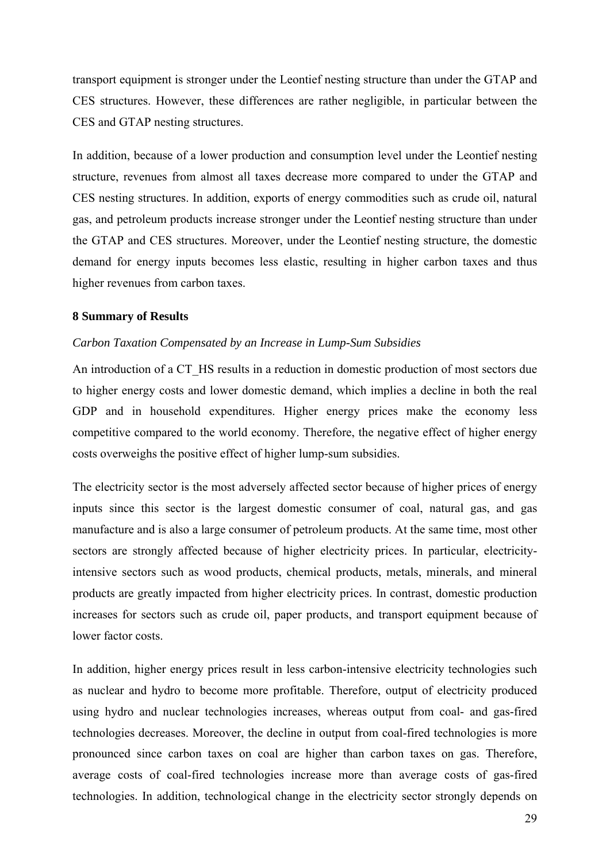transport equipment is stronger under the Leontief nesting structure than under the GTAP and CES structures. However, these differences are rather negligible, in particular between the CES and GTAP nesting structures.

In addition, because of a lower production and consumption level under the Leontief nesting structure, revenues from almost all taxes decrease more compared to under the GTAP and CES nesting structures. In addition, exports of energy commodities such as crude oil, natural gas, and petroleum products increase stronger under the Leontief nesting structure than under the GTAP and CES structures. Moreover, under the Leontief nesting structure, the domestic demand for energy inputs becomes less elastic, resulting in higher carbon taxes and thus higher revenues from carbon taxes.

### <span id="page-28-0"></span>**8 Summary of Results**

## *Carbon Taxation Compensated by an Increase in Lump-Sum Subsidies*

An introduction of a CT\_HS results in a reduction in domestic production of most sectors due to higher energy costs and lower domestic demand, which implies a decline in both the real GDP and in household expenditures. Higher energy prices make the economy less competitive compared to the world economy. Therefore, the negative effect of higher energy costs overweighs the positive effect of higher lump-sum subsidies.

The electricity sector is the most adversely affected sector because of higher prices of energy inputs since this sector is the largest domestic consumer of coal, natural gas, and gas manufacture and is also a large consumer of petroleum products. At the same time, most other sectors are strongly affected because of higher electricity prices. In particular, electricityintensive sectors such as wood products, chemical products, metals, minerals, and mineral products are greatly impacted from higher electricity prices. In contrast, domestic production increases for sectors such as crude oil, paper products, and transport equipment because of lower factor costs.

In addition, higher energy prices result in less carbon-intensive electricity technologies such as nuclear and hydro to become more profitable. Therefore, output of electricity produced using hydro and nuclear technologies increases, whereas output from coal- and gas-fired technologies decreases. Moreover, the decline in output from coal-fired technologies is more pronounced since carbon taxes on coal are higher than carbon taxes on gas. Therefore, average costs of coal-fired technologies increase more than average costs of gas-fired technologies. In addition, technological change in the electricity sector strongly depends on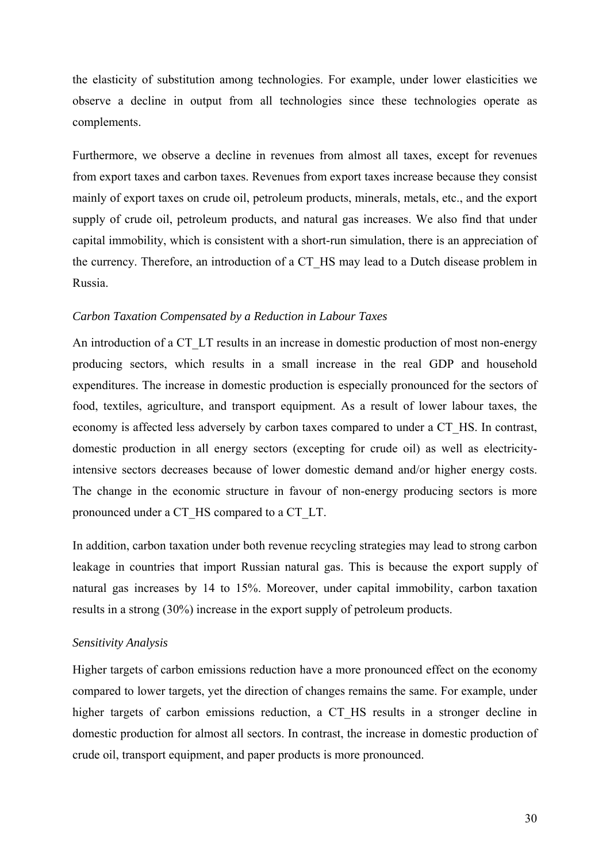the elasticity of substitution among technologies. For example, under lower elasticities we observe a decline in output from all technologies since these technologies operate as complements.

Furthermore, we observe a decline in revenues from almost all taxes, except for revenues from export taxes and carbon taxes. Revenues from export taxes increase because they consist mainly of export taxes on crude oil, petroleum products, minerals, metals, etc., and the export supply of crude oil, petroleum products, and natural gas increases. We also find that under capital immobility, which is consistent with a short-run simulation, there is an appreciation of the currency. Therefore, an introduction of a CT\_HS may lead to a Dutch disease problem in Russia.

#### *Carbon Taxation Compensated by a Reduction in Labour Taxes*

An introduction of a CT. LT results in an increase in domestic production of most non-energy producing sectors, which results in a small increase in the real GDP and household expenditures. The increase in domestic production is especially pronounced for the sectors of food, textiles, agriculture, and transport equipment. As a result of lower labour taxes, the economy is affected less adversely by carbon taxes compared to under a CT\_HS. In contrast, domestic production in all energy sectors (excepting for crude oil) as well as electricityintensive sectors decreases because of lower domestic demand and/or higher energy costs. The change in the economic structure in favour of non-energy producing sectors is more pronounced under a CT\_HS compared to a CT\_LT.

In addition, carbon taxation under both revenue recycling strategies may lead to strong carbon leakage in countries that import Russian natural gas. This is because the export supply of natural gas increases by 14 to 15%. Moreover, under capital immobility, carbon taxation results in a strong (30%) increase in the export supply of petroleum products.

### *Sensitivity Analysis*

Higher targets of carbon emissions reduction have a more pronounced effect on the economy compared to lower targets, yet the direction of changes remains the same. For example, under higher targets of carbon emissions reduction, a CT\_HS results in a stronger decline in domestic production for almost all sectors. In contrast, the increase in domestic production of crude oil, transport equipment, and paper products is more pronounced.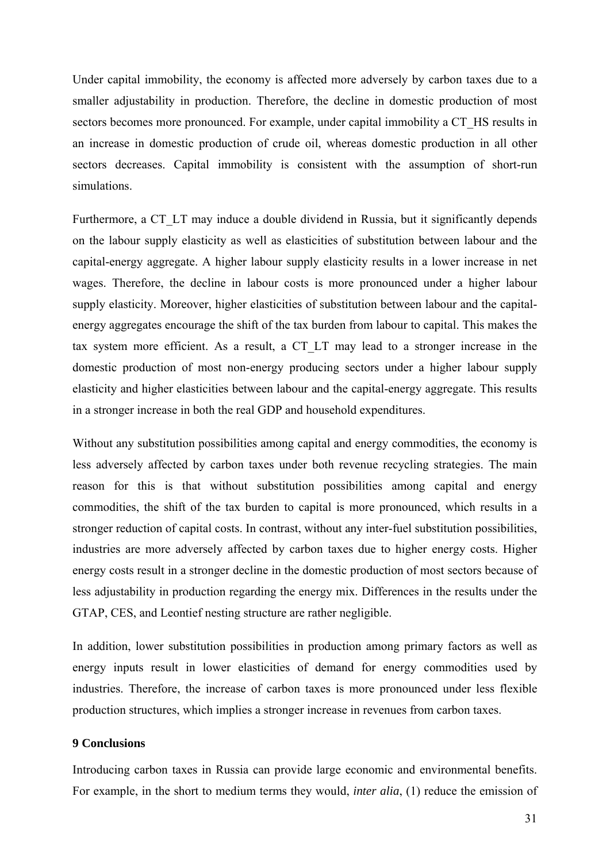Under capital immobility, the economy is affected more adversely by carbon taxes due to a smaller adjustability in production. Therefore, the decline in domestic production of most sectors becomes more pronounced. For example, under capital immobility a CT\_HS results in an increase in domestic production of crude oil, whereas domestic production in all other sectors decreases. Capital immobility is consistent with the assumption of short-run simulations.

Furthermore, a CT\_LT may induce a double dividend in Russia, but it significantly depends on the labour supply elasticity as well as elasticities of substitution between labour and the capital-energy aggregate. A higher labour supply elasticity results in a lower increase in net wages. Therefore, the decline in labour costs is more pronounced under a higher labour supply elasticity. Moreover, higher elasticities of substitution between labour and the capitalenergy aggregates encourage the shift of the tax burden from labour to capital. This makes the tax system more efficient. As a result, a CT\_LT may lead to a stronger increase in the domestic production of most non-energy producing sectors under a higher labour supply elasticity and higher elasticities between labour and the capital-energy aggregate. This results in a stronger increase in both the real GDP and household expenditures.

Without any substitution possibilities among capital and energy commodities, the economy is less adversely affected by carbon taxes under both revenue recycling strategies. The main reason for this is that without substitution possibilities among capital and energy commodities, the shift of the tax burden to capital is more pronounced, which results in a stronger reduction of capital costs. In contrast, without any inter-fuel substitution possibilities, industries are more adversely affected by carbon taxes due to higher energy costs. Higher energy costs result in a stronger decline in the domestic production of most sectors because of less adjustability in production regarding the energy mix. Differences in the results under the GTAP, CES, and Leontief nesting structure are rather negligible.

In addition, lower substitution possibilities in production among primary factors as well as energy inputs result in lower elasticities of demand for energy commodities used by industries. Therefore, the increase of carbon taxes is more pronounced under less flexible production structures, which implies a stronger increase in revenues from carbon taxes.

#### <span id="page-30-0"></span>**9 Conclusions**

Introducing carbon taxes in Russia can provide large economic and environmental benefits. For example, in the short to medium terms they would, *inter alia*, (1) reduce the emission of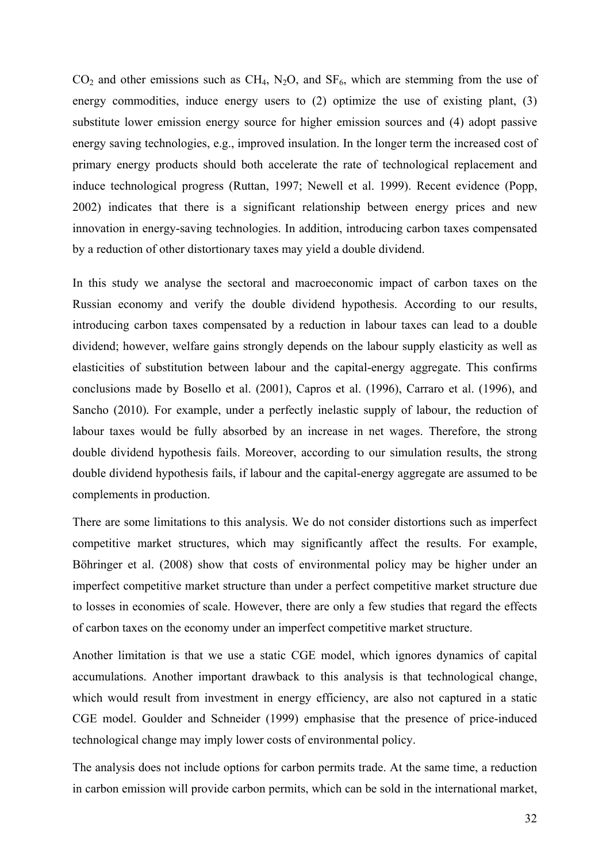$CO<sub>2</sub>$  and other emissions such as CH<sub>4</sub>, N<sub>2</sub>O, and SF<sub>6</sub>, which are stemming from the use of energy commodities, induce energy users to (2) optimize the use of existing plant, (3) substitute lower emission energy source for higher emission sources and (4) adopt passive energy saving technologies, e.g., improved insulation. In the longer term the increased cost of primary energy products should both accelerate the rate of technological replacement and induce technological progress (Ruttan, 1997; Newell et al. 1999). Recent evidence (Popp, 2002) indicates that there is a significant relationship between energy prices and new innovation in energy-saving technologies. In addition, introducing carbon taxes compensated by a reduction of other distortionary taxes may yield a double dividend.

In this study we analyse the sectoral and macroeconomic impact of carbon taxes on the Russian economy and verify the double dividend hypothesis. According to our results, introducing carbon taxes compensated by a reduction in labour taxes can lead to a double dividend; however, welfare gains strongly depends on the labour supply elasticity as well as elasticities of substitution between labour and the capital-energy aggregate. This confirms conclusions made by Bosello et al. (2001), Capros et al. (1996), Carraro et al. (1996), and Sancho (2010)*.* For example, under a perfectly inelastic supply of labour, the reduction of labour taxes would be fully absorbed by an increase in net wages. Therefore, the strong double dividend hypothesis fails. Moreover, according to our simulation results, the strong double dividend hypothesis fails, if labour and the capital-energy aggregate are assumed to be complements in production.

There are some limitations to this analysis. We do not consider distortions such as imperfect competitive market structures, which may significantly affect the results. For example, Böhringer et al. (2008) show that costs of environmental policy may be higher under an imperfect competitive market structure than under a perfect competitive market structure due to losses in economies of scale. However, there are only a few studies that regard the effects of carbon taxes on the economy under an imperfect competitive market structure.

Another limitation is that we use a static CGE model, which ignores dynamics of capital accumulations. Another important drawback to this analysis is that technological change, which would result from investment in energy efficiency, are also not captured in a static CGE model. Goulder and Schneider (1999) emphasise that the presence of price-induced technological change may imply lower costs of environmental policy.

The analysis does not include options for carbon permits trade. At the same time, a reduction in carbon emission will provide carbon permits, which can be sold in the international market,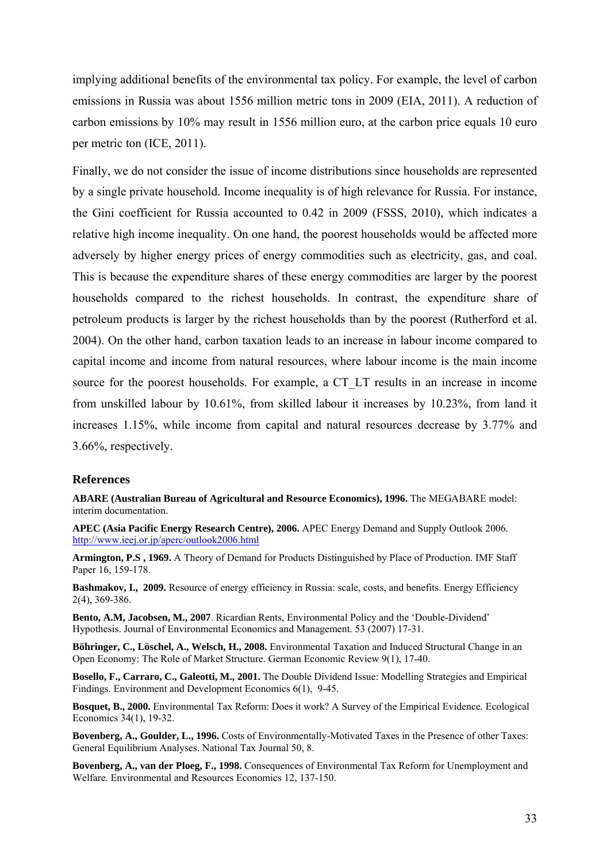implying additional benefits of the environmental tax policy. For example, the level of carbon emissions in Russia was about 1556 million metric tons in 2009 (EIA, 2011). A reduction of carbon emissions by 10% may result in 1556 million euro, at the carbon price equals 10 euro per metric ton (ICE, 2011).

Finally, we do not consider the issue of income distributions since households are represented by a single private household. Income inequality is of high relevance for Russia. For instance, the Gini coefficient for Russia accounted to 0.42 in 2009 (FSSS, 2010), which indicates a relative high income inequality. On one hand, the poorest households would be affected more adversely by higher energy prices of energy commodities such as electricity, gas, and coal. This is because the expenditure shares of these energy commodities are larger by the poorest households compared to the richest households. In contrast, the expenditure share of petroleum products is larger by the richest households than by the poorest (Rutherford et al. 2004). On the other hand, carbon taxation leads to an increase in labour income compared to capital income and income from natural resources, where labour income is the main income source for the poorest households. For example, a CT\_LT results in an increase in income from unskilled labour by 10.61%, from skilled labour it increases by 10.23%, from land it increases 1.15%, while income from capital and natural resources decrease by 3.77% and 3.66%, respectively.

#### <span id="page-32-0"></span>**References**

**ABARE (Australian Bureau of Agricultural and Resource Economics), 1996.** The MEGABARE model: interim documentation.

**APEC (Asia Pacific Energy Research Centre), 2006.** APEC Energy Demand and Supply Outlook 2006*.* <http://www.ieej.or.jp/aperc/outlook2006.html>

**Armington, P.S , 1969.** A Theory of Demand for Products Distinguished by Place of Production*.* IMF Staff Paper 16, 159-178.

**Bashmakov, I., 2009.** Resource of energy efficiency in Russia: scale, costs, and benefits. Energy Efficiency 2(4), 369-386.

**Bento, A.M, Jacobsen, M., 2007**. Ricardian Rents, Environmental Policy and the 'Double-Dividend' Hypothesis. Journal of Environmental Economics and Management. 53 (2007) 17-31.

**Böhringer, C., Löschel, A., Welsch, H., 2008.** Environmental Taxation and Induced Structural Change in an Open Economy: The Role of Market Structure. German Economic Review 9(1), 17-40.

**Bosello, F., Carraro, C., Galeotti, M., 2001.** The Double Dividend Issue: Modelling Strategies and Empirical Findings*.* Environment and Development Economics 6(1), 9-45.

**Bosquet, B., 2000.** Environmental Tax Reform: Does it work? A Survey of the Empirical Evidence*.* Ecological Economics 34(1), 19-32.

**Bovenberg, A., Goulder, L., 1996.** Costs of Environmentally-Motivated Taxes in the Presence of other Taxes: General Equilibrium Analyses. National Tax Journal 50, 8.

**Bovenberg, A., van der Ploeg, F., 1998.** Consequences of Environmental Tax Reform for Unemployment and Welfare. Environmental and Resources Economics 12, 137-150.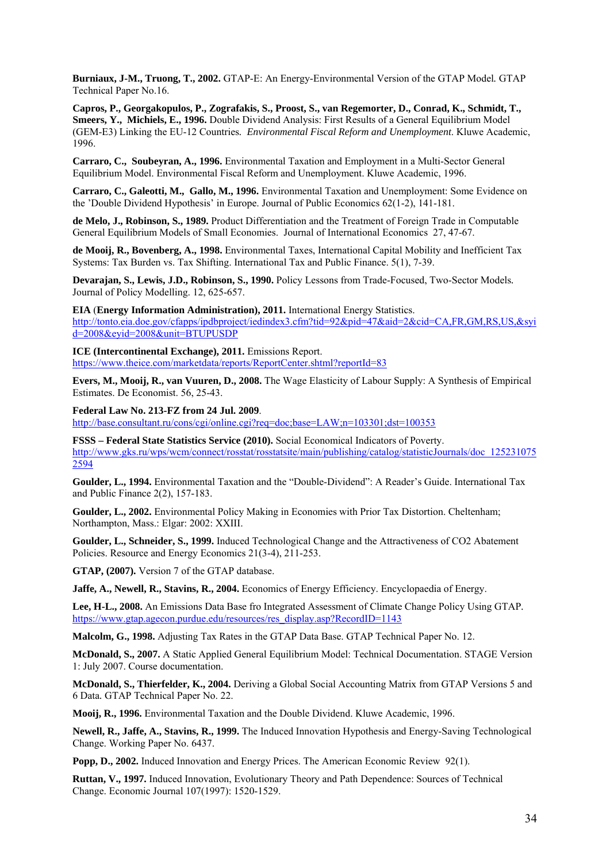**Burniaux, J-M., Truong, T., 2002.** GTAP-E: An Energy-Environmental Version of the GTAP Model*.* GTAP Technical Paper No.16.

**Capros, P., Georgakopulos, P., Zografakis, S., Proost, S., van Regemorter, D., Conrad, K., Schmidt, T., Smeers, Y., Michiels, E., 1996.** Double Dividend Analysis: First Results of a General Equilibrium Model (GEM-E3) Linking the EU-12 Countries*. Environmental Fiscal Reform and Unemployment*. Kluwe Academic, 1996.

**Carraro, C., Soubeyran, A., 1996.** Environmental Taxation and Employment in a Multi-Sector General Equilibrium Model. Environmental Fiscal Reform and Unemployment. Kluwe Academic, 1996.

**Carraro, C., Galeotti, M., Gallo, M., 1996.** Environmental Taxation and Unemployment: Some Evidence on the 'Double Dividend Hypothesis' in Europe. Journal of Public Economics 62(1-2), 141-181.

**de Melo, J., Robinson, S., 1989.** Product Differentiation and the Treatment of Foreign Trade in Computable General Equilibrium Models of Small Economies. Journal of International Economics 27, 47-67.

**de Mooij, R., Bovenberg, A., 1998.** Environmental Taxes, International Capital Mobility and Inefficient Tax Systems: Tax Burden vs. Tax Shifting. International Tax and Public Finance. 5(1), 7-39.

**Devarajan, S., Lewis, J.D., Robinson, S., 1990.** Policy Lessons from Trade-Focused, Two-Sector Models*.*  Journal of Policy Modelling. 12, 625-657.

**EIA** (**Energy Information Administration), 2011.** International Energy Statistics. [http://tonto.eia.doe.gov/cfapps/ipdbproject/iedindex3.cfm?tid=92&pid=47&aid=2&cid=CA,FR,GM,RS,US,&syi](http://tonto.eia.doe.gov/cfapps/ipdbproject/iedindex3.cfm?tid=92&pid=47&aid=2&cid=CA,FR,GM,RS,US,&syid=2008&eyid=2008&unit=BTUPUSDP) [d=2008&eyid=2008&unit=BTUPUSDP](http://tonto.eia.doe.gov/cfapps/ipdbproject/iedindex3.cfm?tid=92&pid=47&aid=2&cid=CA,FR,GM,RS,US,&syid=2008&eyid=2008&unit=BTUPUSDP)

**ICE (Intercontinental Exchange), 2011.** Emissions Report. <https://www.theice.com/marketdata/reports/ReportCenter.shtml?reportId=83>

**Evers, M., Mooij, R., van Vuuren, D., 2008.** The Wage Elasticity of Labour Supply: A Synthesis of Empirical Estimates. De Economist. 56, 25-43.

**Federal Law No. 213-FZ from 24 Jul. 2009**. <http://base.consultant.ru/cons/cgi/online.cgi?req=doc;base=LAW;n=103301;dst=100353>

**FSSS – Federal State Statistics Service (2010).** Social Economical Indicators of Poverty. [http://www.gks.ru/wps/wcm/connect/rosstat/rosstatsite/main/publishing/catalog/statisticJournals/doc\\_125231075](http://www.gks.ru/wps/wcm/connect/rosstat/rosstatsite/main/publishing/catalog/statisticJournals/doc_1252310752594) 2594

**Goulder, L., 1994.** Environmental Taxation and the "Double-Dividend": A Reader's Guide. International Tax and Public Finance 2(2), 157-183.

**Goulder, L., 2002.** Environmental Policy Making in Economies with Prior Tax Distortion. Cheltenham; Northampton, Mass.: Elgar: 2002: XXIII.

**Goulder, L., Schneider, S., 1999.** Induced Technological Change and the Attractiveness of CO2 Abatement Policies. Resource and Energy Economics 21(3-4), 211-253.

**GTAP, (2007).** Version 7 of the GTAP database.

**Jaffe, A., Newell, R., Stavins, R., 2004.** Economics of Energy Efficiency. Encyclopaedia of Energy.

**Lee, H-L., 2008.** An Emissions Data Base fro Integrated Assessment of Climate Change Policy Using GTAP*.* [https://www.gtap.agecon.purdue.edu/resources/res\\_display.asp?RecordID=1143](https://www.gtap.agecon.purdue.edu/resources/res_display.asp?RecordID=1143)

**Malcolm, G., 1998.** Adjusting Tax Rates in the GTAP Data Base. GTAP Technical Paper No. 12.

**McDonald, S., 2007.** A Static Applied General Equilibrium Model: Technical Documentation. STAGE Version 1: July 2007. Course documentation.

**McDonald, S., Thierfelder, K., 2004.** Deriving a Global Social Accounting Matrix from GTAP Versions 5 and 6 Data*.* GTAP Technical Paper No. 22.

**Mooij, R., 1996.** Environmental Taxation and the Double Dividend. Kluwe Academic, 1996.

**Newell, R., Jaffe, A., Stavins, R., 1999.** The Induced Innovation Hypothesis and Energy-Saving Technological Change. Working Paper No. 6437.

**Popp, D., 2002.** Induced Innovation and Energy Prices. The American Economic Review 92(1).

**Ruttan, V., 1997.** Induced Innovation, Evolutionary Theory and Path Dependence: Sources of Technical Change. Economic Journal 107(1997): 1520-1529.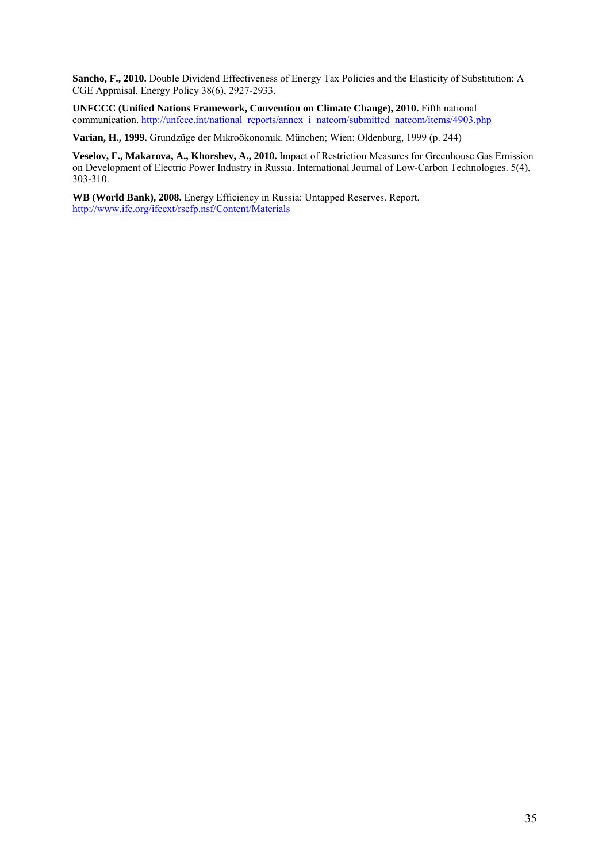**Sancho, F., 2010.** Double Dividend Effectiveness of Energy Tax Policies and the Elasticity of Substitution: A CGE Appraisal*.* Energy Policy 38(6), 2927-2933.

**UNFCCC (Unified Nations Framework, Convention on Climate Change), 2010.** Fifth national communication. [http://unfccc.int/national\\_reports/annex\\_i\\_natcom/submitted\\_natcom/items/4903.php](http://unfccc.int/national_reports/annex_i_natcom/submitted_natcom/items/4903.php)

**Varian, H., 1999.** Grundzüge der Mikroökonomik. München; Wien: Oldenburg, 1999 (p. 244)

**Veselov, F., Makarova, A., Khorshev, A., 2010.** Impact of Restriction Measures for Greenhouse Gas Emission on Development of Electric Power Industry in Russia. International Journal of Low-Carbon Technologies. 5(4), 303-310.

**WB (World Bank), 2008.** Energy Efficiency in Russia: Untapped Reserves. Report. <http://www.ifc.org/ifcext/rsefp.nsf/Content/Materials>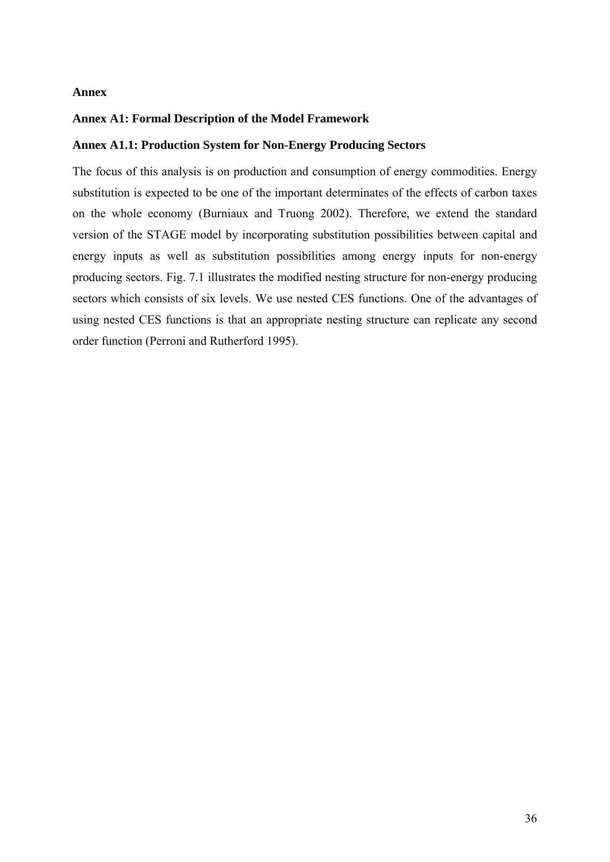## <span id="page-35-0"></span>**Annex**

## <span id="page-35-1"></span>**Annex A1: Formal Description of the Model Framework**

## <span id="page-35-2"></span>**Annex A1.1: Production System for Non-Energy Producing Sectors**

The focus of this analysis is on production and consumption of energy commodities. Energy substitution is expected to be one of the important determinates of the effects of carbon taxes on the whole economy (Burniaux and Truong 2002). Therefore, we extend the standard version of the STAGE model by incorporating substitution possibilities between capital and energy inputs as well as substitution possibilities among energy inputs for non-energy producing sectors. Fig. 7.1 illustrates the modified nesting structure for non-energy producing sectors which consists of six levels. We use nested CES functions. One of the advantages of using nested CES functions is that an appropriate nesting structure can replicate any second order function (Perroni and Rutherford 1995).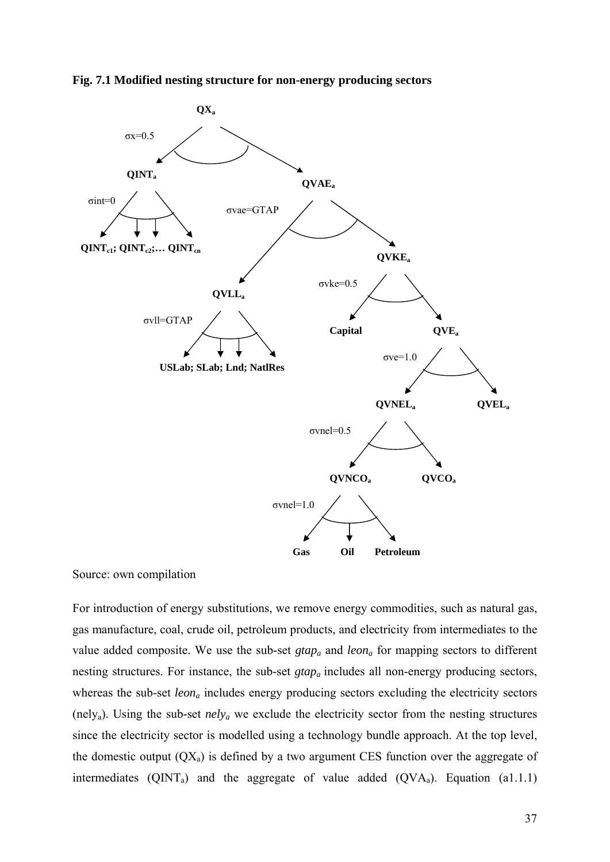



Source: own compilation

For introduction of energy substitutions, we remove energy commodities, such as natural gas, gas manufacture, coal, crude oil, petroleum products, and electricity from intermediates to the value added composite. We use the sub-set *gtapa* and *leona* for mapping sectors to different nesting structures. For instance, the sub-set *gtapa* includes all non-energy producing sectors, whereas the sub-set *leon<sub>a</sub>* includes energy producing sectors excluding the electricity sectors (nelya). Using the sub-set *nelya* we exclude the electricity sector from the nesting structures since the electricity sector is modelled using a technology bundle approach. At the top level, the domestic output  $(QX_a)$  is defined by a two argument CES function over the aggregate of intermediates ( $QINT_a$ ) and the aggregate of value added ( $QVA_a$ ). Equation (a1.1.1)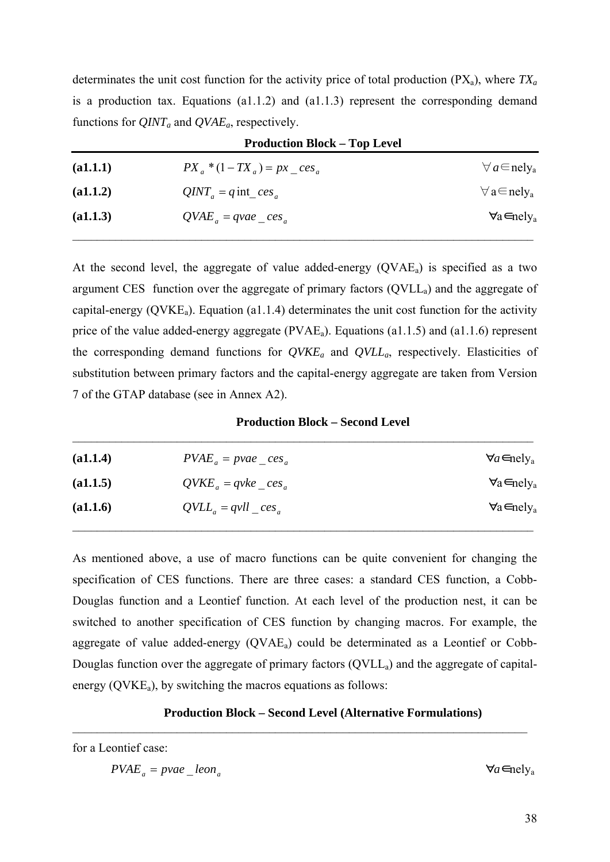determinates the unit cost function for the activity price of total production  $(PX_a)$ , where  $TX_a$ is a production tax. Equations (a1.1.2) and (a1.1.3) represent the corresponding demand functions for *QINTa* and *QVAEa*, respectively.

| <b>Production Block – Top Level</b> |                                    |                                     |  |
|-------------------------------------|------------------------------------|-------------------------------------|--|
| (a1.1.1)                            | $PX_a * (1 - TX_a) = px \_{ces_a}$ | $\forall a \in$ nely <sub>a</sub>   |  |
| (a1.1.2)                            | $QINT_a = q$ int_ces <sub>a</sub>  | $\forall$ a $\in$ nely <sub>a</sub> |  |
| (a1.1.3)                            | $QVAE_a = qvae \; ces_a$           | $\forall$ a $\in$ nely <sub>a</sub> |  |
|                                     |                                    |                                     |  |

At the second level, the aggregate of value added-energy  $(QVAE_a)$  is specified as a two argument CES function over the aggregate of primary factors  $(QVLL<sub>a</sub>)$  and the aggregate of capital-energy ( $\text{OVKE}_a$ ). Equation (a1.1.4) determinates the unit cost function for the activity price of the value added-energy aggregate ( $\text{PVAE}_a$ ). Equations (a1.1.5) and (a1.1.6) represent the corresponding demand functions for *QVKEa* and *QVLLa*, respectively. Elasticities of substitution between primary factors and the capital-energy aggregate are taken from Version 7 of the GTAP database (see in Annex A2).

**Production Block – Second Level** 

| (a1.1.4) | $PVAE_a = pvae \text{ ces}_a$ | $\forall a \in \text{nely}_{a}$     |
|----------|-------------------------------|-------------------------------------|
| (a1.1.5) | $QVKE_a = qvke \cos_a$        | $\forall$ a $\in$ nely <sub>a</sub> |
| (a1.1.6) | $QVLL_a = qvll \cos_a$        | $\forall$ a $\in$ nely <sub>a</sub> |

 $\mathcal{L}_\text{max} = \mathcal{L}_\text{max} = \mathcal{L}_\text{max} = \mathcal{L}_\text{max} = \mathcal{L}_\text{max} = \mathcal{L}_\text{max} = \mathcal{L}_\text{max} = \mathcal{L}_\text{max} = \mathcal{L}_\text{max} = \mathcal{L}_\text{max} = \mathcal{L}_\text{max} = \mathcal{L}_\text{max} = \mathcal{L}_\text{max} = \mathcal{L}_\text{max} = \mathcal{L}_\text{max} = \mathcal{L}_\text{max} = \mathcal{L}_\text{max} = \mathcal{L}_\text{max} = \mathcal{$ 

As mentioned above, a use of macro functions can be quite convenient for changing the specification of CES functions. There are three cases: a standard CES function, a Cobb-Douglas function and a Leontief function. At each level of the production nest, it can be switched to another specification of CES function by changing macros. For example, the aggregate of value added-energy  $(QVAE_a)$  could be determinated as a Leontief or Cobb-Douglas function over the aggregate of primary factors (QVLL<sub>a</sub>) and the aggregate of capitalenergy  $(QVKE<sub>a</sub>)$ , by switching the macros equations as follows:

## **Production Block – Second Level (Alternative Formulations)**

 $\_$  , and the contribution of the contribution of  $\mathcal{L}_\mathcal{A}$  , and the contribution of  $\mathcal{L}_\mathcal{A}$ 

for a Leontief case:

∀*a*∈nelya *<sup>a</sup> <sup>a</sup> PVAE* \_ *leonpvae*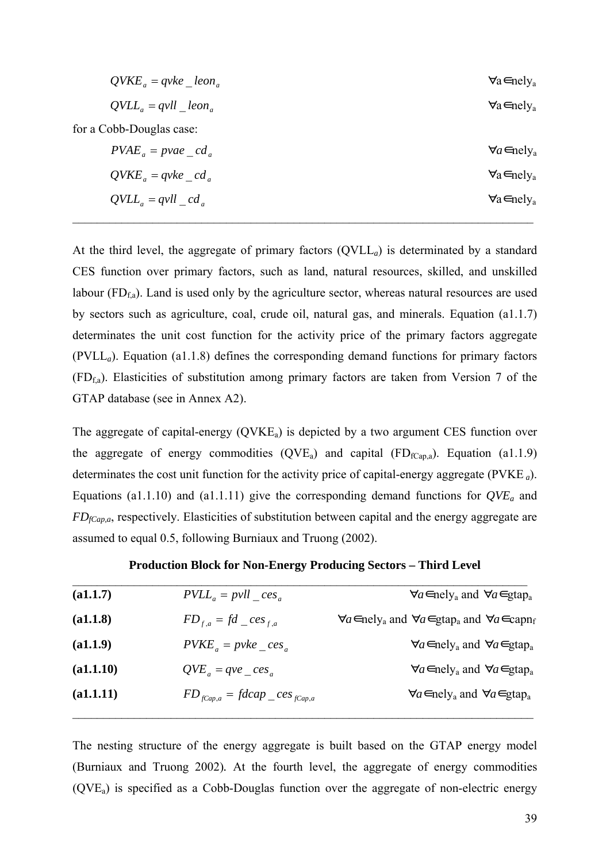| $QVKE_a = qvke \quad leon_a$ | $\forall$ a $\in$ nely <sub>a</sub> |
|------------------------------|-------------------------------------|
| $QVLL_{a} = qvll \_leon_{a}$ | $\forall$ a $\in$ nely <sub>a</sub> |
| for a Cobb-Douglas case:     |                                     |
| $PVAE_a = pvae\_cd_a$        | $\forall a \in \text{mely}_{a}$     |
| $QVKE_a = qvke_c d_a$        | $\forall$ a $\in$ nely <sub>a</sub> |
| $QVLL_{a} = qvll_{a}cd_{a}$  | $\forall$ a $\in$ nely <sub>a</sub> |
|                              |                                     |

At the third level, the aggregate of primary factors  $(QVLL<sub>a</sub>)$  is determinated by a standard CES function over primary factors, such as land, natural resources, skilled, and unskilled labour  $(FD_{fa})$ . Land is used only by the agriculture sector, whereas natural resources are used by sectors such as agriculture, coal, crude oil, natural gas, and minerals. Equation (a1.1.7) determinates the unit cost function for the activity price of the primary factors aggregate (PVLL*a*). Equation (a1.1.8) defines the corresponding demand functions for primary factors  $(FD<sub>fa</sub>)$ . Elasticities of substitution among primary factors are taken from Version 7 of the GTAP database (see in Annex A2).

The aggregate of capital-energy  $(QVKE_a)$  is depicted by a two argument CES function over the aggregate of energy commodities (QVE<sub>a</sub>) and capital (FD<sub>fCap,a</sub>). Equation (a1.1.9) determinates the cost unit function for the activity price of capital-energy aggregate (PVKE *a*). Equations (a1.1.10) and (a1.1.11) give the corresponding demand functions for  $QVE_a$  and *FDfCap,a*, respectively. Elasticities of substitution between capital and the energy aggregate are assumed to equal 0.5, following Burniaux and Truong (2002).

| (a1.1.7)  | $PVLL_a = pvll \_ces_a$              | $\forall a \in \text{mely}_a$ and $\forall a \in \text{gtap}_a$                                   |
|-----------|--------------------------------------|---------------------------------------------------------------------------------------------------|
| (a1.1.8)  | $FD_{f,a} = fd\_{ces_{f,a}}$         | $\forall a \in \text{mely}_a$ and $\forall a \in \text{gtap}_a$ and $\forall a \in \text{capp}_f$ |
| (a1.1.9)  | $PVKE_a = p v k e \cos_a$            | $\forall a \in \text{mely}_a$ and $\forall a \in \text{gtap}_a$                                   |
| (a1.1.10) | $QVE_{a} = qve\_{e}$                 | $\forall a \in \text{mely}_a$ and $\forall a \in \text{gtap}_a$                                   |
| (a1.1.11) | $FD_{fCap,a} = fdeap \_ces_{fCap,a}$ | $\forall a \in \text{mely}_a$ and $\forall a \in \text{gtap}_a$                                   |
|           |                                      |                                                                                                   |

**Production Block for Non-Energy Producing Sectors – Third Level**

The nesting structure of the energy aggregate is built based on the GTAP energy model (Burniaux and Truong 2002)*.* At the fourth level, the aggregate of energy commodities (QVEa) is specified as a Cobb-Douglas function over the aggregate of non-electric energy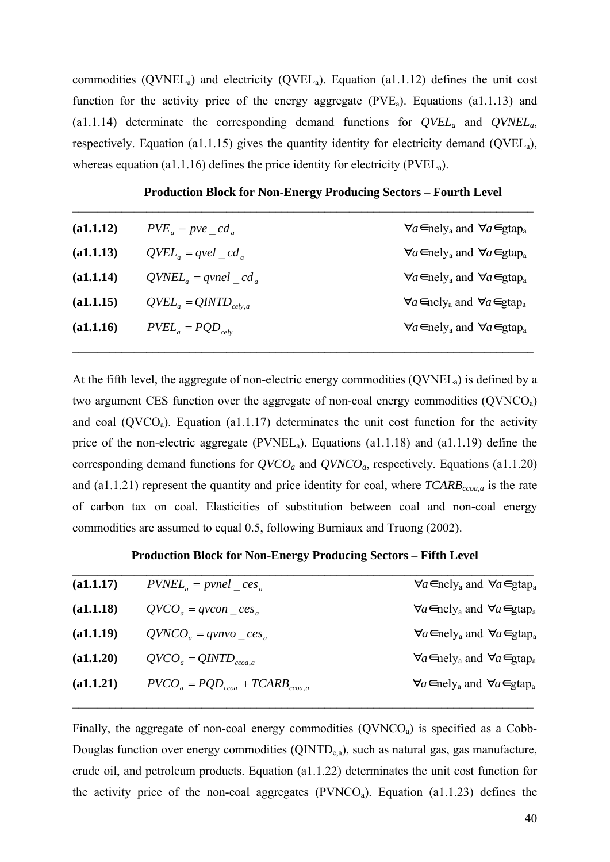commodities  $(QVNEL<sub>a</sub>)$  and electricity  $(QVEL<sub>a</sub>)$ . Equation (a1.1.12) defines the unit cost function for the activity price of the energy aggregate  $(PVE<sub>a</sub>)$ . Equations (a1.1.13) and (a1.1.14) determinate the corresponding demand functions for *QVELa* and *QVNELa*, respectively. Equation (a1.1.15) gives the quantity identity for electricity demand (QVEL<sub>a</sub>), whereas equation (a1.1.16) defines the price identity for electricity ( $PVEL_a$ ).

 $\_$  , and the set of the set of the set of the set of the set of the set of the set of the set of the set of the set of the set of the set of the set of the set of the set of the set of the set of the set of the set of th

**Production Block for Non-Energy Producing Sectors – Fourth Level**

| (a1.1.12) | $PVE_a = pve_c d_a$        | $\forall a \in \text{mely}_a$ and $\forall a \in \text{gtap}_a$ |
|-----------|----------------------------|-----------------------------------------------------------------|
| (a1.1.13) | $QVEL_{a} = qvel \ cd_{a}$ | $\forall a \in \text{mely}_a$ and $\forall a \in \text{gtap}_a$ |
| (a1.1.14) | $QVNEL_a = qvnel cd_a$     | $\forall a \in \text{mely}_a$ and $\forall a \in \text{gtap}_a$ |
| (a1.1.15) | $QVEL_a = QINTD_{cely,a}$  | $\forall a \in \text{mely}_a$ and $\forall a \in \text{gtap}_a$ |
| (a1.1.16) | $PVEL_a = PQD_{ceb}$       | $\forall a \in \text{mely}_a$ and $\forall a \in \text{gtap}_a$ |
|           |                            |                                                                 |

At the fifth level, the aggregate of non-electric energy commodities  $(QVNEL<sub>a</sub>)$  is defined by a two argument CES function over the aggregate of non-coal energy commodities (QVNCOa) and coal ( $\text{OVCO}_a$ ). Equation (a1.1.17) determinates the unit cost function for the activity price of the non-electric aggregate (PVNEL<sub>a</sub>). Equations (a1.1.18) and (a1.1.19) define the corresponding demand functions for  $QVCO_a$  and  $QVNCO_a$ , respectively. Equations (a1.1.20) and (a1.1.21) represent the quantity and price identity for coal, where  $TCARB_{ccoa,a}$  is the rate of carbon tax on coal. Elasticities of substitution between coal and non-coal energy commodities are assumed to equal 0.5, following Burniaux and Truong (2002).

**Production Block for Non-Energy Producing Sectors – Fifth Level**

| (a1.1.17) | $PVNEL_a = pvnel \text{ces}_a$         | $\forall a \in \text{mely}_a$ and $\forall a \in \text{gtap}_a$ |
|-----------|----------------------------------------|-----------------------------------------------------------------|
| (a1.1.18) | $QVCO_a = qvcon\_{ces_a}$              | $\forall a \in \text{mely}_a$ and $\forall a \in \text{gtap}_a$ |
| (a1.1.19) | $QVNCOa = qvnvo$ ces <sub>a</sub>      | $\forall a \in \text{mely}_a$ and $\forall a \in \text{gtap}_a$ |
| (a1.1.20) | $QVCO_a = QINTD_{ceoa,a}$              | $\forall a \in \text{mely}_a$ and $\forall a \in \text{gtap}_a$ |
| (a1.1.21) | $PVCO_a = PQD_{ceoa} + TCARB_{ceoa,a}$ | $\forall a \in \text{mely}_a$ and $\forall a \in \text{gtap}_a$ |
|           |                                        |                                                                 |

Finally, the aggregate of non-coal energy commodities  $(QVNCO<sub>a</sub>)$  is specified as a Cobb-Douglas function over energy commodities  $(QINTD<sub>c</sub>a)$ , such as natural gas, gas manufacture, crude oil, and petroleum products. Equation (a1.1.22) determinates the unit cost function for the activity price of the non-coal aggregates  $(PVNCO<sub>a</sub>)$ . Equation (a1.1.23) defines the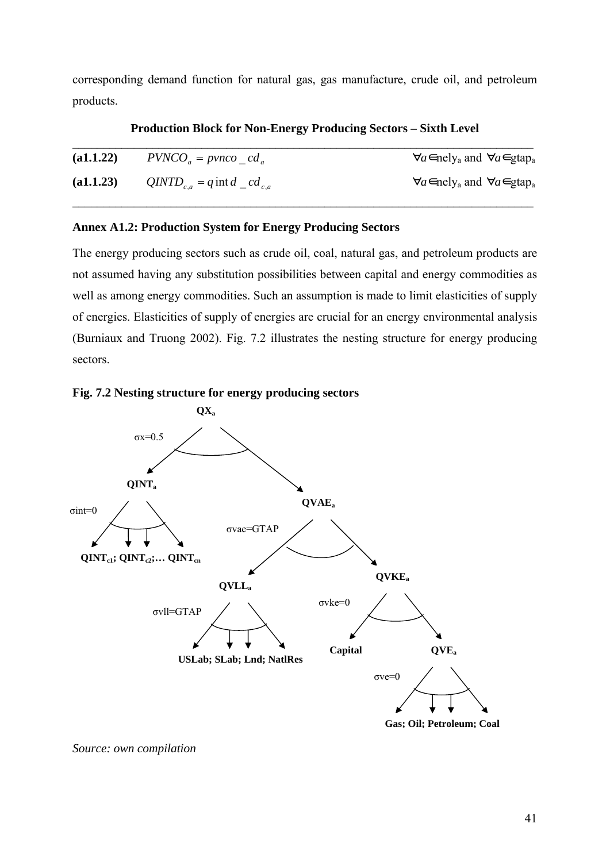corresponding demand function for natural gas, gas manufacture, crude oil, and petroleum products.

| (a1.1.22) | $PVNCO_a = prnco_c d_a$                     | $\forall a \in \text{mely}_a$ and $\forall a \in \text{gtap}_a$ |
|-----------|---------------------------------------------|-----------------------------------------------------------------|
| (a1.1.23) | $QINTD_{c,a} = q \text{ int } d \_cd_{c,a}$ | $\forall a \in \text{mely}_a$ and $\forall a \in \text{gtap}_a$ |
|           |                                             |                                                                 |

## **Production Block for Non-Energy Producing Sectors – Sixth Level**

## <span id="page-40-0"></span>**Annex A1.2: Production System for Energy Producing Sectors**

The energy producing sectors such as crude oil, coal, natural gas, and petroleum products are not assumed having any substitution possibilities between capital and energy commodities as well as among energy commodities. Such an assumption is made to limit elasticities of supply of energies. Elasticities of supply of energies are crucial for an energy environmental analysis (Burniaux and Truong 2002). Fig. 7.2 illustrates the nesting structure for energy producing sectors.





*Source: own compilation*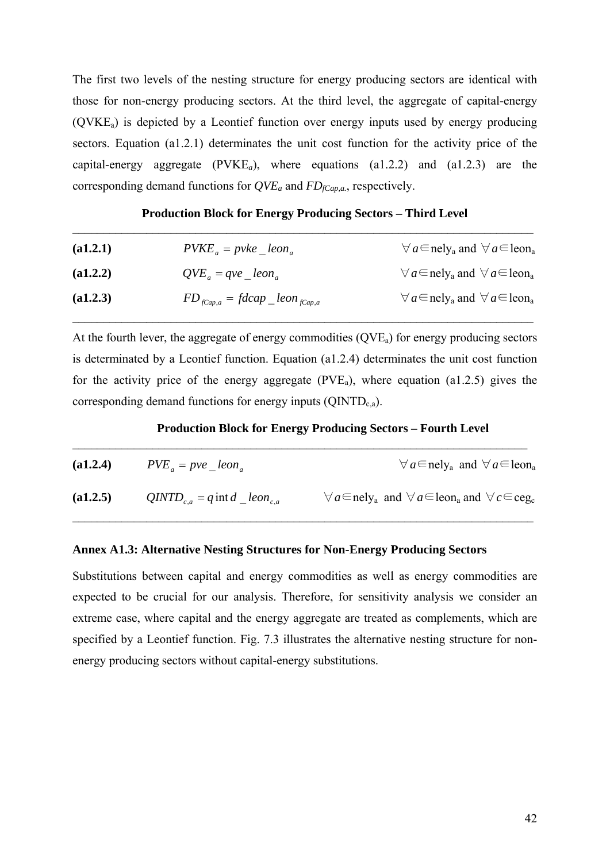The first two levels of the nesting structure for energy producing sectors are identical with those for non-energy producing sectors. At the third level, the aggregate of capital-energy  $(QVKE_a)$  is depicted by a Leontief function over energy inputs used by energy producing sectors. Equation (a1.2.1) determinates the unit cost function for the activity price of the capital-energy aggregate (PVKE*a*), where equations (a1.2.2) and (a1.2.3) are the corresponding demand functions for  $QVE_a$  and  $FD_{fCap,a}$ , respectively.

| <b>Production Block for Energy Producing Sectors - Third Level</b> |  |
|--------------------------------------------------------------------|--|
|                                                                    |  |

| (a1.2.1) | $PVKE_a = p v k e \; len_a$              | $\forall a \in \text{nely}_a$ and $\forall a \in \text{lean}_a$  |
|----------|------------------------------------------|------------------------------------------------------------------|
| (a1.2.2) | $QVE_a = qve\_leon_a$                    | $\forall a \in \text{nelly}_a$ and $\forall a \in \text{leon}_a$ |
| (a1.2.3) | $FD_{fCap,a} = fdeap \_ leon \_{fCap,a}$ | $\forall a \in \text{nelly}_a$ and $\forall a \in \text{leon}_a$ |

At the fourth lever, the aggregate of energy commodities  $(QVE_a)$  for energy producing sectors is determinated by a Leontief function. Equation (a1.2.4) determinates the unit cost function for the activity price of the energy aggregate  $(PVE<sub>a</sub>)$ , where equation (a1.2.5) gives the corresponding demand functions for energy inputs  $(QINTD_{c,a})$ .

#### **Production Block for Energy Producing Sectors – Fourth Level**  $\mathcal{L}_\text{max} = \frac{1}{2} \sum_{i=1}^n \mathcal{L}_\text{max}(\mathbf{z}_i - \mathbf{z}_i)$

| (a1.2.4) | $PVE_a = pve \; len_a$                               | $\forall a \in \text{nely}_a$ and $\forall a \in \text{lean}_a$                                   |
|----------|------------------------------------------------------|---------------------------------------------------------------------------------------------------|
| (a1.2.5) | $QINTD_{c,a} = q \text{ int } d \text{ [con]}_{c,a}$ | $\forall a \in \text{nelly}_a$ and $\forall a \in \text{leon}_a$ and $\forall c \in \text{ceg}_c$ |

## <span id="page-41-0"></span>**Annex A1.3: Alternative Nesting Structures for Non-Energy Producing Sectors**

Substitutions between capital and energy commodities as well as energy commodities are expected to be crucial for our analysis. Therefore, for sensitivity analysis we consider an extreme case, where capital and the energy aggregate are treated as complements, which are specified by a Leontief function. Fig. 7.3 illustrates the alternative nesting structure for nonenergy producing sectors without capital-energy substitutions.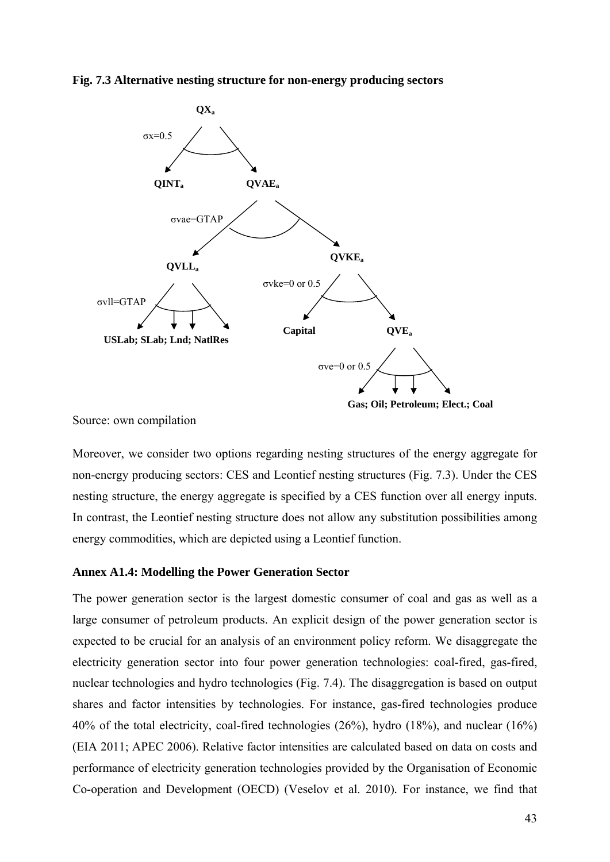



Source: own compilation

Moreover, we consider two options regarding nesting structures of the energy aggregate for non-energy producing sectors: CES and Leontief nesting structures (Fig. 7.3). Under the CES nesting structure, the energy aggregate is specified by a CES function over all energy inputs. In contrast, the Leontief nesting structure does not allow any substitution possibilities among energy commodities, which are depicted using a Leontief function.

## <span id="page-42-0"></span>**Annex A1.4: Modelling the Power Generation Sector**

The power generation sector is the largest domestic consumer of coal and gas as well as a large consumer of petroleum products. An explicit design of the power generation sector is expected to be crucial for an analysis of an environment policy reform. We disaggregate the electricity generation sector into four power generation technologies: coal-fired, gas-fired, nuclear technologies and hydro technologies (Fig. 7.4). The disaggregation is based on output shares and factor intensities by technologies. For instance, gas-fired technologies produce 40% of the total electricity, coal-fired technologies (26%), hydro (18%), and nuclear (16%) (EIA 2011; APEC 2006). Relative factor intensities are calculated based on data on costs and performance of electricity generation technologies provided by the Organisation of Economic Co-operation and Development (OECD) (Veselov et al. 2010)*.* For instance, we find that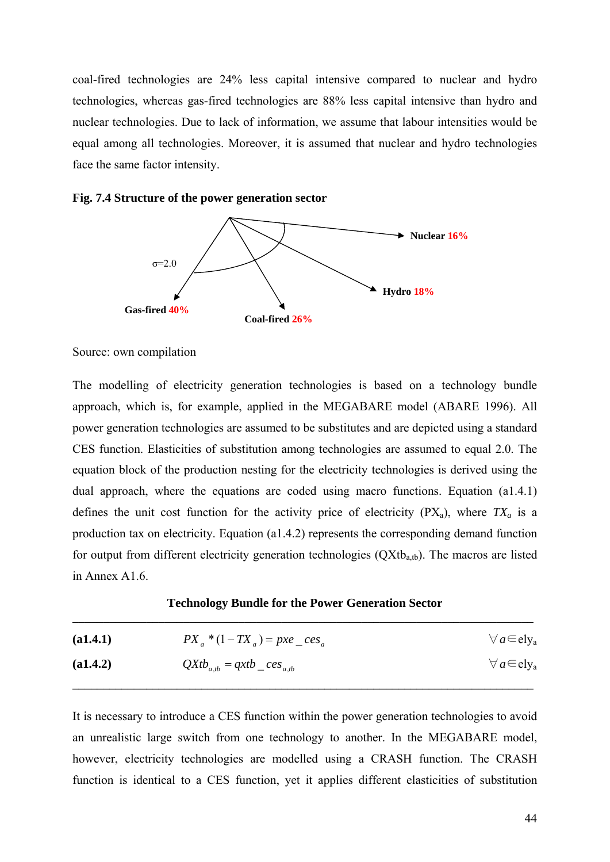coal-fired technologies are 24% less capital intensive compared to nuclear and hydro technologies, whereas gas-fired technologies are 88% less capital intensive than hydro and nuclear technologies. Due to lack of information, we assume that labour intensities would be equal among all technologies. Moreover, it is assumed that nuclear and hydro technologies face the same factor intensity.





Source: own compilation

The modelling of electricity generation technologies is based on a technology bundle approach, which is, for example, applied in the MEGABARE model (ABARE 1996). All power generation technologies are assumed to be substitutes and are depicted using a standard CES function. Elasticities of substitution among technologies are assumed to equal 2.0. The equation block of the production nesting for the electricity technologies is derived using the dual approach, where the equations are coded using macro functions. Equation (a1.4.1) defines the unit cost function for the activity price of electricity  $(PX_a)$ , where  $TX_a$  is a production tax on electricity. Equation (a1.4.2) represents the corresponding demand function for output from different electricity generation technologies  $(QXtb_{a,b})$ . The macros are listed in Annex A1.6.

| <b>Technology Bundle for the Power Generation Sector</b> |  |
|----------------------------------------------------------|--|
|                                                          |  |

| (a1.4.1) | $PX_a * (1 - TX_a) = pxe\_{ces_a}$ | $\forall a \in \text{ely}_a$ |
|----------|------------------------------------|------------------------------|
| (a1.4.2) | $QXtb_{a,tb} = qxtb\_{ces_{a,tb}}$ | $\forall a \in \text{ely}_a$ |

It is necessary to introduce a CES function within the power generation technologies to avoid an unrealistic large switch from one technology to another. In the MEGABARE model, however, electricity technologies are modelled using a CRASH function. The CRASH function is identical to a CES function, yet it applies different elasticities of substitution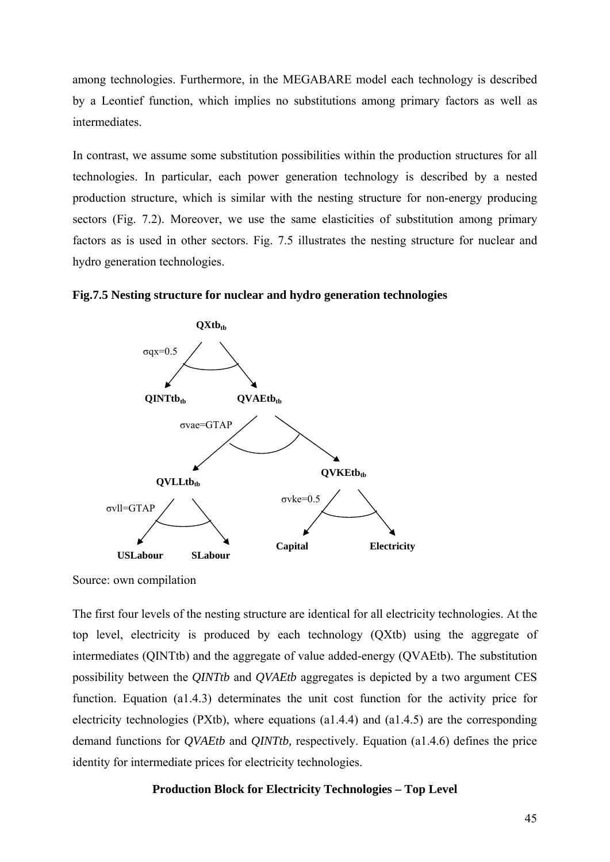among technologies. Furthermore, in the MEGABARE model each technology is described by a Leontief function, which implies no substitutions among primary factors as well as intermediates.

In contrast, we assume some substitution possibilities within the production structures for all technologies. In particular, each power generation technology is described by a nested production structure, which is similar with the nesting structure for non-energy producing sectors (Fig. 7.2). Moreover, we use the same elasticities of substitution among primary factors as is used in other sectors. Fig. 7.5 illustrates the nesting structure for nuclear and hydro generation technologies.





Source: own compilation

The first four levels of the nesting structure are identical for all electricity technologies. At the top level, electricity is produced by each technology (QXtb) using the aggregate of intermediates (QINTtb) and the aggregate of value added-energy (QVAEtb). The substitution possibility between the *QINTtb* and *QVAEtb* aggregates is depicted by a two argument CES function. Equation (a1.4.3) determinates the unit cost function for the activity price for electricity technologies (PXtb), where equations (a1.4.4) and (a1.4.5) are the corresponding demand functions for *QVAEtb* and *QINTtb,* respectively. Equation (a1.4.6) defines the price identity for intermediate prices for electricity technologies.

## **Production Block for Electricity Technologies – Top Level**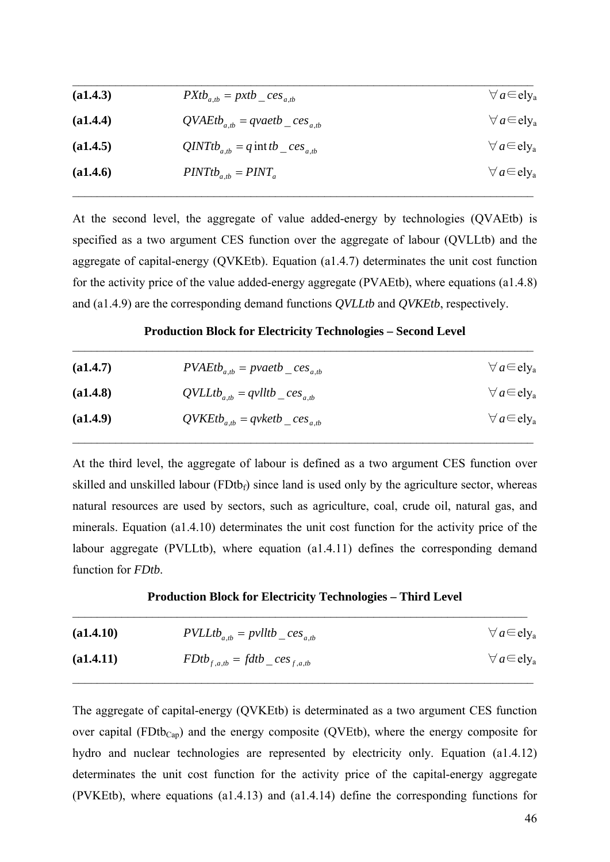| (a1.4.3) | $P X t b_{a,b} = p x t b_{c} c e s_{a,b}$       | $\forall a \in \text{ely}_a$ |
|----------|-------------------------------------------------|------------------------------|
| (a1.4.4) | $QVAEtb_{a,b} = qvaetb_{cees_{a,b}}$            | $\forall a \in \text{ely}_a$ |
| (a1.4.5) | $QINTt_{a,b} = q \text{ int } tb \_{ces_{a,b}}$ | $\forall a \in \text{ely}_a$ |
| (a1.4.6) | $PINTt_{a,tb} = PINT_a$                         | $\forall a \in \text{ely}_a$ |
|          |                                                 |                              |

At the second level, the aggregate of value added-energy by technologies (QVAEtb) is specified as a two argument CES function over the aggregate of labour (QVLLtb) and the aggregate of capital-energy (QVKEtb). Equation (a1.4.7) determinates the unit cost function for the activity price of the value added-energy aggregate (PVAEtb), where equations (a1.4.8) and (a1.4.9) are the corresponding demand functions *QVLLtb* and *QVKEtb*, respectively.

## **Production Block for Electricity Technologies – Second Level**   $\mathcal{L}_\text{max} = \mathcal{L}_\text{max} = \mathcal{L}_\text{max} = \mathcal{L}_\text{max} = \mathcal{L}_\text{max} = \mathcal{L}_\text{max} = \mathcal{L}_\text{max} = \mathcal{L}_\text{max} = \mathcal{L}_\text{max} = \mathcal{L}_\text{max} = \mathcal{L}_\text{max} = \mathcal{L}_\text{max} = \mathcal{L}_\text{max} = \mathcal{L}_\text{max} = \mathcal{L}_\text{max} = \mathcal{L}_\text{max} = \mathcal{L}_\text{max} = \mathcal{L}_\text{max} = \mathcal{$

| (a1.4.7) | $PVAEtb_{a,b} = pvaetb_{ceas_{a,b}}$ | $\forall a \in \text{ely}_a$ |
|----------|--------------------------------------|------------------------------|
| (a1.4.8) | $QVLLtb_{a,b} = qvlltb_{c}es_{a,b}$  | $\forall a \in \text{ely}_a$ |
| (a1.4.9) | $QVKEtb_{a,b} = qvketb \cos a_{a,b}$ | $\forall a \in \text{ely}_a$ |

At the third level, the aggregate of labour is defined as a two argument CES function over skilled and unskilled labour  $(FDtb<sub>f</sub>)$  since land is used only by the agriculture sector, whereas natural resources are used by sectors, such as agriculture, coal, crude oil, natural gas, and minerals. Equation (a1.4.10) determinates the unit cost function for the activity price of the labour aggregate (PVLLtb), where equation (a1.4.11) defines the corresponding demand function for *FDtb*.

#### **Production Block for Electricity Technologies – Third Level**   $\_$  , and the contribution of the contribution of  $\mathcal{L}_\mathcal{A}$  , and the contribution of  $\mathcal{L}_\mathcal{A}$

| (a1.4.10) | $PVLLtb_{a,tb} = pvlltb_{c}ces_{a,tb}$ | $\forall a \in \text{ely}_a$ |
|-----------|----------------------------------------|------------------------------|
| (a1.4.11) | $FDtb_{f,a,tb} = fdtb_{ce}cs_{f,a,tb}$ | $\forall a \in \text{ely}_a$ |

The aggregate of capital-energy (QVKEtb) is determinated as a two argument CES function over capital (FDtb<sub>Cap</sub>) and the energy composite (QVEtb), where the energy composite for hydro and nuclear technologies are represented by electricity only. Equation (a1.4.12) determinates the unit cost function for the activity price of the capital-energy aggregate (PVKEtb), where equations (a1.4.13) and (a1.4.14) define the corresponding functions for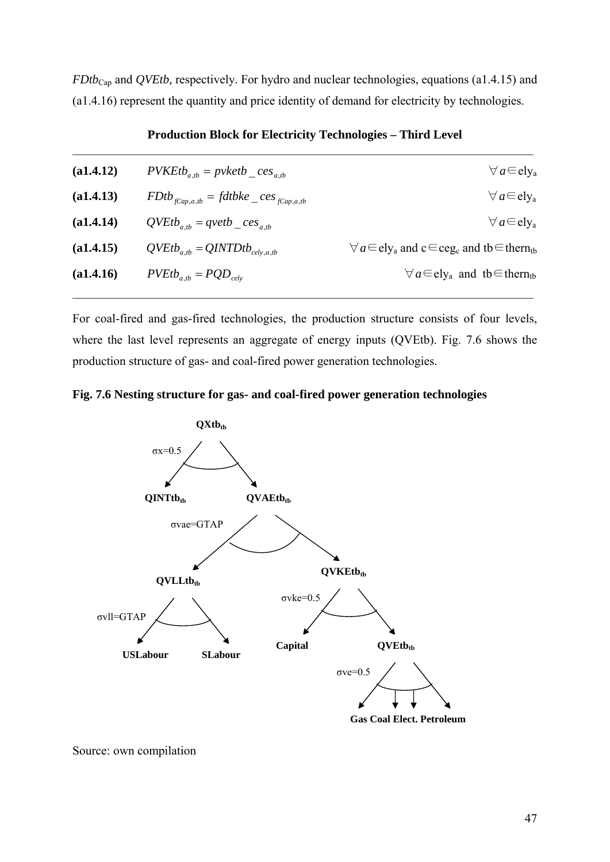*FDtb*Cap and *QVEtb,* respectively. For hydro and nuclear technologies, equations (a1.4.15) and (a1.4.16) represent the quantity and price identity of demand for electricity by technologies.

| (a1.4.12) | $PVKEtb_{a,b} = p$ vketb $\_{ces_{a,b}}$        | $\forall a \in \text{ely}_a$                                                                |
|-----------|-------------------------------------------------|---------------------------------------------------------------------------------------------|
| (a1.4.13) | $FDtb_{fCap,a,tb} = fdtbke_{ce}ces_{fCap,a,tb}$ | $\forall a \in \text{ely}_a$                                                                |
| (a1.4.14) | $QVEtb_{a,tb} = qvetb_{ce}$ ces <sub>a,tb</sub> | $\forall a \in \text{ely}_a$                                                                |
| (a1.4.15) | $QVEtb_{a,tb} = QINTDtb_{cely,a,tb}$            | $\forall a \in \text{ely}_a$ and $c \in \text{ceg}_c$ and tb $\in \text{thern}_{\text{tb}}$ |
| (a1.4.16) | $PVEtb_{a,tb} = PQD_{celv}$                     | $\forall a \in \text{ely}_a$ and the therm                                                  |
|           |                                                 |                                                                                             |

## **Production Block for Electricity Technologies – Third Level**

For coal-fired and gas-fired technologies, the production structure consists of four levels, where the last level represents an aggregate of energy inputs (QVEtb). Fig. 7.6 shows the production structure of gas- and coal-fired power generation technologies.





Source: own compilation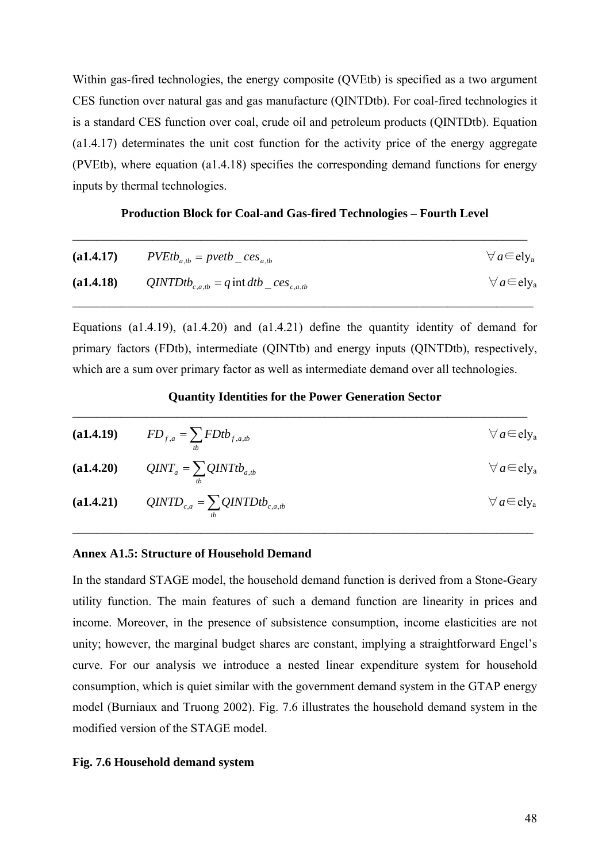Within gas-fired technologies, the energy composite (QVEtb) is specified as a two argument CES function over natural gas and gas manufacture (QINTDtb). For coal-fired technologies it is a standard CES function over coal, crude oil and petroleum products (QINTDtb). Equation (a1.4.17) determinates the unit cost function for the activity price of the energy aggregate (PVEtb), where equation (a1.4.18) specifies the corresponding demand functions for energy inputs by thermal technologies.

#### **Production Block for Coal-and Gas-fired Technologies – Fourth Level**

 $\_$  , and the contribution of the contribution of  $\mathcal{L}_\mathcal{A}$  , and the contribution of  $\mathcal{L}_\mathcal{A}$ 

|           | ( <b>a1.4.17</b> ) $PVEtb_{a,b} = pvetb_{ces_{a,b}}$          | $\forall a \in \text{ely}_a$ |
|-----------|---------------------------------------------------------------|------------------------------|
| (a1.4.18) | QINTDtb <sub>c,a,tb</sub> = q int dtb _ ces <sub>c,a,tb</sub> | $\forall a \in \text{ely}_a$ |

Equations (a1.4.19), (a1.4.20) and (a1.4.21) define the quantity identity of demand for primary factors (FDtb), intermediate (QINTtb) and energy inputs (QINTDtb), respectively, which are a sum over primary factor as well as intermediate demand over all technologies.

## **Quantity Identities for the Power Generation Sector**   $\_$  , and the contribution of the contribution of  $\mathcal{L}_\mathcal{A}$  , and the contribution of  $\mathcal{L}_\mathcal{A}$

| ( <b>a1.4.19</b> ) $FD_{f,a} = \sum FDtb_{f,a,tb}$                                                                   | $\forall a \in \text{ely}_a$ |
|----------------------------------------------------------------------------------------------------------------------|------------------------------|
| ( <b>a1.4.20</b> ) $QINT_a = \sum QINTtb_{a,tb}$                                                                     | $\forall a \in \text{ely}_a$ |
| ( <b>a1.4.21</b> ) <i>QINTD</i> <sub><i>c</i>,<i>a</i></sub> = $\sum$ <i>QINTDtb</i> <sub><i>c</i>,<i>a,tb</i></sub> | $\forall a \in \text{ely}_a$ |

#### <span id="page-47-0"></span>**Annex A1.5: Structure of Household Demand**

In the standard STAGE model, the household demand function is derived from a Stone-Geary utility function. The main features of such a demand function are linearity in prices and income. Moreover, in the presence of subsistence consumption, income elasticities are not unity; however, the marginal budget shares are constant, implying a straightforward Engel's curve. For our analysis we introduce a nested linear expenditure system for household consumption, which is quiet similar with the government demand system in the GTAP energy model (Burniaux and Truong 2002). Fig. 7.6 illustrates the household demand system in the modified version of the STAGE model.

#### **Fig. 7.6 Household demand system**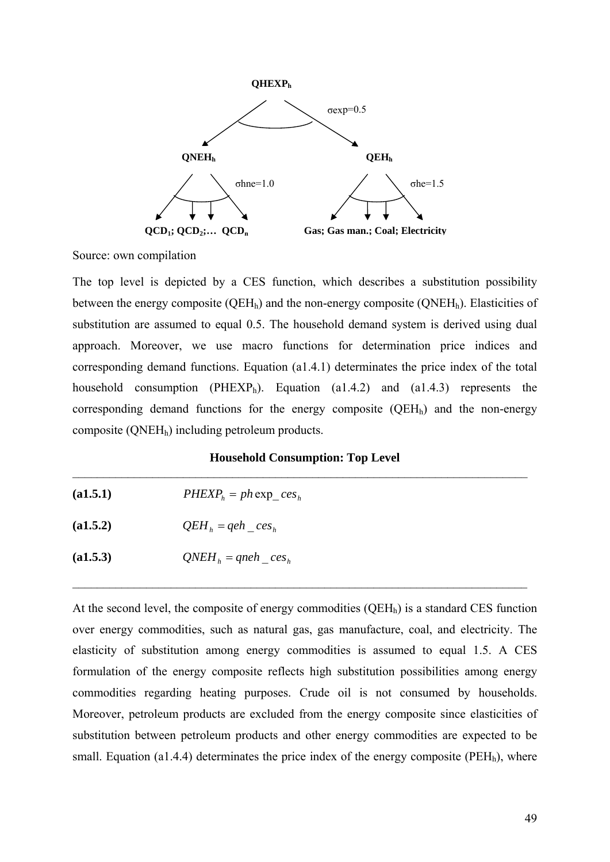

Source: own compilation

The top level is depicted by a CES function, which describes a substitution possibility between the energy composite ( $QEH_h$ ) and the non-energy composite ( $QNEH_h$ ). Elasticities of substitution are assumed to equal 0.5. The household demand system is derived using dual approach. Moreover, we use macro functions for determination price indices and corresponding demand functions. Equation (a1.4.1) determinates the price index of the total household consumption ( $PHEXP<sub>h</sub>$ ). Equation (a1.4.2) and (a1.4.3) represents the corresponding demand functions for the energy composite  $(QEH<sub>h</sub>)$  and the non-energy composite (QNEHh) including petroleum products.

## **Household Consumption: Top Level**  $\mathcal{L}_\text{max} = \frac{1}{2} \sum_{i=1}^n \mathcal{L}_\text{max}(\mathbf{z}_i - \mathbf{z}_i)$

| (a1.5.1) | $PHEXPh = ph \exp \cos_h$        |
|----------|----------------------------------|
| (a1.5.2) | $QEH_{h} = qeh$ ces <sub>h</sub> |
| (a1.5.3) | $QNEHh = qneh \cos_h$            |

At the second level, the composite of energy commodities  $(OEH_h)$  is a standard CES function over energy commodities, such as natural gas, gas manufacture, coal, and electricity. The elasticity of substitution among energy commodities is assumed to equal 1.5. A CES formulation of the energy composite reflects high substitution possibilities among energy commodities regarding heating purposes. Crude oil is not consumed by households. Moreover, petroleum products are excluded from the energy composite since elasticities of substitution between petroleum products and other energy commodities are expected to be small. Equation (a1.4.4) determinates the price index of the energy composite ( $PEH<sub>h</sub>$ ), where

 $\_$  , and the set of the set of the set of the set of the set of the set of the set of the set of the set of the set of the set of the set of the set of the set of the set of the set of the set of the set of the set of th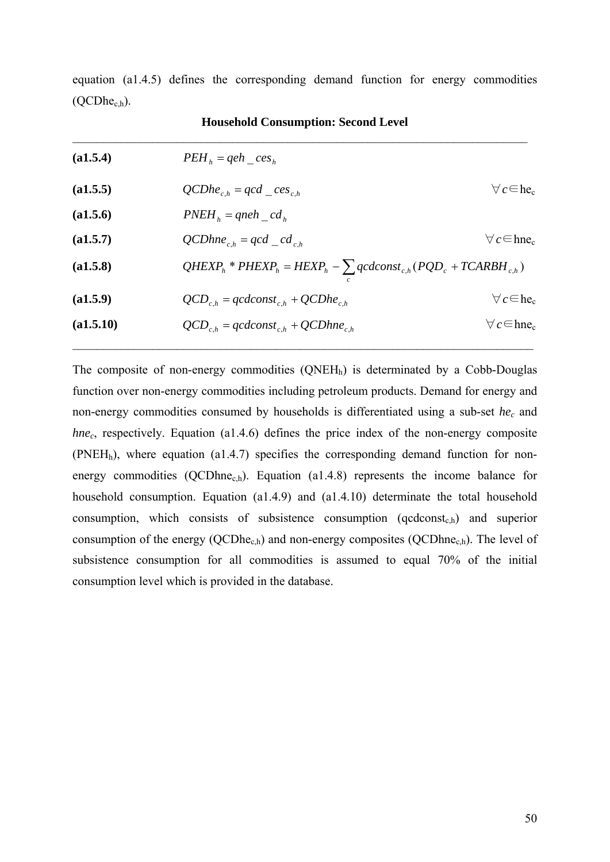|                |  | equation (a1.4.5) defines the corresponding demand function for energy commodities |  |  |  |
|----------------|--|------------------------------------------------------------------------------------|--|--|--|
| $(QCDhec.h)$ . |  |                                                                                    |  |  |  |

| (a1.5.4)  | $PEHh = qeh$ ces <sub>h</sub>                                               |                              |
|-----------|-----------------------------------------------------------------------------|------------------------------|
| (a1.5.5)  | $QCDhe_{c,h} = qcd_{c}es_{c,h}$                                             | $\forall c \in \text{he}_c$  |
| (a1.5.6)  | $PNEH_h = qneh \_cd_h$                                                      |                              |
| (a1.5.7)  | $QCDhne_{c,h} = qcd_{c,h}$                                                  | $\forall c \in \text{hne}_c$ |
| (a1.5.8)  | $QHEXP_h$ * $PHEXP_h = HEXP_h - \sum qcdconst_{c,h} (PQD_c + TCARBH_{c,h})$ |                              |
| (a1.5.9)  | $QCD_{c,h} = qcdconst_{c,h} + QCDhe_{c,h}$                                  | $\forall c \in \text{he}_c$  |
| (a1.5.10) | $QCD_{c,h} = qcdconst_{c,h} + QCDhne_{c,h}$                                 | $\forall c \in \text{hne}_c$ |

**Household Consumption: Second Level**

The composite of non-energy commodities  $(QNEH<sub>h</sub>)$  is determinated by a Cobb-Douglas function over non-energy commodities including petroleum products. Demand for energy and non-energy commodities consumed by households is differentiated using a sub-set *hec* and *hnec*, respectively. Equation (a1.4.6) defines the price index of the non-energy composite (PNEHh), where equation (a1.4.7) specifies the corresponding demand function for nonenergy commodities (QCDhne<sub>c,h</sub>). Equation (a1.4.8) represents the income balance for household consumption. Equation (a1.4.9) and (a1.4.10) determinate the total household consumption, which consists of subsistence consumption ( $qcdconst_{c,h}$ ) and superior consumption of the energy (QCDhe<sub>c,h</sub>) and non-energy composites (QCDhne<sub>c,h</sub>). The level of subsistence consumption for all commodities is assumed to equal 70% of the initial consumption level which is provided in the database.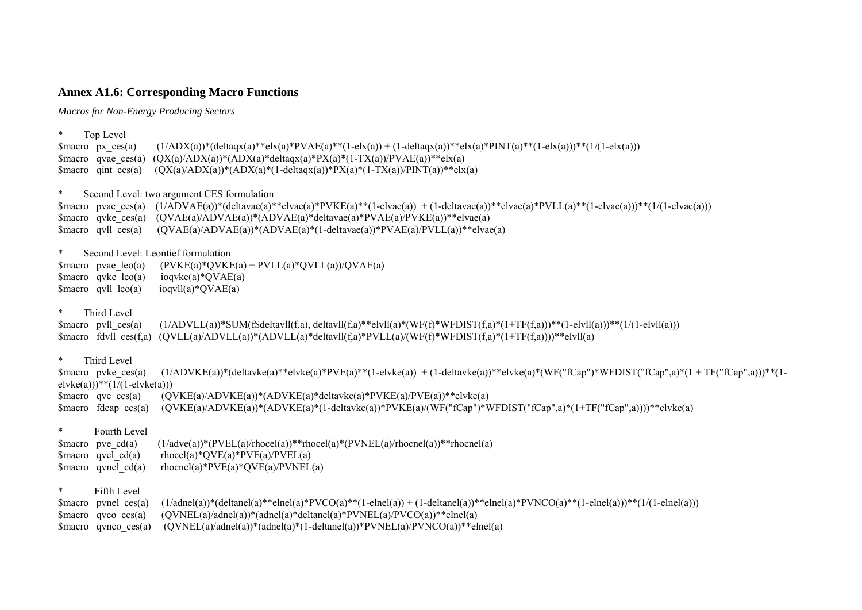# **Annex A1.6: Corresponding Macro Functions**

*Macros for Non-Energy Producing Sectors* 

<span id="page-50-0"></span>

| $\ast$                             | Top Level                                                           |                                                                                                                                                                                                                        |
|------------------------------------|---------------------------------------------------------------------|------------------------------------------------------------------------------------------------------------------------------------------------------------------------------------------------------------------------|
| $\text{Smacro } px \text{ ces}(a)$ | \$macro qvae $ces(a)$                                               | $(1/ADX(a))*(delta(x)*relx(a)*PVAE(a)*PVAE(a)*(1-els(a)) + (1-delta(xa))*relx(a)*PINT(a)**(1-els(a)))**(1/(1-els(a)))$<br>$(QX(a)/ADX(a))$ *(ADX $(a)$ *deltaqx $(a)$ *PX $(a)$ *(1-TX $(a)$ )/PVAE $(a)$ )**elx $(a)$ |
|                                    | \$macro qint $ces(a)$                                               | $(QX(a)/ADX(a)*(ADX(a)*(1-delta(xa))*PX(a)*(1-TX(a))/PINT(a))**elx(a)$                                                                                                                                                 |
|                                    |                                                                     |                                                                                                                                                                                                                        |
| $\ast$                             | $\mathop{\text{Smacro}}$ pvae ces(a)                                | Second Level: two argument CES formulation<br>$(1/ADVAE(a))*(delta^*\\e(a)*=vac(a)*PVKE(a)*\\(1-elvae(a)) + (1-delwave(a))*\t+elve(a)*PVLL(a)**(1-elvae(a)))*\\(1/l-elvae(a)))$                                        |
|                                    |                                                                     | \$macro qvke ces(a) $(QVAE(a)/ADVAE(a))*(ADVAE(a)*deltaE(a)*PVAE(a)/PVKE(a))**elvae(a)$                                                                                                                                |
|                                    | $\text{Smacro}$ qvll ces(a)                                         | $(QVAE(a)/ADVAE(a))$ *(ADVAE(a)*(1-deltavae(a))*PVAE(a)/PVLL(a))**elvae(a)                                                                                                                                             |
| $\ast$                             |                                                                     | Second Level: Leontief formulation                                                                                                                                                                                     |
|                                    | \$macro pvae $leo(a)$                                               | $(PVKE(a)*QVKE(a) + PVLL(a)*QVLL(a))/QVAE(a)$                                                                                                                                                                          |
|                                    | \$macro $q$ vke $leo(a)$                                            | $i$ oqvke $(a)*QVAE(a)$                                                                                                                                                                                                |
|                                    | $\frac{\text{Smacro}}{\text{g}}$ qvll $\frac{\text{leo}}{\text{g}}$ | $iogv1I(a)*QVAE(a)$                                                                                                                                                                                                    |
| $\ast$                             | Third Level                                                         |                                                                                                                                                                                                                        |
|                                    | $\frac{1}{2}$ Smacro pvll ces(a)                                    | $(1/ADVLL(a))*SUM(f\$ deltavll $(f,a)$ , deltavll $(f,a)*$ elvll $(a)*(WF(f)*WFDIST(f,a)*(1+TF(f,a)))*(1-elvll(a)))**$                                                                                                 |
|                                    | \$macro $f$ dvll $ces(f,a)$                                         | $(QVLL(a)/ADVLL(a))^*(ADVLL(a)^*deltaVll(f,a)^*PVLL(a)/(WF(f)^*WFDIST(f,a)^*(1+TF(f,a))))**elvll(a)$                                                                                                                   |
| $\ast$                             | Third Level                                                         |                                                                                                                                                                                                                        |
|                                    | $smacc$ pvke $ces(a)$<br>$elvke(a)))$ ** $(1/(1-elvke(a)))$         | $(1/ADVKE(a))^*(delavke(a)**elvke(a)*PVE(a)**(1-elvke(a)) + (1-delavke(a))**elvke(a)*(WF("fCap")*WFDIST("fCap",a)*(1+TF("fCap",a)))**(1-1-elvke(a))$                                                                   |
|                                    | \$macro qve $ces(a)$                                                | $(QVKE(a)/ADVKE(a))*(ADVKE(a)*delta(abc)(a)*PVKE(a)/PVE(a))**elve(a)$                                                                                                                                                  |
|                                    | $\mathop{\text{Smacro}}$ fdcap ces(a)                               | $(QVKE(a)/ADVKE(a))$ * $(ADVKE(a)$ * $(1$ -deltavke $(a))$ * $PVKE(a)/(WF("fCap")$ * $WFDIST("fCap", a)$ * $(1+TF("fCap", a))))$ **elvke $(a)$                                                                         |
| $\ast$                             | Fourth Level                                                        |                                                                                                                                                                                                                        |
| \$macro pve $cd(a)$                |                                                                     | $(1/adve(a))$ *(PVEL(a)/rhocel(a))**rhocel(a)*(PVNEL(a)/rhocnel(a))**rhocnel(a)                                                                                                                                        |
|                                    | $\mathsf{S}$ macro qvel cd(a)                                       | $rhocel(a)*QVE(a)*PVE(a)/PVEL(a)$                                                                                                                                                                                      |
|                                    | $\text{Smacro}$ qvnel cd(a)                                         | $rhocnel(a)*PVE(a)*QVE(a)/PVNEL(a)$                                                                                                                                                                                    |
| $\ast$                             | Fifth Level                                                         |                                                                                                                                                                                                                        |
|                                    | $smacc$ pynel $ces(a)$                                              | $(1/adnel(a))*(deltaa)*elnel(a)*PVCO(a)*(1-elnel(a)) + (1-deltanel(a))*elnel(a)*PVNCO(a)**(1-elnel(a))) **(1/(1-elnel(a)))$                                                                                            |
|                                    | smacco qvco ces(a)<br>$smaccq$ qvnco $ces(a)$                       | $(QVNEL(a)/adnel(a))$ <sup>*</sup> (adnel(a) <sup>*</sup> deltanel(a) <sup>*P</sup> VNEL(a)/PVCO(a)) <sup>**</sup> elnel(a)<br>$(QVNEL(a)/adnel(a))$ *(adnel(a)*(1-deltanel(a))*PVNEL(a)/PVNCO(a))**elnel(a)           |
|                                    |                                                                     |                                                                                                                                                                                                                        |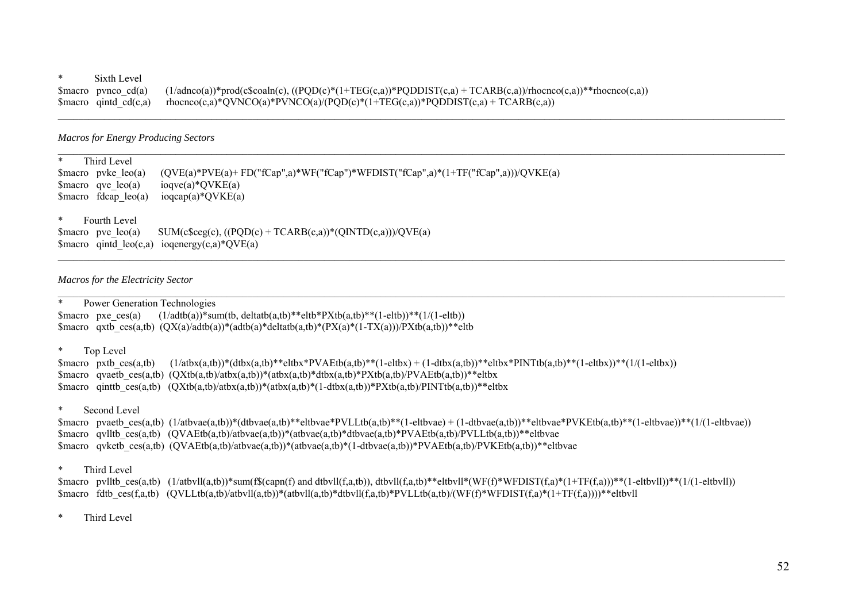#### \* Sixth Level

\$macro pvnco cd(a)  $(1/adnco(a))^*prod(c$coaln(c), ((PQD(c)*(1+TEG(c,a))*PQDDIST(c,a) + TCARB(c,a))/rhocnco(c,a))**rhocnco(c,a))$ \$macro qintd cd(c,a) rhocnco(c,a)\*QVNCO(a)\*PVNCO(a)/(PQD(c)\*(1+TEG(c,a))\*PQDDIST(c,a) + TCARB(c,a))

\_\_\_\_\_\_\_\_\_\_\_\_\_\_\_\_\_\_\_\_\_\_\_\_\_\_\_\_\_\_\_\_\_\_\_\_\_\_\_\_\_\_\_\_\_\_\_\_\_\_\_\_\_\_\_\_\_\_\_\_\_\_\_\_\_\_\_\_\_\_\_\_\_\_\_\_\_\_\_\_\_\_\_\_\_\_\_\_\_\_\_\_\_\_\_\_\_\_\_\_\_\_\_\_\_\_\_\_\_\_\_\_\_\_\_\_\_\_\_\_\_\_\_\_\_\_\_\_\_\_\_\_\_\_\_\_\_\_\_\_\_\_

\_\_\_\_\_\_\_\_\_\_\_\_\_\_\_\_\_\_\_\_\_\_\_\_\_\_\_\_\_\_\_\_\_\_\_\_\_\_\_\_\_\_\_\_\_\_\_\_\_\_\_\_\_\_\_\_\_\_\_\_\_\_\_\_\_\_\_\_\_\_\_\_\_\_\_\_\_\_\_\_\_\_\_\_\_\_\_\_\_\_\_\_\_\_\_\_\_\_\_\_\_\_\_\_\_\_\_\_\_\_\_\_\_\_\_\_\_\_\_\_\_\_\_\_\_\_\_\_\_\_\_\_\_\_\_\_\_\_\_\_\_\_

 $\mathcal{L}_\mathcal{L} = \mathcal{L}_\mathcal{L} = \mathcal{L}_\mathcal{L} = \mathcal{L}_\mathcal{L} = \mathcal{L}_\mathcal{L} = \mathcal{L}_\mathcal{L} = \mathcal{L}_\mathcal{L} = \mathcal{L}_\mathcal{L} = \mathcal{L}_\mathcal{L} = \mathcal{L}_\mathcal{L} = \mathcal{L}_\mathcal{L} = \mathcal{L}_\mathcal{L} = \mathcal{L}_\mathcal{L} = \mathcal{L}_\mathcal{L} = \mathcal{L}_\mathcal{L} = \mathcal{L}_\mathcal{L} = \mathcal{L}_\mathcal{L}$ 

#### *Macros for Energy Producing Sectors*

| *      | Third Level            |                                                                                     |
|--------|------------------------|-------------------------------------------------------------------------------------|
|        | $smacco$ pyke $leo(a)$ | $(QVE(a)*PVE(a)+FD("fCap",a)*WF("fCap")*WFDIST("fCap",a)*(1+TF("fCap",a)))/QVKE(a)$ |
|        | $smacco$ qve $leo(a)$  | ioqve $(a)$ *QVKE $(a)$                                                             |
|        | $Smacro$ fdcap leo(a)  | ioqcap(a)* $QVKE(a)$                                                                |
|        |                        |                                                                                     |
| $\ast$ | Fourth Level           |                                                                                     |

\$macro pve leo(a) SUM(c\$ceg(c),  $((POD(c) + TCARB(c,a))*(OINTD(c,a)))/OVE(a)$ \$macro qintd  $leo(c,a)$  ioqenergy $(c,a)*QVE(a)$ 

#### *Macros for the Electricity Sector*

\* Power Generation Technologies \$macro pxe\_ces(a)  $(1/\text{adtb}(a))^*$ sum(tb, deltatb(a,tb)\*\*eltb\*PXtb(a,tb)\*\*(1-eltb))\*\*(1/(1-eltb)) \$macro qxtb ces(a,tb)  $(OX(a))\cdot d(ta)*(a(ta)*delta(a,tb)*(PX(a)*(1-TX(a)))/PXtb(a,tb))**eltb$ 

#### \* Top Level

\$macro pxtb ces(a,tb)  $(1/atbx(a,tb))*(dbtx(a,tb)**eltbx*PVAEtb(a,tb)**$ (1-eltbx) + (1-dtbx(a,tb))\*\*eltbx\*PINTtb(a,tb)\*\*(1-eltbx))\*\*(1/(1-eltbx)) \$macro qvaetb ces(a,tb)  $(OXtb(a,tb)/abx(a,tb)*abx(a,tb)*dbx(a,tb)*PXtb(a,tb)/PVAEtb(a,tb))**eltbx$ \$macro qinttb\_ces(a,tb)  $(QXtb(a,tb)/atbx(a,tb)*(atbx(a,tb)*(1-dtbx(a,tb))*PXtb(a,tb)/PINTtb(a,tb))**eltbx$ 

#### \* Second Level

\$macro pvaetb ces(a,tb) (1/atbvae(a,tb))\*(dtbvae(a,tb)\*\*eltbvae\*PVLLtb(a,tb)\*\*(1-eltbvae) + (1-dtbvae(a,tb))\*\*eltbvae\*PVKEtb(a,tb)\*\*(1-eltbvae))\*\*(1/(1-eltbvae)) \$macro qvlltb ces(a,tb) (QVAEtb(a,tb)/atbvae(a,tb))\*(atbvae(a,tb)\*dtbvae(a,tb)\*PVAEtb(a,tb)/PVLLtb(a,tb))\*\*eltbvae \$macro qvketb ces(a,tb) (QVAEtb(a,tb)/atbvae(a,tb))\*(atbvae(a,tb)\*(1-dtbvae(a,tb))\*PVAEtb(a,tb)/PVKEtb(a,tb))\*\*eltbvae

#### \* Third Level

\$macro pvlltb ces(a,tb)  $(1/atbv1l(a,tb))^*$ sum(f\$(capn(f) and dtbvll(f,a,tb)), dtbvll(f,a,tb)\*\*eltbvll\*(WF(f)\*WFDIST(f,a)\*(1+TF(f,a)))\*\*(1-eltbvll))\*\*(1/(1-eltbvll)) \$macro fdtb\_ces(f,a,tb) (QVLLtb(a,tb)/atbvll(a,tb))\*(atbvll(a,tb)\*dtbvll(f,a,tb)\*PVLLtb(a,tb)/(WF(f)\*WFDIST(f,a)\*(1+TF(f,a))))\*\*eltbvll

### \* Third Level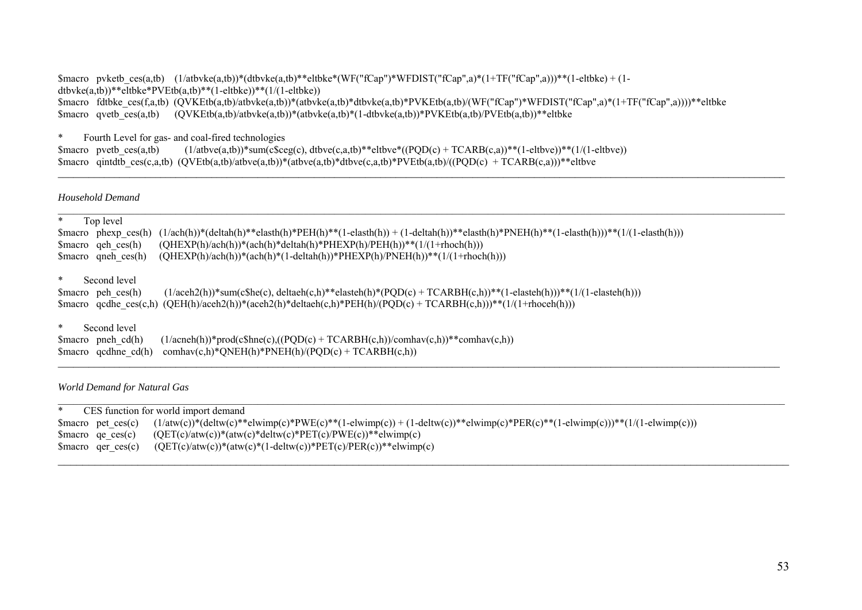\$macro pvketb ces(a,tb)  $(1/atbvke(a,tb))^*(dtbvke(a,tb)^**eltbke*(WF("fCap")*WFDIST("fCap",a)*(1+TF("fCap",a)))**$ (1-eltbke) + (1dtbvke(a,tb))\*\*eltbke\*PVEtb(a,tb)\*\*(1-eltbke))\*\*(1/(1-eltbke)) \$macro fdtbke\_ces(f,a,tb) (QVKEtb(a,tb)/atbvke(a,tb))\*(atbvke(a,tb)\*dtbvke(a,tb)\*PVKEtb(a,tb)/(WF("fCap")\*WFDIST("fCap",a)\*(1+TF("fCap",a))))\*\*eltbke  $\frac{1}{2}$ \$macro qvetb  $\frac{1}{\csc(a, t)}$  (QVKEtb(a,tb)/atbvke(a,tb))\*(atbvke(a,tb))\*(1-dtbvke(a,tb))\*PVKEtb(a,tb)/PVEtb(a,tb))\*\*eltbke

*\_\_\_\_\_\_\_\_\_\_\_\_\_\_\_\_\_\_\_\_\_\_\_\_\_\_\_\_\_\_\_\_\_\_\_\_\_\_\_\_\_\_\_\_\_\_\_\_\_\_\_\_\_\_\_\_\_\_\_\_\_\_\_\_\_\_\_\_\_\_\_\_\_\_\_\_\_\_\_\_\_\_\_\_\_\_\_\_\_\_\_\_\_\_\_\_\_\_\_\_\_\_\_\_\_\_\_\_\_\_\_\_\_\_\_\_\_\_\_\_\_\_\_\_\_\_\_\_\_\_\_\_\_\_\_\_\_\_\_\_\_\_* 

\* Fourth Level for gas- and coal-fired technologies \$macro pvetb ces(a,tb) (1/atbve(a,tb))\*sum(c\$ceg(c), dtbve(c,a,tb)\*\*eltbve\*((PQD(c) + TCARB(c,a))\*\*(1-eltbve))\*\*(1/(1-eltbve)) \$macro qintdtb ces(c,a,tb) (QVEtb(a,tb)/atbve(a,tb))\*(atbve(a,tb)\*dtbve(c,a,tb)\*PVEtb(a,tb)/((PQD(c) + TCARB(c,a)))\*\*eltbve

*Household Demand* 

| $\ast$<br>Top level                                                                                                                                           |
|---------------------------------------------------------------------------------------------------------------------------------------------------------------|
| $(1/ach(h))^*(delta(h))^*$ elasth $(h)^*PEH(h)^**(1-elasth(h)) + (1-delta(h))^*$ elasth $(h)^*PNEH(h)^**(1-elasth(h)))$<br>phexp $ces(h)$<br>Smacro           |
| $(QHEXP(h)/ach(h))*(ach(h)*delta(h)*PHEXP(h)/PEH(h))**(1/(1+rhoch(h)))$<br>$smacc$ qeh ces(h)                                                                 |
| $(QHEXP(h)/ach(h))*(ach(h)*(1-delta(h))*PHEXP(h)/PNEH(h))**(1/(1+thoch(h)))$<br>$smacc$ queh ces(h)                                                           |
|                                                                                                                                                               |
| $\ast$<br>Second level                                                                                                                                        |
| $(1/aceh2(h))^*$ sum $(c^she(c),$ deltaeh $(c,h)^*$ *elasteh $(h)^*(PQD(c) + TCARBH(c,h))^*$ * $(1-elastich(h)))^**(1/(1-elastich(h)))$<br>$smacc$ peh ces(h) |
| \$macro qcdhe ces(c,h) (QEH(h)/aceh2(h))*(aceh2(h)*deltaeh(c,h)*PEH(h)/(PQD(c) + TCARBH(c,h)))**(1/(1+rhoceh(h)))                                             |
|                                                                                                                                                               |
| $\ast$<br>Second level                                                                                                                                        |
| $(1/a$ cneh(h))*prod(c\$hne(c),((PQD(c) + TCARBH(c,h))/comhav(c,h))**comhav(c,h))<br>$smacc$ pneh cd(h)                                                       |
| $comhav(c,h)$ *QNEH(h)*PNEH(h)/(PQD(c) + TCARBH(c,h))<br>$\mathop{\text{Smar}}\nolimits$ qcdhne cd(h)                                                         |

*World Demand for Natural Gas* 

|                      | CES function for world import demand                                                                                                           |
|----------------------|------------------------------------------------------------------------------------------------------------------------------------------------|
|                      | \$macro pet_ces(c) $(1/atw(c))^*(delw(c))^*$ elwimp(c)*PWE(c)**(1-elwimp(c))+(1-deltw(c))**elwimp(c)*PER(c)**(1-elwimp(c)))**(1/(1-elwimp(c))) |
| $smacco$ ae $ces(c)$ | $(QET(c)/atw(c))$ *(atw $(c)$ *deltw $(c)$ *PET $(c)/PWE(c)$ )**elwimp $(c)$                                                                   |
|                      | \$macro qer_ces(c) $(QET(c)/atw(c))^*(atw(c)^*(1-delw(c))^*PET(c)/PER(c))^*$ elwimp(c)                                                         |

 $\mathcal{L}_\mathcal{L} = \mathcal{L}_\mathcal{L} = \mathcal{L}_\mathcal{L} = \mathcal{L}_\mathcal{L} = \mathcal{L}_\mathcal{L} = \mathcal{L}_\mathcal{L} = \mathcal{L}_\mathcal{L} = \mathcal{L}_\mathcal{L} = \mathcal{L}_\mathcal{L} = \mathcal{L}_\mathcal{L} = \mathcal{L}_\mathcal{L} = \mathcal{L}_\mathcal{L} = \mathcal{L}_\mathcal{L} = \mathcal{L}_\mathcal{L} = \mathcal{L}_\mathcal{L} = \mathcal{L}_\mathcal{L} = \mathcal{L}_\mathcal{L}$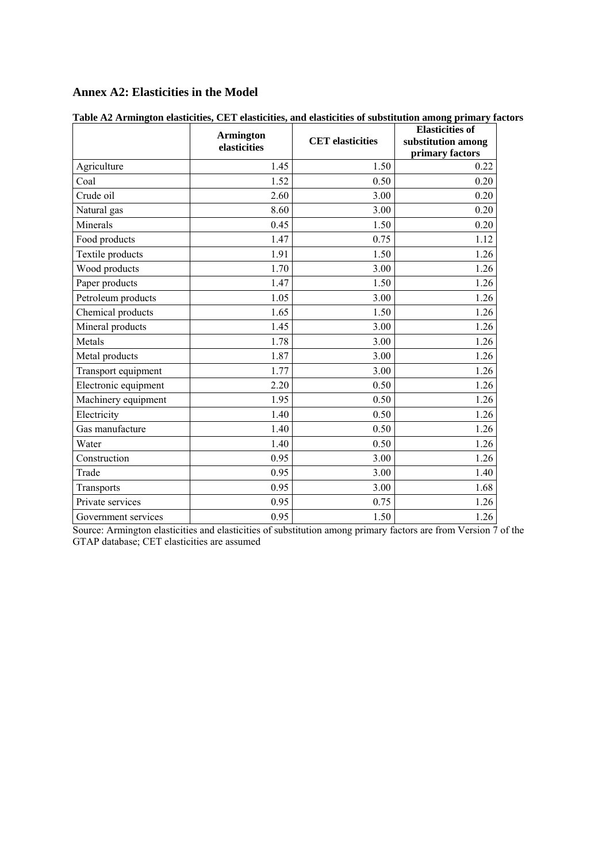## <span id="page-53-0"></span>**Annex A2: Elasticities in the Model**

|                      | <b>Armington</b><br>elasticities | <b>CET</b> elasticities | <b>Elasticities of</b><br>substitution among<br>primary factors |
|----------------------|----------------------------------|-------------------------|-----------------------------------------------------------------|
| Agriculture          | 1.45                             | 1.50                    | 0.22                                                            |
| Coal                 | 1.52                             | 0.50                    | 0.20                                                            |
| Crude oil            | 2.60                             | 3.00                    | 0.20                                                            |
| Natural gas          | 8.60                             | 3.00                    | 0.20                                                            |
| Minerals             | 0.45                             | 1.50                    | 0.20                                                            |
| Food products        | 1.47                             | 0.75                    | 1.12                                                            |
| Textile products     | 1.91                             | 1.50                    | 1.26                                                            |
| Wood products        | 1.70                             | 3.00                    | 1.26                                                            |
| Paper products       | 1.47                             | 1.50                    | 1.26                                                            |
| Petroleum products   | 1.05                             | 3.00                    | 1.26                                                            |
| Chemical products    | 1.65                             | 1.50                    | 1.26                                                            |
| Mineral products     | 1.45                             | 3.00                    | 1.26                                                            |
| Metals               | 1.78                             | 3.00                    | 1.26                                                            |
| Metal products       | 1.87                             | 3.00                    | 1.26                                                            |
| Transport equipment  | 1.77                             | 3.00                    | 1.26                                                            |
| Electronic equipment | 2.20                             | 0.50                    | 1.26                                                            |
| Machinery equipment  | 1.95                             | 0.50                    | 1.26                                                            |
| Electricity          | 1.40                             | 0.50                    | 1.26                                                            |
| Gas manufacture      | 1.40                             | 0.50                    | 1.26                                                            |
| Water                | 1.40                             | 0.50                    | 1.26                                                            |
| Construction         | 0.95                             | 3.00                    | 1.26                                                            |
| Trade                | 0.95                             | 3.00                    | 1.40                                                            |
| Transports           | 0.95                             | 3.00                    | 1.68                                                            |
| Private services     | 0.95                             | 0.75                    | 1.26                                                            |
| Government services  | 0.95                             | 1.50                    | 1.26                                                            |

| Table A2 Armington elasticities, CET elasticities, and elasticities of substitution among primary factors |  |  |
|-----------------------------------------------------------------------------------------------------------|--|--|
|                                                                                                           |  |  |

Source: Armington elasticities and elasticities of substitution among primary factors are from Version 7 of the GTAP database; CET elasticities are assumed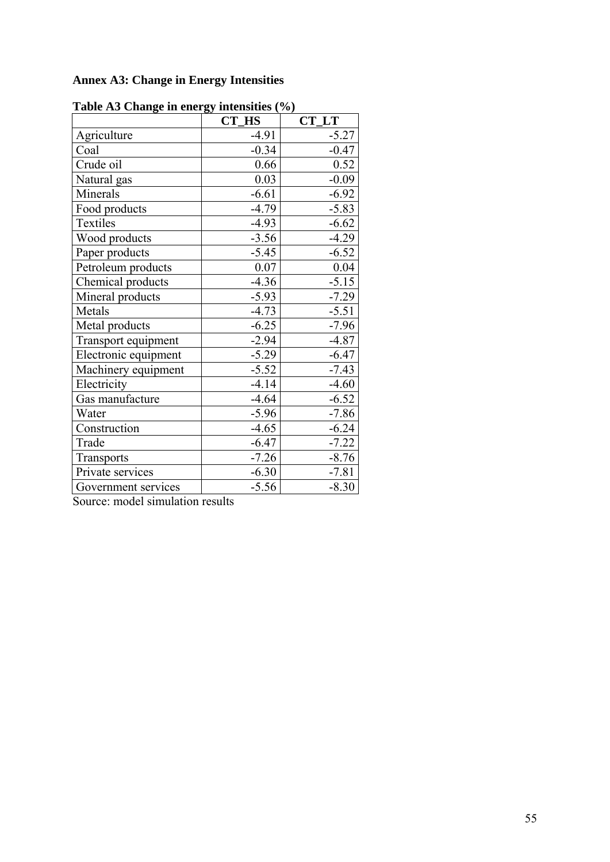# <span id="page-54-0"></span>**Annex A3: Change in Energy Intensities**

| rabic Ab Change in thergy intensities (70) | CT HS   | CT LT   |  |  |
|--------------------------------------------|---------|---------|--|--|
| Agriculture                                | $-4.91$ | $-5.27$ |  |  |
| Coal                                       | $-0.34$ | $-0.47$ |  |  |
| Crude oil                                  | 0.66    | 0.52    |  |  |
| Natural gas                                | 0.03    | $-0.09$ |  |  |
| Minerals                                   | $-6.61$ | $-6.92$ |  |  |
| Food products                              | $-4.79$ | $-5.83$ |  |  |
| Textiles                                   | $-4.93$ | $-6.62$ |  |  |
| Wood products                              | $-3.56$ | $-4.29$ |  |  |
| Paper products                             | $-5.45$ | $-6.52$ |  |  |
| Petroleum products                         | 0.07    | 0.04    |  |  |
| Chemical products                          | $-4.36$ | $-5.15$ |  |  |
| Mineral products                           | $-5.93$ | $-7.29$ |  |  |
| Metals                                     | $-4.73$ | $-5.51$ |  |  |
| Metal products                             | $-6.25$ | $-7.96$ |  |  |
| Transport equipment                        | $-2.94$ | $-4.87$ |  |  |
| Electronic equipment                       | $-5.29$ | $-6.47$ |  |  |
| Machinery equipment                        | $-5.52$ | $-7.43$ |  |  |
| Electricity                                | $-4.14$ | $-4.60$ |  |  |
| Gas manufacture                            | $-4.64$ | $-6.52$ |  |  |
| Water                                      | $-5.96$ | $-7.86$ |  |  |
| Construction                               | $-4.65$ | $-6.24$ |  |  |
| Trade                                      | $-6.47$ | $-7.22$ |  |  |
| Transports                                 | $-7.26$ | $-8.76$ |  |  |
| Private services                           | $-6.30$ | $-7.81$ |  |  |
| Government services                        | $-5.56$ | $-8.30$ |  |  |

**Table A3 Change in energy intensities (%)** 

Source: model simulation results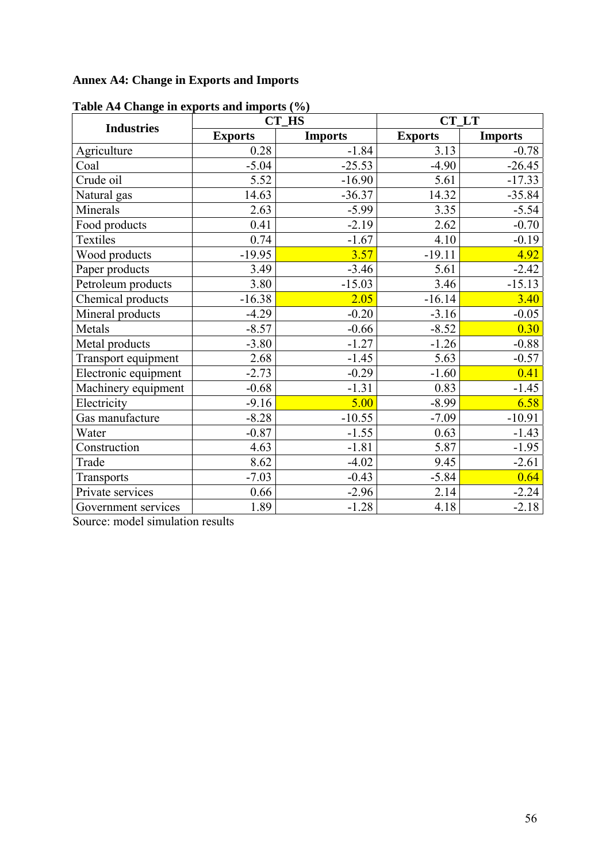# <span id="page-55-0"></span>**Annex A4: Change in Exports and Imports**

| rable in change in exports and imports (70) |                | <b>CT_HS</b>   | CT LT          |                |  |  |
|---------------------------------------------|----------------|----------------|----------------|----------------|--|--|
| <b>Industries</b>                           | <b>Exports</b> | <b>Imports</b> | <b>Exports</b> | <b>Imports</b> |  |  |
| Agriculture                                 | 0.28           | $-1.84$        | 3.13           | $-0.78$        |  |  |
| Coal                                        | $-5.04$        | $-25.53$       | $-4.90$        | $-26.45$       |  |  |
| Crude oil                                   | 5.52           | $-16.90$       | 5.61           | $-17.33$       |  |  |
| Natural gas                                 | 14.63          | $-36.37$       | 14.32          | $-35.84$       |  |  |
| Minerals                                    | 2.63           | $-5.99$        | 3.35           | $-5.54$        |  |  |
| Food products                               | 0.41           | $-2.19$        | 2.62           | $-0.70$        |  |  |
| Textiles                                    | 0.74           | $-1.67$        | 4.10           | $-0.19$        |  |  |
| Wood products                               | $-19.95$       | 3.57           | $-19.11$       | 4.92           |  |  |
| Paper products                              | 3.49           | $-3.46$        | 5.61           | $-2.42$        |  |  |
| Petroleum products                          | 3.80           | $-15.03$       | 3.46           | $-15.13$       |  |  |
| Chemical products                           | $-16.38$       | 2.05           | $-16.14$       | 3.40           |  |  |
| Mineral products                            | $-4.29$        | $-0.20$        | $-3.16$        | $-0.05$        |  |  |
| Metals                                      | $-8.57$        | $-0.66$        | $-8.52$        | 0.30           |  |  |
| Metal products                              | $-3.80$        | $-1.27$        | $-1.26$        | $-0.88$        |  |  |
| Transport equipment                         | 2.68           | $-1.45$        | 5.63           | $-0.57$        |  |  |
| Electronic equipment                        | $-2.73$        | $-0.29$        | $-1.60$        | 0.41           |  |  |
| Machinery equipment                         | $-0.68$        | $-1.31$        | 0.83           | $-1.45$        |  |  |
| Electricity                                 | $-9.16$        | 5.00           | $-8.99$        | 6.58           |  |  |
| Gas manufacture                             | $-8.28$        | $-10.55$       | $-7.09$        | $-10.91$       |  |  |
| Water                                       | $-0.87$        | $-1.55$        | 0.63           | $-1.43$        |  |  |
| Construction                                | 4.63           | $-1.81$        | 5.87           | $-1.95$        |  |  |
| Trade                                       | 8.62           | $-4.02$        | 9.45           | $-2.61$        |  |  |
| Transports                                  | $-7.03$        | $-0.43$        | $-5.84$        | 0.64           |  |  |
| Private services                            | 0.66           | $-2.96$        | 2.14           | $-2.24$        |  |  |
| Government services                         | 1.89           | $-1.28$        | 4.18           | $-2.18$        |  |  |

|  |  | Table A4 Change in exports and imports (%) |  |  |
|--|--|--------------------------------------------|--|--|
|--|--|--------------------------------------------|--|--|

Source: model simulation results